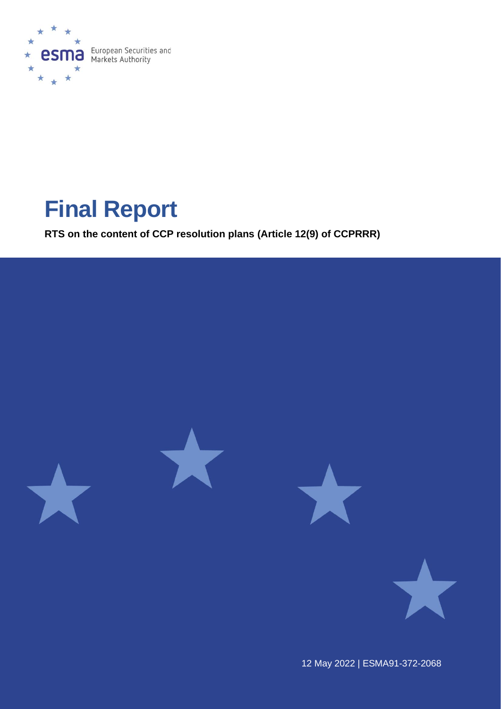

# **Final Report**

**RTS on the content of CCP resolution plans (Article 12(9) of CCPRRR)**



12 May 2022 | ESMA91-372-2068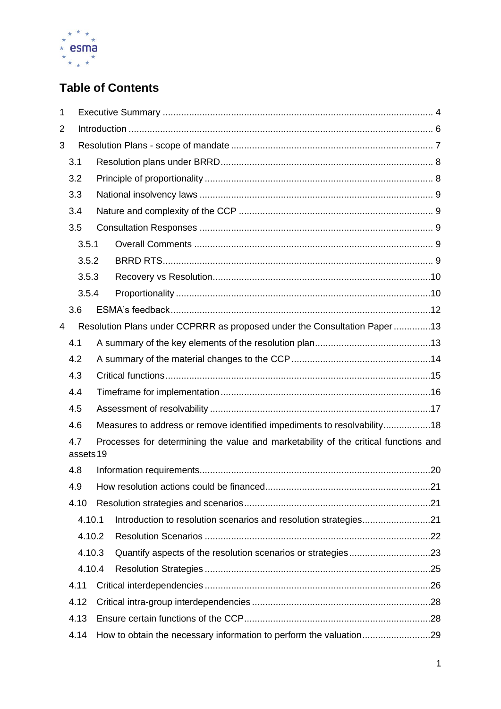

# **Table of Contents**

| 1                |        |                                                                                     |                                                                          |  |
|------------------|--------|-------------------------------------------------------------------------------------|--------------------------------------------------------------------------|--|
| 2                |        |                                                                                     |                                                                          |  |
| 3                |        |                                                                                     |                                                                          |  |
|                  | 3.1    |                                                                                     |                                                                          |  |
|                  | 3.2    |                                                                                     |                                                                          |  |
|                  | 3.3    |                                                                                     |                                                                          |  |
| 3.4              |        |                                                                                     |                                                                          |  |
|                  | 3.5    |                                                                                     |                                                                          |  |
|                  | 3.5.1  |                                                                                     |                                                                          |  |
|                  | 3.5.2  |                                                                                     |                                                                          |  |
|                  | 3.5.3  |                                                                                     |                                                                          |  |
|                  | 3.5.4  |                                                                                     |                                                                          |  |
|                  | 3.6    |                                                                                     |                                                                          |  |
| 4                |        |                                                                                     | Resolution Plans under CCPRRR as proposed under the Consultation Paper13 |  |
|                  | 4.1    |                                                                                     |                                                                          |  |
|                  | 4.2    |                                                                                     |                                                                          |  |
|                  | 4.3    |                                                                                     |                                                                          |  |
|                  | 4.4    |                                                                                     |                                                                          |  |
| 4.5              |        |                                                                                     |                                                                          |  |
|                  | 4.6    |                                                                                     | Measures to address or remove identified impediments to resolvability18  |  |
| 4.7<br>assets 19 |        | Processes for determining the value and marketability of the critical functions and |                                                                          |  |
|                  | 4.8    |                                                                                     |                                                                          |  |
| 4.9              |        |                                                                                     |                                                                          |  |
|                  | 4.10   |                                                                                     |                                                                          |  |
|                  | 4.10.1 |                                                                                     | Introduction to resolution scenarios and resolution strategies21         |  |
|                  | 4.10.2 |                                                                                     |                                                                          |  |
|                  | 4.10.3 |                                                                                     |                                                                          |  |
|                  | 4.10.4 |                                                                                     |                                                                          |  |
|                  | 4.11   |                                                                                     |                                                                          |  |
|                  | 4.12   |                                                                                     |                                                                          |  |
|                  | 4.13   |                                                                                     |                                                                          |  |
|                  | 4.14   |                                                                                     | How to obtain the necessary information to perform the valuation29       |  |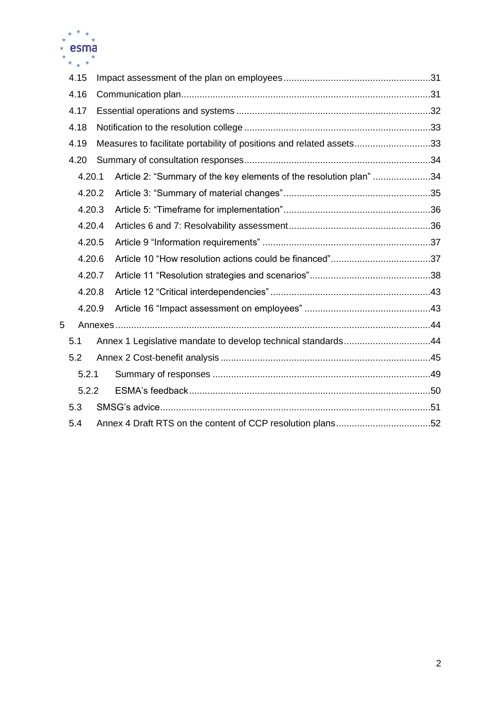

|   | 4.15   |                                                                      |  |
|---|--------|----------------------------------------------------------------------|--|
|   | 4.16   |                                                                      |  |
|   | 4.17   |                                                                      |  |
|   | 4.18   |                                                                      |  |
|   | 4.19   | Measures to facilitate portability of positions and related assets33 |  |
|   | 4.20   |                                                                      |  |
|   | 4.20.1 | Article 2: "Summary of the key elements of the resolution plan" 34   |  |
|   | 4.20.2 |                                                                      |  |
|   | 4.20.3 |                                                                      |  |
|   | 4.20.4 |                                                                      |  |
|   | 4.20.5 |                                                                      |  |
|   | 4.20.6 |                                                                      |  |
|   | 4.20.7 |                                                                      |  |
|   | 4.20.8 |                                                                      |  |
|   | 4.20.9 |                                                                      |  |
| 5 |        |                                                                      |  |
|   | 5.1    | Annex 1 Legislative mandate to develop technical standards44         |  |
|   | 5.2    |                                                                      |  |
|   | 5.2.1  |                                                                      |  |
|   | 5.2.2  |                                                                      |  |
|   | 5.3    |                                                                      |  |
|   | 5.4    | Annex 4 Draft RTS on the content of CCP resolution plans52           |  |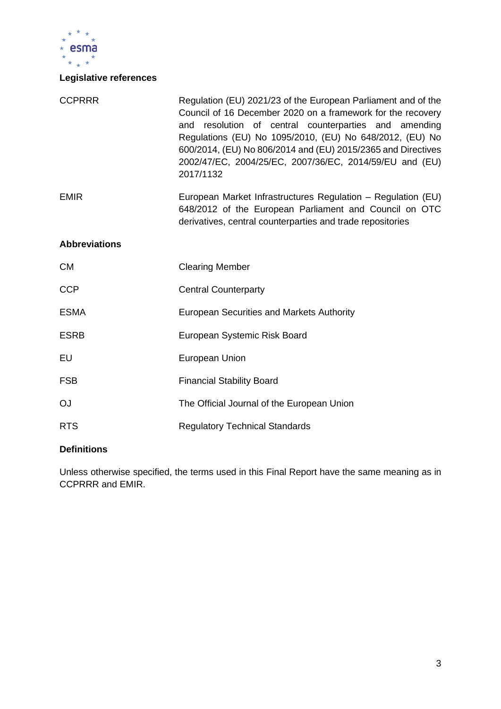

# **Legislative references**

| <b>CCPRRR</b>        | Regulation (EU) 2021/23 of the European Parliament and of the<br>Council of 16 December 2020 on a framework for the recovery<br>and resolution of central counterparties and amending<br>Regulations (EU) No 1095/2010, (EU) No 648/2012, (EU) No<br>600/2014, (EU) No 806/2014 and (EU) 2015/2365 and Directives<br>2002/47/EC, 2004/25/EC, 2007/36/EC, 2014/59/EU and (EU)<br>2017/1132 |
|----------------------|-------------------------------------------------------------------------------------------------------------------------------------------------------------------------------------------------------------------------------------------------------------------------------------------------------------------------------------------------------------------------------------------|
| <b>EMIR</b>          | European Market Infrastructures Regulation - Regulation (EU)<br>648/2012 of the European Parliament and Council on OTC<br>derivatives, central counterparties and trade repositories                                                                                                                                                                                                      |
| <b>Abbreviations</b> |                                                                                                                                                                                                                                                                                                                                                                                           |
| <b>CM</b>            | <b>Clearing Member</b>                                                                                                                                                                                                                                                                                                                                                                    |
| <b>CCP</b>           | <b>Central Counterparty</b>                                                                                                                                                                                                                                                                                                                                                               |
| <b>ESMA</b>          | <b>European Securities and Markets Authority</b>                                                                                                                                                                                                                                                                                                                                          |
| <b>ESRB</b>          | European Systemic Risk Board                                                                                                                                                                                                                                                                                                                                                              |
| EU                   | European Union                                                                                                                                                                                                                                                                                                                                                                            |
| <b>FSB</b>           | <b>Financial Stability Board</b>                                                                                                                                                                                                                                                                                                                                                          |
| <b>OJ</b>            | The Official Journal of the European Union                                                                                                                                                                                                                                                                                                                                                |
| <b>RTS</b>           | <b>Regulatory Technical Standards</b>                                                                                                                                                                                                                                                                                                                                                     |

# **Definitions**

Unless otherwise specified, the terms used in this Final Report have the same meaning as in CCPRRR and EMIR.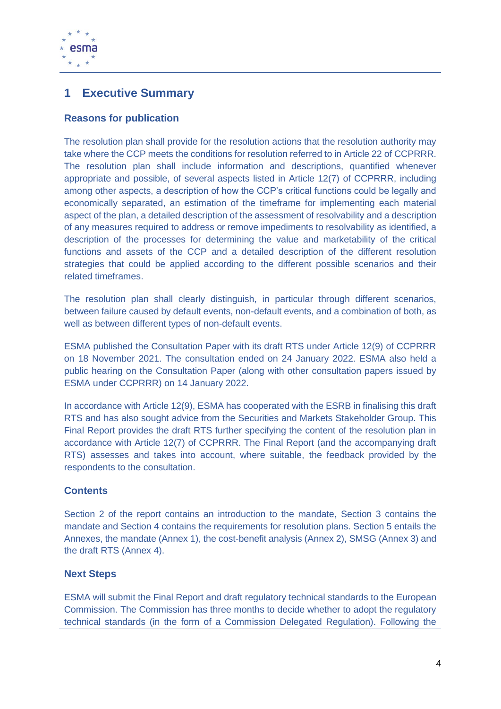

# <span id="page-4-0"></span>**1 Executive Summary**

# **Reasons for publication**

The resolution plan shall provide for the resolution actions that the resolution authority may take where the CCP meets the conditions for resolution referred to in Article 22 of CCPRRR. The resolution plan shall include information and descriptions, quantified whenever appropriate and possible, of several aspects listed in Article 12(7) of CCPRRR, including among other aspects, a description of how the CCP's critical functions could be legally and economically separated, an estimation of the timeframe for implementing each material aspect of the plan, a detailed description of the assessment of resolvability and a description of any measures required to address or remove impediments to resolvability as identified, a description of the processes for determining the value and marketability of the critical functions and assets of the CCP and a detailed description of the different resolution strategies that could be applied according to the different possible scenarios and their related timeframes.

The resolution plan shall clearly distinguish, in particular through different scenarios, between failure caused by default events, non-default events, and a combination of both, as well as between different types of non-default events.

ESMA published the Consultation Paper with its draft RTS under Article 12(9) of CCPRRR on 18 November 2021. The consultation ended on 24 January 2022. ESMA also held a public hearing on the Consultation Paper (along with other consultation papers issued by ESMA under CCPRRR) on 14 January 2022.

In accordance with Article 12(9), ESMA has cooperated with the ESRB in finalising this draft RTS and has also sought advice from the Securities and Markets Stakeholder Group. This Final Report provides the draft RTS further specifying the content of the resolution plan in accordance with Article 12(7) of CCPRRR. The Final Report (and the accompanying draft RTS) assesses and takes into account, where suitable, the feedback provided by the respondents to the consultation.

# **Contents**

Section 2 of the report contains an introduction to the mandate, Section 3 contains the mandate and Section 4 contains the requirements for resolution plans. Section 5 entails the Annexes, the mandate (Annex 1), the cost-benefit analysis (Annex 2), SMSG (Annex 3) and the draft RTS (Annex 4).

# **Next Steps**

ESMA will submit the Final Report and draft regulatory technical standards to the European Commission. The Commission has three months to decide whether to adopt the regulatory technical standards (in the form of a Commission Delegated Regulation). Following the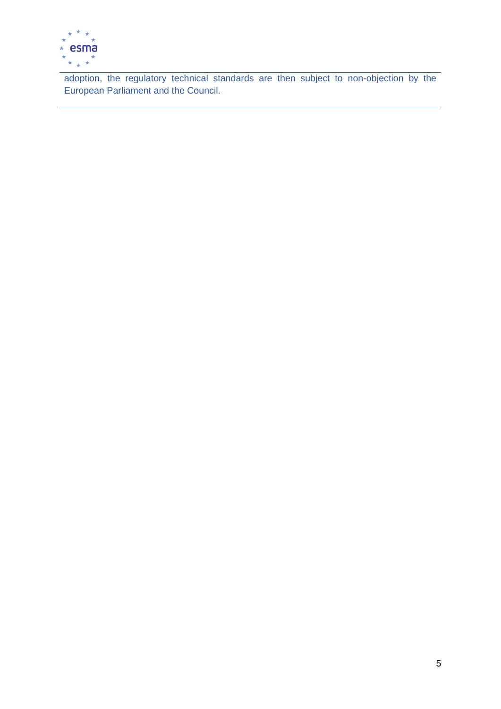

adoption, the regulatory technical standards are then subject to non-objection by the European Parliament and the Council.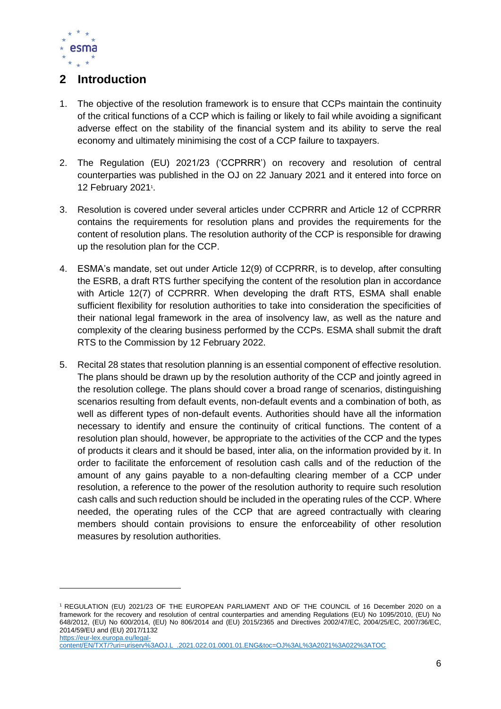

# <span id="page-6-0"></span>**2 Introduction**

- 1. The objective of the resolution framework is to ensure that CCPs maintain the continuity of the critical functions of a CCP which is failing or likely to fail while avoiding a significant adverse effect on the stability of the financial system and its ability to serve the real economy and ultimately minimising the cost of a CCP failure to taxpayers.
- 2. The Regulation (EU) 2021/23 ('CCPRRR') on recovery and resolution of central counterparties was published in the OJ on 22 January 2021 and it entered into force on 12 February 2021<sup>1</sup>.
- 3. Resolution is covered under several articles under CCPRRR and Article 12 of CCPRRR contains the requirements for resolution plans and provides the requirements for the content of resolution plans. The resolution authority of the CCP is responsible for drawing up the resolution plan for the CCP.
- 4. ESMA's mandate, set out under Article 12(9) of CCPRRR, is to develop, after consulting the ESRB, a draft RTS further specifying the content of the resolution plan in accordance with Article 12(7) of CCPRRR. When developing the draft RTS, ESMA shall enable sufficient flexibility for resolution authorities to take into consideration the specificities of their national legal framework in the area of insolvency law, as well as the nature and complexity of the clearing business performed by the CCPs. ESMA shall submit the draft RTS to the Commission by 12 February 2022.
- 5. Recital 28 states that resolution planning is an essential component of effective resolution. The plans should be drawn up by the resolution authority of the CCP and jointly agreed in the resolution college. The plans should cover a broad range of scenarios, distinguishing scenarios resulting from default events, non-default events and a combination of both, as well as different types of non-default events. Authorities should have all the information necessary to identify and ensure the continuity of critical functions. The content of a resolution plan should, however, be appropriate to the activities of the CCP and the types of products it clears and it should be based, inter alia, on the information provided by it. In order to facilitate the enforcement of resolution cash calls and of the reduction of the amount of any gains payable to a non-defaulting clearing member of a CCP under resolution, a reference to the power of the resolution authority to require such resolution cash calls and such reduction should be included in the operating rules of the CCP. Where needed, the operating rules of the CCP that are agreed contractually with clearing members should contain provisions to ensure the enforceability of other resolution measures by resolution authorities.

<sup>1</sup> REGULATION (EU) 2021/23 OF THE EUROPEAN PARLIAMENT AND OF THE COUNCIL of 16 December 2020 on a framework for the recovery and resolution of central counterparties and amending Regulations (EU) No 1095/2010, (EU) No 648/2012, (EU) No 600/2014, (EU) No 806/2014 and (EU) 2015/2365 and Directives 2002/47/EC, 2004/25/EC, 2007/36/EC, 2014/59/EU and (EU) 2017/1132 [https://eur-lex.europa.eu/legal-](https://eur-lex.europa.eu/legal-content/EN/TXT/?uri=uriserv%3AOJ.L_.2021.022.01.0001.01.ENG&toc=OJ%3AL%3A2021%3A022%3ATOC)

[content/EN/TXT/?uri=uriserv%3AOJ.L\\_.2021.022.01.0001.01.ENG&toc=OJ%3AL%3A2021%3A022%3ATOC](https://eur-lex.europa.eu/legal-content/EN/TXT/?uri=uriserv%3AOJ.L_.2021.022.01.0001.01.ENG&toc=OJ%3AL%3A2021%3A022%3ATOC)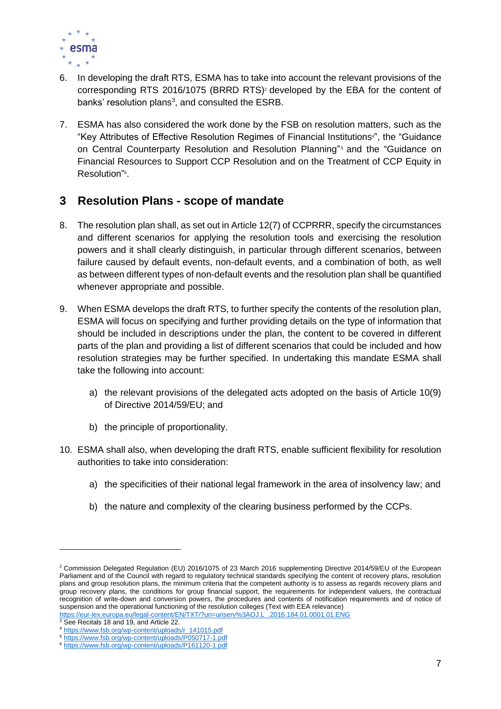

- 6. In developing the draft RTS, ESMA has to take into account the relevant provisions of the corresponding RTS 2016/1075 (BRRD RTS)<sup>2</sup> developed by the EBA for the content of banks' resolution plans<sup>3</sup>, and consulted the ESRB.
- 7. ESMA has also considered the work done by the FSB on resolution matters, such as the "Key Attributes of Effective Resolution Regimes of Financial Institutions<sup>a</sup>", the "Guidance on Central Counterparty Resolution and Resolution Planning" <sup>5</sup> and the "Guidance on Financial Resources to Support CCP Resolution and on the Treatment of CCP Equity in Resolution"<sup>6</sup>.

# <span id="page-7-0"></span>**3 Resolution Plans - scope of mandate**

- 8. The resolution plan shall, as set out in Article 12(7) of CCPRRR, specify the circumstances and different scenarios for applying the resolution tools and exercising the resolution powers and it shall clearly distinguish, in particular through different scenarios, between failure caused by default events, non-default events, and a combination of both, as well as between different types of non-default events and the resolution plan shall be quantified whenever appropriate and possible.
- 9. When ESMA develops the draft RTS, to further specify the contents of the resolution plan, ESMA will focus on specifying and further providing details on the type of information that should be included in descriptions under the plan, the content to be covered in different parts of the plan and providing a list of different scenarios that could be included and how resolution strategies may be further specified. In undertaking this mandate ESMA shall take the following into account:
	- a) the relevant provisions of the delegated acts adopted on the basis of Article 10(9) of Directive 2014/59/EU; and
	- b) the principle of proportionality.
- 10. ESMA shall also, when developing the draft RTS, enable sufficient flexibility for resolution authorities to take into consideration:
	- a) the specificities of their national legal framework in the area of insolvency law; and
	- b) the nature and complexity of the clearing business performed by the CCPs.

<sup>2</sup> Commission Delegated Regulation (EU) 2016/1075 of 23 March 2016 supplementing Directive 2014/59/EU of the European Parliament and of the Council with regard to regulatory technical standards specifying the content of recovery plans, resolution plans and group resolution plans, the minimum criteria that the competent authority is to assess as regards recovery plans and group recovery plans, the conditions for group financial support, the requirements for independent valuers, the contractual recognition of write-down and conversion powers, the procedures and contents of notification requirements and of notice of suspension and the operational functioning of the resolution colleges (Text with EEA relevance)<br>https://eur-lex.europa.eu/legal-content/EN/TXT/?uri=uriserv%3AOJ.L\_.2016.184.01.0001.01.ENG https://eur-lex.europa.eu/legal-content/EN/TXT/?uri=uriserv%3AOJ.L

<sup>&</sup>lt;sup>3</sup> See Recitals 18 and 19, and Article 22.

<sup>4</sup> [https://www.fsb.org/wp-content/uploads/r\\_141015.pdf](https://www.fsb.org/wp-content/uploads/r_141015.pdf)

<sup>5</sup> <https://www.fsb.org/wp-content/uploads/P050717-1.pdf>

<sup>6</sup> <https://www.fsb.org/wp-content/uploads/P161120-1.pdf>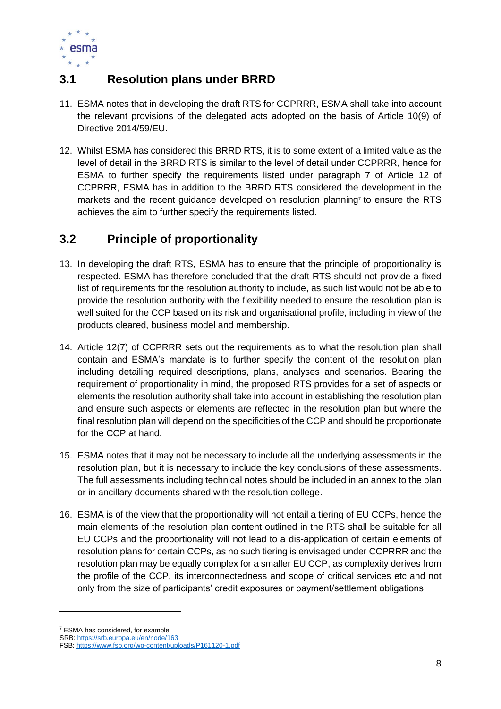

# <span id="page-8-0"></span>**3.1 Resolution plans under BRRD**

- 11. ESMA notes that in developing the draft RTS for CCPRRR, ESMA shall take into account the relevant provisions of the delegated acts adopted on the basis of Article 10(9) of Directive 2014/59/EU.
- 12. Whilst ESMA has considered this BRRD RTS, it is to some extent of a limited value as the level of detail in the BRRD RTS is similar to the level of detail under CCPRRR, hence for ESMA to further specify the requirements listed under paragraph 7 of Article 12 of CCPRRR, ESMA has in addition to the BRRD RTS considered the development in the markets and the recent guidance developed on resolution planning<sup> $7$ </sup> to ensure the RTS achieves the aim to further specify the requirements listed.

# <span id="page-8-1"></span>**3.2 Principle of proportionality**

- 13. In developing the draft RTS, ESMA has to ensure that the principle of proportionality is respected. ESMA has therefore concluded that the draft RTS should not provide a fixed list of requirements for the resolution authority to include, as such list would not be able to provide the resolution authority with the flexibility needed to ensure the resolution plan is well suited for the CCP based on its risk and organisational profile, including in view of the products cleared, business model and membership.
- 14. Article 12(7) of CCPRRR sets out the requirements as to what the resolution plan shall contain and ESMA's mandate is to further specify the content of the resolution plan including detailing required descriptions, plans, analyses and scenarios. Bearing the requirement of proportionality in mind, the proposed RTS provides for a set of aspects or elements the resolution authority shall take into account in establishing the resolution plan and ensure such aspects or elements are reflected in the resolution plan but where the final resolution plan will depend on the specificities of the CCP and should be proportionate for the CCP at hand.
- 15. ESMA notes that it may not be necessary to include all the underlying assessments in the resolution plan, but it is necessary to include the key conclusions of these assessments. The full assessments including technical notes should be included in an annex to the plan or in ancillary documents shared with the resolution college.
- 16. ESMA is of the view that the proportionality will not entail a tiering of EU CCPs, hence the main elements of the resolution plan content outlined in the RTS shall be suitable for all EU CCPs and the proportionality will not lead to a dis-application of certain elements of resolution plans for certain CCPs, as no such tiering is envisaged under CCPRRR and the resolution plan may be equally complex for a smaller EU CCP, as complexity derives from the profile of the CCP, its interconnectedness and scope of critical services etc and not only from the size of participants' credit exposures or payment/settlement obligations.

<sup>7</sup> ESMA has considered, for example,

SRB[: https://srb.europa.eu/en/node/163](https://srb.europa.eu/en/node/163)

FSB:<https://www.fsb.org/wp-content/uploads/P161120-1.pdf>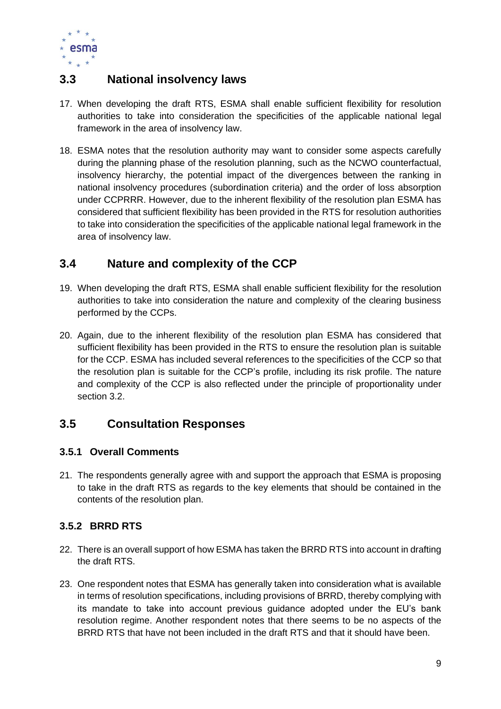

# <span id="page-9-0"></span>**3.3 National insolvency laws**

- 17. When developing the draft RTS, ESMA shall enable sufficient flexibility for resolution authorities to take into consideration the specificities of the applicable national legal framework in the area of insolvency law.
- 18. ESMA notes that the resolution authority may want to consider some aspects carefully during the planning phase of the resolution planning, such as the NCWO counterfactual, insolvency hierarchy, the potential impact of the divergences between the ranking in national insolvency procedures (subordination criteria) and the order of loss absorption under CCPRRR. However, due to the inherent flexibility of the resolution plan ESMA has considered that sufficient flexibility has been provided in the RTS for resolution authorities to take into consideration the specificities of the applicable national legal framework in the area of insolvency law.

# <span id="page-9-1"></span>**3.4 Nature and complexity of the CCP**

- 19. When developing the draft RTS, ESMA shall enable sufficient flexibility for the resolution authorities to take into consideration the nature and complexity of the clearing business performed by the CCPs.
- 20. Again, due to the inherent flexibility of the resolution plan ESMA has considered that sufficient flexibility has been provided in the RTS to ensure the resolution plan is suitable for the CCP. ESMA has included several references to the specificities of the CCP so that the resolution plan is suitable for the CCP's profile, including its risk profile. The nature and complexity of the CCP is also reflected under the principle of proportionality under section 3.2.

# <span id="page-9-2"></span>**3.5 Consultation Responses**

# <span id="page-9-3"></span>**3.5.1 Overall Comments**

21. The respondents generally agree with and support the approach that ESMA is proposing to take in the draft RTS as regards to the key elements that should be contained in the contents of the resolution plan.

# <span id="page-9-4"></span>**3.5.2 BRRD RTS**

- 22. There is an overall support of how ESMA has taken the BRRD RTS into account in drafting the draft RTS.
- 23. One respondent notes that ESMA has generally taken into consideration what is available in terms of resolution specifications, including provisions of BRRD, thereby complying with its mandate to take into account previous guidance adopted under the EU's bank resolution regime. Another respondent notes that there seems to be no aspects of the BRRD RTS that have not been included in the draft RTS and that it should have been.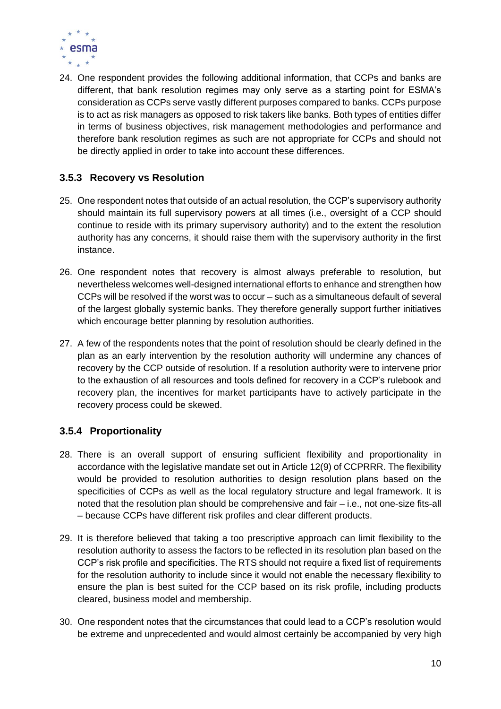

24. One respondent provides the following additional information, that CCPs and banks are different, that bank resolution regimes may only serve as a starting point for ESMA's consideration as CCPs serve vastly different purposes compared to banks. CCPs purpose is to act as risk managers as opposed to risk takers like banks. Both types of entities differ in terms of business objectives, risk management methodologies and performance and therefore bank resolution regimes as such are not appropriate for CCPs and should not be directly applied in order to take into account these differences.

# <span id="page-10-0"></span>**3.5.3 Recovery vs Resolution**

- 25. One respondent notes that outside of an actual resolution, the CCP's supervisory authority should maintain its full supervisory powers at all times (i.e., oversight of a CCP should continue to reside with its primary supervisory authority) and to the extent the resolution authority has any concerns, it should raise them with the supervisory authority in the first instance.
- 26. One respondent notes that recovery is almost always preferable to resolution, but nevertheless welcomes well-designed international efforts to enhance and strengthen how CCPs will be resolved if the worst was to occur – such as a simultaneous default of several of the largest globally systemic banks. They therefore generally support further initiatives which encourage better planning by resolution authorities.
- 27. A few of the respondents notes that the point of resolution should be clearly defined in the plan as an early intervention by the resolution authority will undermine any chances of recovery by the CCP outside of resolution. If a resolution authority were to intervene prior to the exhaustion of all resources and tools defined for recovery in a CCP's rulebook and recovery plan, the incentives for market participants have to actively participate in the recovery process could be skewed.

# <span id="page-10-1"></span>**3.5.4 Proportionality**

- 28. There is an overall support of ensuring sufficient flexibility and proportionality in accordance with the legislative mandate set out in Article 12(9) of CCPRRR. The flexibility would be provided to resolution authorities to design resolution plans based on the specificities of CCPs as well as the local regulatory structure and legal framework. It is noted that the resolution plan should be comprehensive and fair – i.e., not one-size fits-all – because CCPs have different risk profiles and clear different products.
- 29. It is therefore believed that taking a too prescriptive approach can limit flexibility to the resolution authority to assess the factors to be reflected in its resolution plan based on the CCP's risk profile and specificities. The RTS should not require a fixed list of requirements for the resolution authority to include since it would not enable the necessary flexibility to ensure the plan is best suited for the CCP based on its risk profile, including products cleared, business model and membership.
- 30. One respondent notes that the circumstances that could lead to a CCP's resolution would be extreme and unprecedented and would almost certainly be accompanied by very high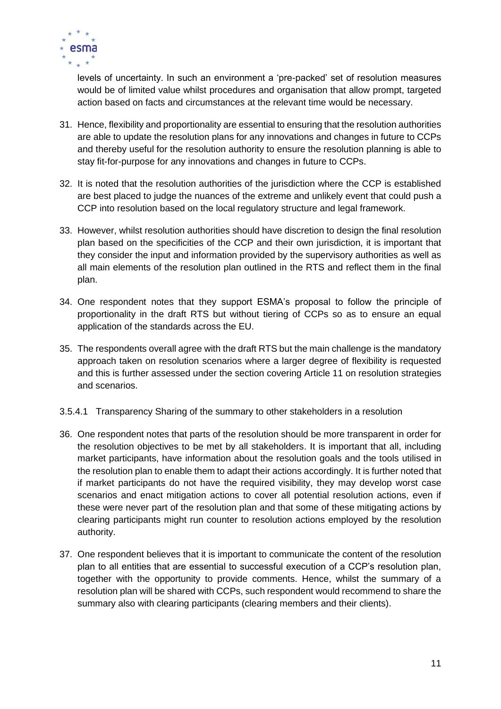

levels of uncertainty. In such an environment a 'pre-packed' set of resolution measures would be of limited value whilst procedures and organisation that allow prompt, targeted action based on facts and circumstances at the relevant time would be necessary.

- 31. Hence, flexibility and proportionality are essential to ensuring that the resolution authorities are able to update the resolution plans for any innovations and changes in future to CCPs and thereby useful for the resolution authority to ensure the resolution planning is able to stay fit-for-purpose for any innovations and changes in future to CCPs.
- 32. It is noted that the resolution authorities of the jurisdiction where the CCP is established are best placed to judge the nuances of the extreme and unlikely event that could push a CCP into resolution based on the local regulatory structure and legal framework.
- 33. However, whilst resolution authorities should have discretion to design the final resolution plan based on the specificities of the CCP and their own jurisdiction, it is important that they consider the input and information provided by the supervisory authorities as well as all main elements of the resolution plan outlined in the RTS and reflect them in the final plan.
- 34. One respondent notes that they support ESMA's proposal to follow the principle of proportionality in the draft RTS but without tiering of CCPs so as to ensure an equal application of the standards across the EU.
- 35. The respondents overall agree with the draft RTS but the main challenge is the mandatory approach taken on resolution scenarios where a larger degree of flexibility is requested and this is further assessed under the section covering Article 11 on resolution strategies and scenarios.
- 3.5.4.1 Transparency Sharing of the summary to other stakeholders in a resolution
- 36. One respondent notes that parts of the resolution should be more transparent in order for the resolution objectives to be met by all stakeholders. It is important that all, including market participants, have information about the resolution goals and the tools utilised in the resolution plan to enable them to adapt their actions accordingly. It is further noted that if market participants do not have the required visibility, they may develop worst case scenarios and enact mitigation actions to cover all potential resolution actions, even if these were never part of the resolution plan and that some of these mitigating actions by clearing participants might run counter to resolution actions employed by the resolution authority.
- 37. One respondent believes that it is important to communicate the content of the resolution plan to all entities that are essential to successful execution of a CCP's resolution plan, together with the opportunity to provide comments. Hence, whilst the summary of a resolution plan will be shared with CCPs, such respondent would recommend to share the summary also with clearing participants (clearing members and their clients).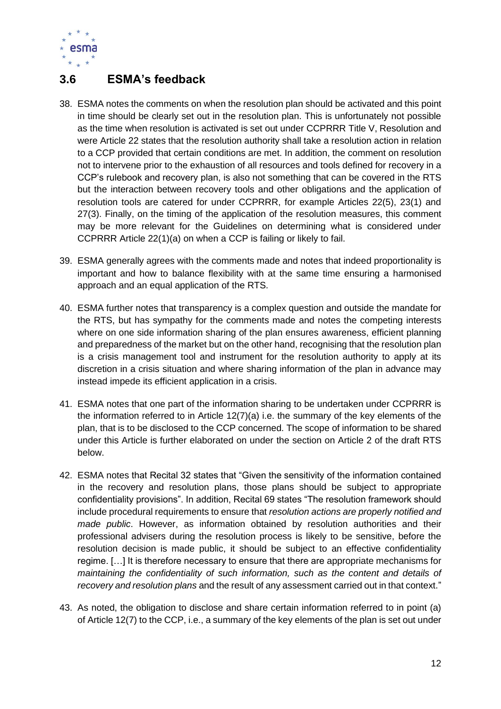

# <span id="page-12-0"></span>**3.6 ESMA's feedback**

- 38. ESMA notes the comments on when the resolution plan should be activated and this point in time should be clearly set out in the resolution plan. This is unfortunately not possible as the time when resolution is activated is set out under CCPRRR Title V, Resolution and were Article 22 states that the resolution authority shall take a resolution action in relation to a CCP provided that certain conditions are met. In addition, the comment on resolution not to intervene prior to the exhaustion of all resources and tools defined for recovery in a CCP's rulebook and recovery plan, is also not something that can be covered in the RTS but the interaction between recovery tools and other obligations and the application of resolution tools are catered for under CCPRRR, for example Articles 22(5), 23(1) and 27(3). Finally, on the timing of the application of the resolution measures, this comment may be more relevant for the Guidelines on determining what is considered under CCPRRR Article 22(1)(a) on when a CCP is failing or likely to fail.
- 39. ESMA generally agrees with the comments made and notes that indeed proportionality is important and how to balance flexibility with at the same time ensuring a harmonised approach and an equal application of the RTS.
- 40. ESMA further notes that transparency is a complex question and outside the mandate for the RTS, but has sympathy for the comments made and notes the competing interests where on one side information sharing of the plan ensures awareness, efficient planning and preparedness of the market but on the other hand, recognising that the resolution plan is a crisis management tool and instrument for the resolution authority to apply at its discretion in a crisis situation and where sharing information of the plan in advance may instead impede its efficient application in a crisis.
- 41. ESMA notes that one part of the information sharing to be undertaken under CCPRRR is the information referred to in Article  $12(7)(a)$  i.e. the summary of the key elements of the plan, that is to be disclosed to the CCP concerned. The scope of information to be shared under this Article is further elaborated on under the section on Article 2 of the draft RTS below.
- 42. ESMA notes that Recital 32 states that "Given the sensitivity of the information contained in the recovery and resolution plans, those plans should be subject to appropriate confidentiality provisions". In addition, Recital 69 states "The resolution framework should include procedural requirements to ensure that *resolution actions are properly notified and made public*. However, as information obtained by resolution authorities and their professional advisers during the resolution process is likely to be sensitive, before the resolution decision is made public, it should be subject to an effective confidentiality regime. […] It is therefore necessary to ensure that there are appropriate mechanisms for *maintaining the confidentiality of such information, such as the content and details of recovery and resolution plans* and the result of any assessment carried out in that context."
- 43. As noted, the obligation to disclose and share certain information referred to in point (a) of Article 12(7) to the CCP, i.e., a summary of the key elements of the plan is set out under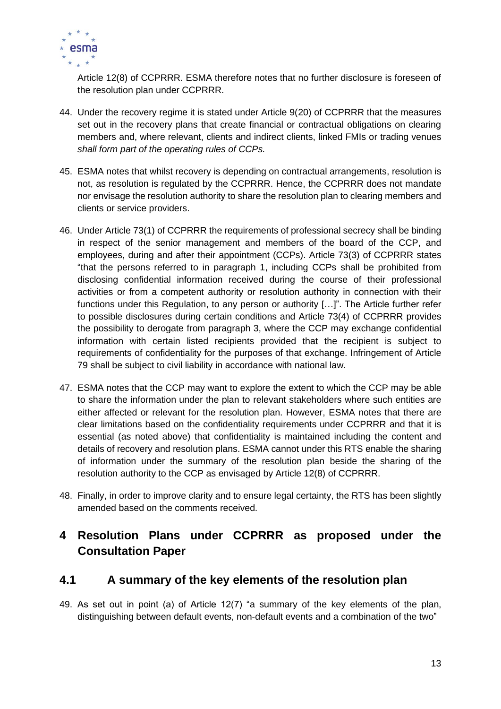

Article 12(8) of CCPRRR. ESMA therefore notes that no further disclosure is foreseen of the resolution plan under CCPRRR.

- 44. Under the recovery regime it is stated under Article 9(20) of CCPRRR that the measures set out in the recovery plans that create financial or contractual obligations on clearing members and, where relevant, clients and indirect clients, linked FMIs or trading venues *shall form part of the operating rules of CCPs.*
- 45. ESMA notes that whilst recovery is depending on contractual arrangements, resolution is not, as resolution is regulated by the CCPRRR. Hence, the CCPRRR does not mandate nor envisage the resolution authority to share the resolution plan to clearing members and clients or service providers.
- 46. Under Article 73(1) of CCPRRR the requirements of professional secrecy shall be binding in respect of the senior management and members of the board of the CCP, and employees, during and after their appointment (CCPs). Article 73(3) of CCPRRR states "that the persons referred to in paragraph 1, including CCPs shall be prohibited from disclosing confidential information received during the course of their professional activities or from a competent authority or resolution authority in connection with their functions under this Regulation, to any person or authority […]". The Article further refer to possible disclosures during certain conditions and Article 73(4) of CCPRRR provides the possibility to derogate from paragraph 3, where the CCP may exchange confidential information with certain listed recipients provided that the recipient is subject to requirements of confidentiality for the purposes of that exchange. Infringement of Article 79 shall be subject to civil liability in accordance with national law.
- 47. ESMA notes that the CCP may want to explore the extent to which the CCP may be able to share the information under the plan to relevant stakeholders where such entities are either affected or relevant for the resolution plan. However, ESMA notes that there are clear limitations based on the confidentiality requirements under CCPRRR and that it is essential (as noted above) that confidentiality is maintained including the content and details of recovery and resolution plans. ESMA cannot under this RTS enable the sharing of information under the summary of the resolution plan beside the sharing of the resolution authority to the CCP as envisaged by Article 12(8) of CCPRRR.
- 48. Finally, in order to improve clarity and to ensure legal certainty, the RTS has been slightly amended based on the comments received.

# <span id="page-13-0"></span>**4 Resolution Plans under CCPRRR as proposed under the Consultation Paper**

# <span id="page-13-1"></span>**4.1 A summary of the key elements of the resolution plan**

49. As set out in point (a) of Article 12(7) "a summary of the key elements of the plan, distinguishing between default events, non-default events and a combination of the two"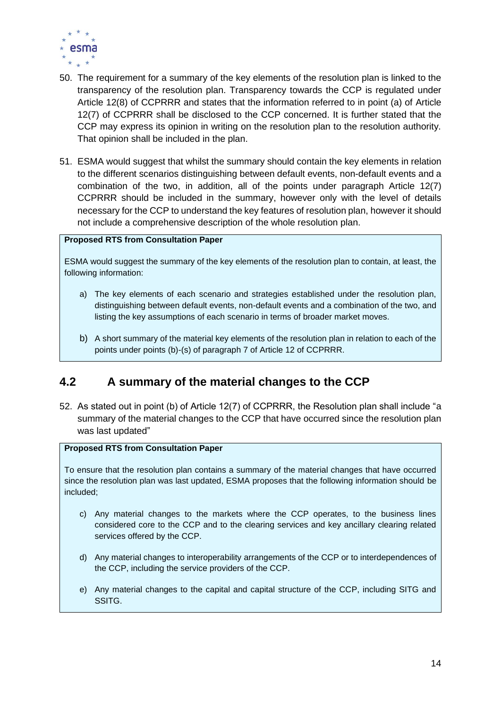

- 50. The requirement for a summary of the key elements of the resolution plan is linked to the transparency of the resolution plan. Transparency towards the CCP is regulated under Article 12(8) of CCPRRR and states that the information referred to in point (a) of Article 12(7) of CCPRRR shall be disclosed to the CCP concerned. It is further stated that the CCP may express its opinion in writing on the resolution plan to the resolution authority. That opinion shall be included in the plan.
- 51. ESMA would suggest that whilst the summary should contain the key elements in relation to the different scenarios distinguishing between default events, non-default events and a combination of the two, in addition, all of the points under paragraph Article 12(7) CCPRRR should be included in the summary, however only with the level of details necessary for the CCP to understand the key features of resolution plan, however it should not include a comprehensive description of the whole resolution plan.

### **Proposed RTS from Consultation Paper**

ESMA would suggest the summary of the key elements of the resolution plan to contain, at least, the following information:

- a) The key elements of each scenario and strategies established under the resolution plan, distinguishing between default events, non-default events and a combination of the two, and listing the key assumptions of each scenario in terms of broader market moves.
- b) A short summary of the material key elements of the resolution plan in relation to each of the points under points (b)-(s) of paragraph 7 of Article 12 of CCPRRR.

# <span id="page-14-0"></span>**4.2 A summary of the material changes to the CCP**

52. As stated out in point (b) of Article 12(7) of CCPRRR, the Resolution plan shall include "a summary of the material changes to the CCP that have occurred since the resolution plan was last updated"

### **Proposed RTS from Consultation Paper**

To ensure that the resolution plan contains a summary of the material changes that have occurred since the resolution plan was last updated, ESMA proposes that the following information should be included;

- c) Any material changes to the markets where the CCP operates, to the business lines considered core to the CCP and to the clearing services and key ancillary clearing related services offered by the CCP.
- d) Any material changes to interoperability arrangements of the CCP or to interdependences of the CCP, including the service providers of the CCP.
- e) Any material changes to the capital and capital structure of the CCP, including SITG and SSITG.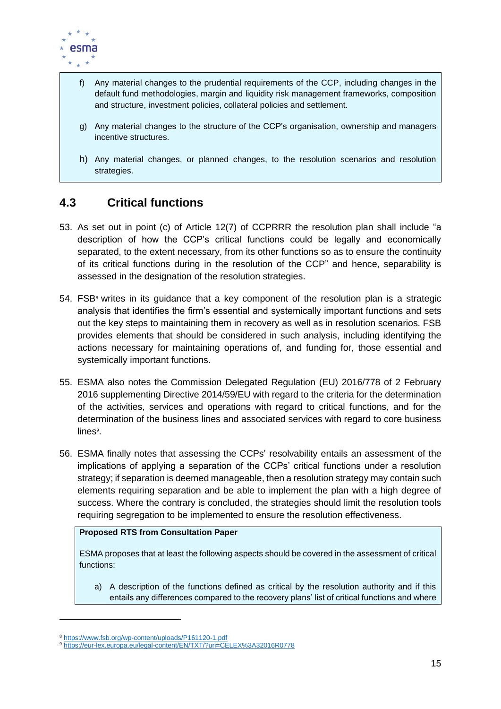

- f) Any material changes to the prudential requirements of the CCP, including changes in the default fund methodologies, margin and liquidity risk management frameworks, composition and structure, investment policies, collateral policies and settlement.
- g) Any material changes to the structure of the CCP's organisation, ownership and managers incentive structures.
- h) Any material changes, or planned changes, to the resolution scenarios and resolution strategies.

# <span id="page-15-0"></span>**4.3 Critical functions**

- 53. As set out in point (c) of Article 12(7) of CCPRRR the resolution plan shall include "a description of how the CCP's critical functions could be legally and economically separated, to the extent necessary, from its other functions so as to ensure the continuity of its critical functions during in the resolution of the CCP" and hence, separability is assessed in the designation of the resolution strategies.
- $54.$  FSB<sup>®</sup> writes in its guidance that a key component of the resolution plan is a strategic analysis that identifies the firm's essential and systemically important functions and sets out the key steps to maintaining them in recovery as well as in resolution scenarios. FSB provides elements that should be considered in such analysis, including identifying the actions necessary for maintaining operations of, and funding for, those essential and systemically important functions.
- 55. ESMA also notes the Commission Delegated Regulation (EU) 2016/778 of 2 February 2016 supplementing Directive 2014/59/EU with regard to the criteria for the determination of the activities, services and operations with regard to critical functions, and for the determination of the business lines and associated services with regard to core business lines<sup>9</sup>.
- 56. ESMA finally notes that assessing the CCPs' resolvability entails an assessment of the implications of applying a separation of the CCPs' critical functions under a resolution strategy; if separation is deemed manageable, then a resolution strategy may contain such elements requiring separation and be able to implement the plan with a high degree of success. Where the contrary is concluded, the strategies should limit the resolution tools requiring segregation to be implemented to ensure the resolution effectiveness.

### **Proposed RTS from Consultation Paper**

ESMA proposes that at least the following aspects should be covered in the assessment of critical functions:

a) A description of the functions defined as critical by the resolution authority and if this entails any differences compared to the recovery plans' list of critical functions and where

<sup>8</sup> <https://www.fsb.org/wp-content/uploads/P161120-1.pdf>

<sup>9</sup> <https://eur-lex.europa.eu/legal-content/EN/TXT/?uri=CELEX%3A32016R0778>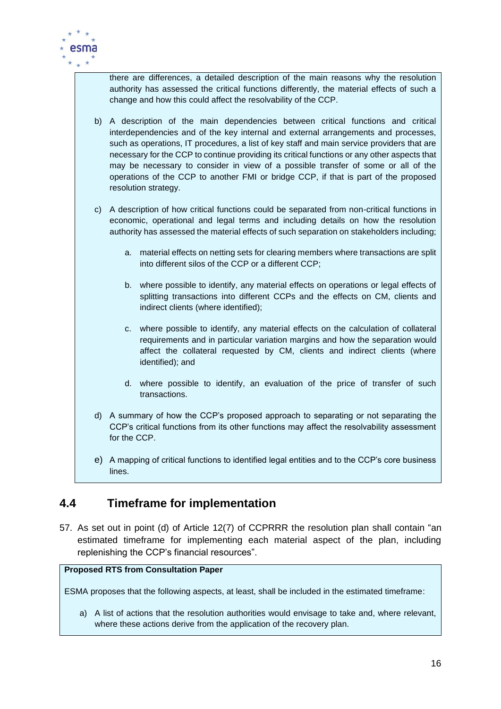

there are differences, a detailed description of the main reasons why the resolution authority has assessed the critical functions differently, the material effects of such a change and how this could affect the resolvability of the CCP.

- b) A description of the main dependencies between critical functions and critical interdependencies and of the key internal and external arrangements and processes, such as operations, IT procedures, a list of key staff and main service providers that are necessary for the CCP to continue providing its critical functions or any other aspects that may be necessary to consider in view of a possible transfer of some or all of the operations of the CCP to another FMI or bridge CCP, if that is part of the proposed resolution strategy.
- c) A description of how critical functions could be separated from non-critical functions in economic, operational and legal terms and including details on how the resolution authority has assessed the material effects of such separation on stakeholders including;
	- a. material effects on netting sets for clearing members where transactions are split into different silos of the CCP or a different CCP;
	- b. where possible to identify, any material effects on operations or legal effects of splitting transactions into different CCPs and the effects on CM, clients and indirect clients (where identified);
	- c. where possible to identify, any material effects on the calculation of collateral requirements and in particular variation margins and how the separation would affect the collateral requested by CM, clients and indirect clients (where identified); and
	- d. where possible to identify, an evaluation of the price of transfer of such transactions.
- d) A summary of how the CCP's proposed approach to separating or not separating the CCP's critical functions from its other functions may affect the resolvability assessment for the CCP.
- e) A mapping of critical functions to identified legal entities and to the CCP's core business lines.

# <span id="page-16-0"></span>**4.4 Timeframe for implementation**

57. As set out in point (d) of Article 12(7) of CCPRRR the resolution plan shall contain "an estimated timeframe for implementing each material aspect of the plan, including replenishing the CCP's financial resources".

### **Proposed RTS from Consultation Paper**

ESMA proposes that the following aspects, at least, shall be included in the estimated timeframe:

a) A list of actions that the resolution authorities would envisage to take and, where relevant, where these actions derive from the application of the recovery plan.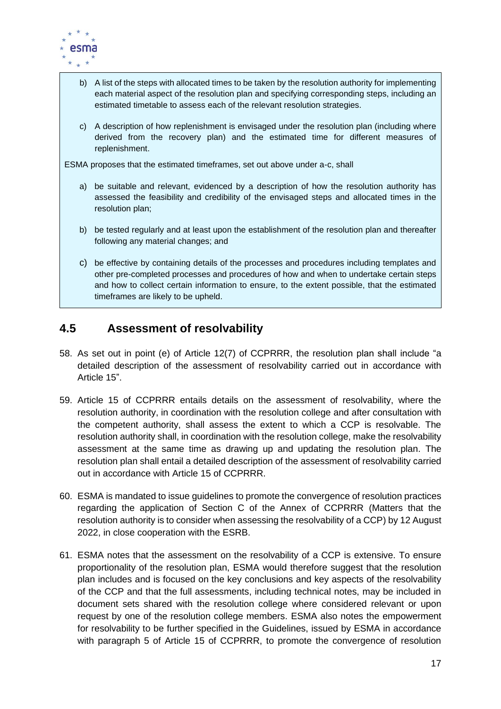

- b) A list of the steps with allocated times to be taken by the resolution authority for implementing each material aspect of the resolution plan and specifying corresponding steps, including an estimated timetable to assess each of the relevant resolution strategies.
- c) A description of how replenishment is envisaged under the resolution plan (including where derived from the recovery plan) and the estimated time for different measures of replenishment.

ESMA proposes that the estimated timeframes, set out above under a-c, shall

- a) be suitable and relevant, evidenced by a description of how the resolution authority has assessed the feasibility and credibility of the envisaged steps and allocated times in the resolution plan;
- b) be tested regularly and at least upon the establishment of the resolution plan and thereafter following any material changes; and
- c) be effective by containing details of the processes and procedures including templates and other pre-completed processes and procedures of how and when to undertake certain steps and how to collect certain information to ensure, to the extent possible, that the estimated timeframes are likely to be upheld.

# <span id="page-17-0"></span>**4.5 Assessment of resolvability**

- 58. As set out in point (e) of Article 12(7) of CCPRRR, the resolution plan shall include "a detailed description of the assessment of resolvability carried out in accordance with Article 15".
- 59. Article 15 of CCPRRR entails details on the assessment of resolvability, where the resolution authority, in coordination with the resolution college and after consultation with the competent authority, shall assess the extent to which a CCP is resolvable. The resolution authority shall, in coordination with the resolution college, make the resolvability assessment at the same time as drawing up and updating the resolution plan. The resolution plan shall entail a detailed description of the assessment of resolvability carried out in accordance with Article 15 of CCPRRR.
- 60. ESMA is mandated to issue guidelines to promote the convergence of resolution practices regarding the application of Section C of the Annex of CCPRRR (Matters that the resolution authority is to consider when assessing the resolvability of a CCP) by 12 August 2022, in close cooperation with the ESRB.
- 61. ESMA notes that the assessment on the resolvability of a CCP is extensive. To ensure proportionality of the resolution plan, ESMA would therefore suggest that the resolution plan includes and is focused on the key conclusions and key aspects of the resolvability of the CCP and that the full assessments, including technical notes, may be included in document sets shared with the resolution college where considered relevant or upon request by one of the resolution college members. ESMA also notes the empowerment for resolvability to be further specified in the Guidelines, issued by ESMA in accordance with paragraph 5 of Article 15 of CCPRRR, to promote the convergence of resolution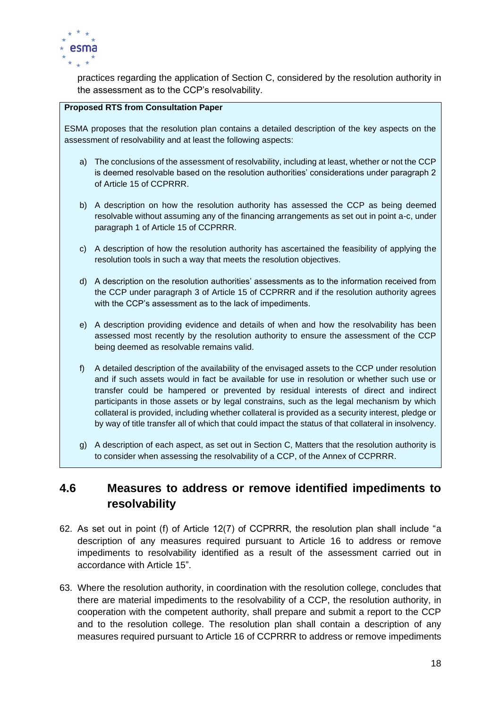

practices regarding the application of Section C, considered by the resolution authority in the assessment as to the CCP's resolvability.

### **Proposed RTS from Consultation Paper**

ESMA proposes that the resolution plan contains a detailed description of the key aspects on the assessment of resolvability and at least the following aspects:

- a) The conclusions of the assessment of resolvability, including at least, whether or not the CCP is deemed resolvable based on the resolution authorities' considerations under paragraph 2 of Article 15 of CCPRRR.
- b) A description on how the resolution authority has assessed the CCP as being deemed resolvable without assuming any of the financing arrangements as set out in point a-c, under paragraph 1 of Article 15 of CCPRRR.
- c) A description of how the resolution authority has ascertained the feasibility of applying the resolution tools in such a way that meets the resolution objectives.
- d) A description on the resolution authorities' assessments as to the information received from the CCP under paragraph 3 of Article 15 of CCPRRR and if the resolution authority agrees with the CCP's assessment as to the lack of impediments.
- e) A description providing evidence and details of when and how the resolvability has been assessed most recently by the resolution authority to ensure the assessment of the CCP being deemed as resolvable remains valid.
- f) A detailed description of the availability of the envisaged assets to the CCP under resolution and if such assets would in fact be available for use in resolution or whether such use or transfer could be hampered or prevented by residual interests of direct and indirect participants in those assets or by legal constrains, such as the legal mechanism by which collateral is provided, including whether collateral is provided as a security interest, pledge or by way of title transfer all of which that could impact the status of that collateral in insolvency.
- g) A description of each aspect, as set out in Section C, Matters that the resolution authority is to consider when assessing the resolvability of a CCP, of the Annex of CCPRRR.

# <span id="page-18-0"></span>**4.6 Measures to address or remove identified impediments to resolvability**

- 62. As set out in point (f) of Article 12(7) of CCPRRR, the resolution plan shall include "a description of any measures required pursuant to Article 16 to address or remove impediments to resolvability identified as a result of the assessment carried out in accordance with Article 15".
- 63. Where the resolution authority, in coordination with the resolution college, concludes that there are material impediments to the resolvability of a CCP, the resolution authority, in cooperation with the competent authority, shall prepare and submit a report to the CCP and to the resolution college. The resolution plan shall contain a description of any measures required pursuant to Article 16 of CCPRRR to address or remove impediments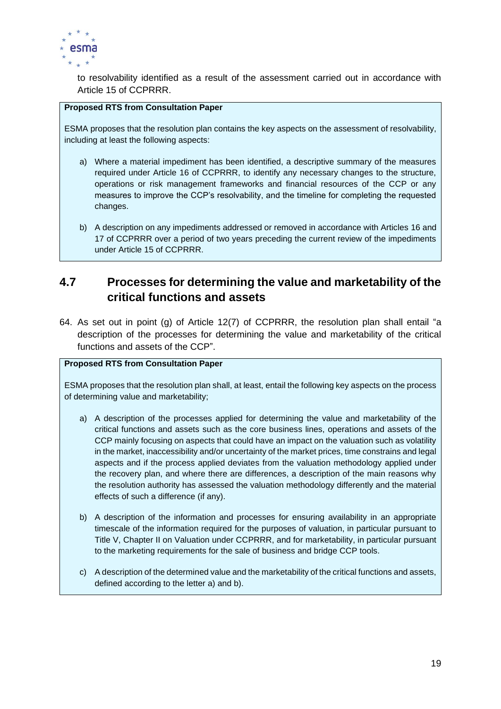

to resolvability identified as a result of the assessment carried out in accordance with Article 15 of CCPRRR.

### **Proposed RTS from Consultation Paper**

ESMA proposes that the resolution plan contains the key aspects on the assessment of resolvability, including at least the following aspects:

- a) Where a material impediment has been identified, a descriptive summary of the measures required under Article 16 of CCPRRR, to identify any necessary changes to the structure, operations or risk management frameworks and financial resources of the CCP or any measures to improve the CCP's resolvability, and the timeline for completing the requested changes.
- b) A description on any impediments addressed or removed in accordance with Articles 16 and 17 of CCPRRR over a period of two years preceding the current review of the impediments under Article 15 of CCPRRR.

# <span id="page-19-0"></span>**4.7 Processes for determining the value and marketability of the critical functions and assets**

64. As set out in point (g) of Article 12(7) of CCPRRR, the resolution plan shall entail "a description of the processes for determining the value and marketability of the critical functions and assets of the CCP".

### **Proposed RTS from Consultation Paper**

ESMA proposes that the resolution plan shall, at least, entail the following key aspects on the process of determining value and marketability;

- a) A description of the processes applied for determining the value and marketability of the critical functions and assets such as the core business lines, operations and assets of the CCP mainly focusing on aspects that could have an impact on the valuation such as volatility in the market, inaccessibility and/or uncertainty of the market prices, time constrains and legal aspects and if the process applied deviates from the valuation methodology applied under the recovery plan, and where there are differences, a description of the main reasons why the resolution authority has assessed the valuation methodology differently and the material effects of such a difference (if any).
- b) A description of the information and processes for ensuring availability in an appropriate timescale of the information required for the purposes of valuation, in particular pursuant to Title V, Chapter II on Valuation under CCPRRR, and for marketability, in particular pursuant to the marketing requirements for the sale of business and bridge CCP tools.
- c) A description of the determined value and the marketability of the critical functions and assets, defined according to the letter a) and b).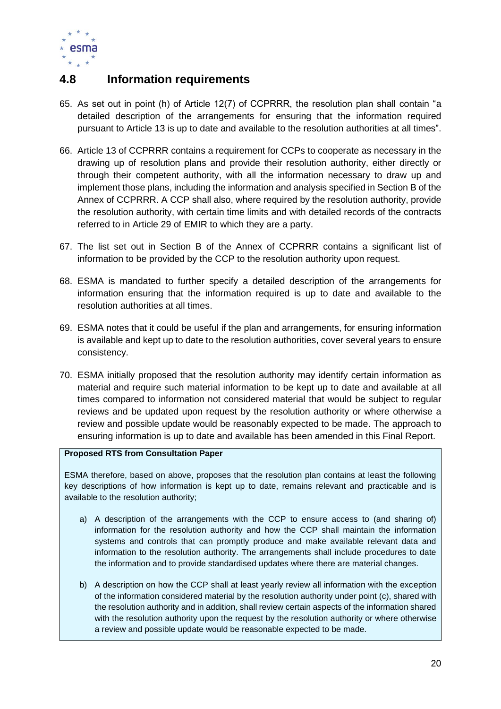

# <span id="page-20-0"></span>**4.8 Information requirements**

- 65. As set out in point (h) of Article 12(7) of CCPRRR, the resolution plan shall contain "a detailed description of the arrangements for ensuring that the information required pursuant to Article 13 is up to date and available to the resolution authorities at all times".
- 66. Article 13 of CCPRRR contains a requirement for CCPs to cooperate as necessary in the drawing up of resolution plans and provide their resolution authority, either directly or through their competent authority, with all the information necessary to draw up and implement those plans, including the information and analysis specified in Section B of the Annex of CCPRRR. A CCP shall also, where required by the resolution authority, provide the resolution authority, with certain time limits and with detailed records of the contracts referred to in Article 29 of EMIR to which they are a party.
- 67. The list set out in Section B of the Annex of CCPRRR contains a significant list of information to be provided by the CCP to the resolution authority upon request.
- 68. ESMA is mandated to further specify a detailed description of the arrangements for information ensuring that the information required is up to date and available to the resolution authorities at all times.
- 69. ESMA notes that it could be useful if the plan and arrangements, for ensuring information is available and kept up to date to the resolution authorities, cover several years to ensure consistency.
- 70. ESMA initially proposed that the resolution authority may identify certain information as material and require such material information to be kept up to date and available at all times compared to information not considered material that would be subject to regular reviews and be updated upon request by the resolution authority or where otherwise a review and possible update would be reasonably expected to be made. The approach to ensuring information is up to date and available has been amended in this Final Report.

### **Proposed RTS from Consultation Paper**

ESMA therefore, based on above, proposes that the resolution plan contains at least the following key descriptions of how information is kept up to date, remains relevant and practicable and is available to the resolution authority;

- a) A description of the arrangements with the CCP to ensure access to (and sharing of) information for the resolution authority and how the CCP shall maintain the information systems and controls that can promptly produce and make available relevant data and information to the resolution authority. The arrangements shall include procedures to date the information and to provide standardised updates where there are material changes.
- b) A description on how the CCP shall at least yearly review all information with the exception of the information considered material by the resolution authority under point (c), shared with the resolution authority and in addition, shall review certain aspects of the information shared with the resolution authority upon the request by the resolution authority or where otherwise a review and possible update would be reasonable expected to be made.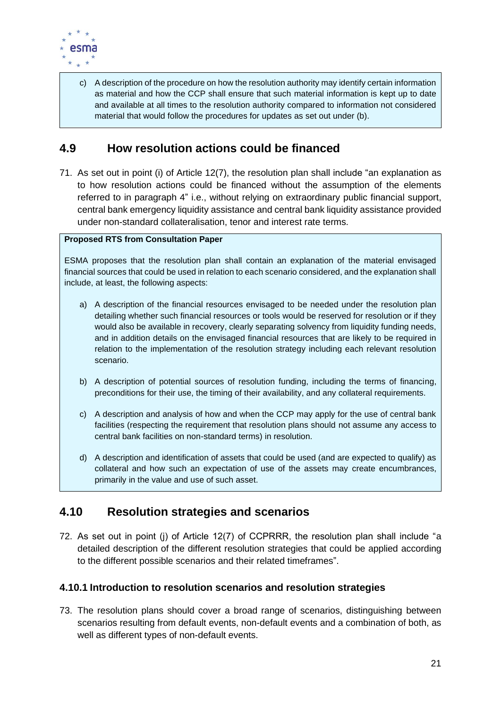

c) A description of the procedure on how the resolution authority may identify certain information as material and how the CCP shall ensure that such material information is kept up to date and available at all times to the resolution authority compared to information not considered material that would follow the procedures for updates as set out under (b).

# <span id="page-21-0"></span>**4.9 How resolution actions could be financed**

71. As set out in point (i) of Article 12(7), the resolution plan shall include "an explanation as to how resolution actions could be financed without the assumption of the elements referred to in paragraph 4" i.e., without relying on extraordinary public financial support, central bank emergency liquidity assistance and central bank liquidity assistance provided under non-standard collateralisation, tenor and interest rate terms.

### **Proposed RTS from Consultation Paper**

ESMA proposes that the resolution plan shall contain an explanation of the material envisaged financial sources that could be used in relation to each scenario considered, and the explanation shall include, at least, the following aspects:

- a) A description of the financial resources envisaged to be needed under the resolution plan detailing whether such financial resources or tools would be reserved for resolution or if they would also be available in recovery, clearly separating solvency from liquidity funding needs, and in addition details on the envisaged financial resources that are likely to be required in relation to the implementation of the resolution strategy including each relevant resolution scenario.
- b) A description of potential sources of resolution funding, including the terms of financing, preconditions for their use, the timing of their availability, and any collateral requirements.
- c) A description and analysis of how and when the CCP may apply for the use of central bank facilities (respecting the requirement that resolution plans should not assume any access to central bank facilities on non-standard terms) in resolution.
- d) A description and identification of assets that could be used (and are expected to qualify) as collateral and how such an expectation of use of the assets may create encumbrances, primarily in the value and use of such asset.

# <span id="page-21-1"></span>**4.10 Resolution strategies and scenarios**

72. As set out in point (j) of Article 12(7) of CCPRRR, the resolution plan shall include "a detailed description of the different resolution strategies that could be applied according to the different possible scenarios and their related timeframes".

# <span id="page-21-2"></span>**4.10.1 Introduction to resolution scenarios and resolution strategies**

73. The resolution plans should cover a broad range of scenarios, distinguishing between scenarios resulting from default events, non-default events and a combination of both, as well as different types of non-default events.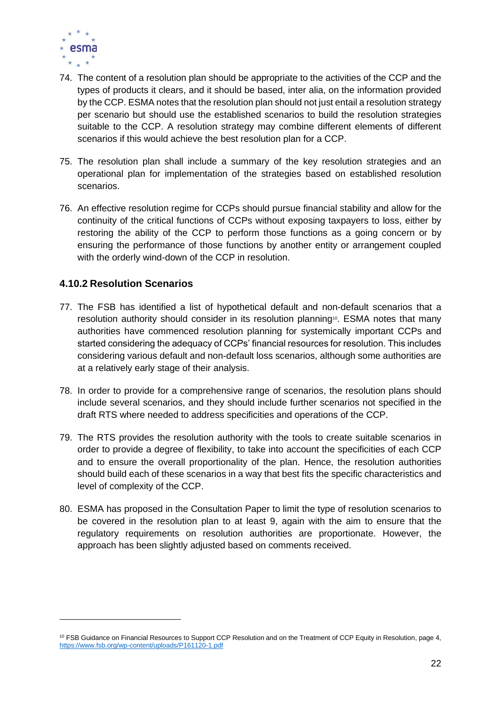

- 74. The content of a resolution plan should be appropriate to the activities of the CCP and the types of products it clears, and it should be based, inter alia, on the information provided by the CCP. ESMA notes that the resolution plan should not just entail a resolution strategy per scenario but should use the established scenarios to build the resolution strategies suitable to the CCP. A resolution strategy may combine different elements of different scenarios if this would achieve the best resolution plan for a CCP.
- 75. The resolution plan shall include a summary of the key resolution strategies and an operational plan for implementation of the strategies based on established resolution scenarios.
- 76. An effective resolution regime for CCPs should pursue financial stability and allow for the continuity of the critical functions of CCPs without exposing taxpayers to loss, either by restoring the ability of the CCP to perform those functions as a going concern or by ensuring the performance of those functions by another entity or arrangement coupled with the orderly wind-down of the CCP in resolution.

# <span id="page-22-0"></span>**4.10.2 Resolution Scenarios**

- 77. The FSB has identified a list of hypothetical default and non-default scenarios that a resolution authority should consider in its resolution planning<sup>10</sup>. ESMA notes that many authorities have commenced resolution planning for systemically important CCPs and started considering the adequacy of CCPs' financial resources for resolution. This includes considering various default and non-default loss scenarios, although some authorities are at a relatively early stage of their analysis.
- 78. In order to provide for a comprehensive range of scenarios, the resolution plans should include several scenarios, and they should include further scenarios not specified in the draft RTS where needed to address specificities and operations of the CCP.
- 79. The RTS provides the resolution authority with the tools to create suitable scenarios in order to provide a degree of flexibility, to take into account the specificities of each CCP and to ensure the overall proportionality of the plan. Hence, the resolution authorities should build each of these scenarios in a way that best fits the specific characteristics and level of complexity of the CCP.
- 80. ESMA has proposed in the Consultation Paper to limit the type of resolution scenarios to be covered in the resolution plan to at least 9, again with the aim to ensure that the regulatory requirements on resolution authorities are proportionate. However, the approach has been slightly adjusted based on comments received.

<sup>&</sup>lt;sup>10</sup> FSB Guidance on Financial Resources to Support CCP Resolution and on the Treatment of CCP Equity in Resolution, page 4, <https://www.fsb.org/wp-content/uploads/P161120-1.pdf>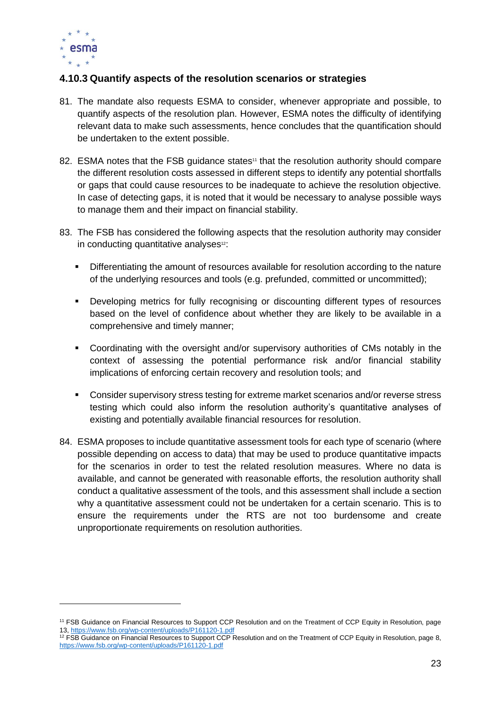

# <span id="page-23-0"></span>**4.10.3 Quantify aspects of the resolution scenarios or strategies**

- 81. The mandate also requests ESMA to consider, whenever appropriate and possible, to quantify aspects of the resolution plan. However, ESMA notes the difficulty of identifying relevant data to make such assessments, hence concludes that the quantification should be undertaken to the extent possible.
- 82. ESMA notes that the FSB guidance states<sup>11</sup> that the resolution authority should compare the different resolution costs assessed in different steps to identify any potential shortfalls or gaps that could cause resources to be inadequate to achieve the resolution objective. In case of detecting gaps, it is noted that it would be necessary to analyse possible ways to manage them and their impact on financial stability.
- 83. The FSB has considered the following aspects that the resolution authority may consider in conducting quantitative analyses<sup>12</sup>:
	- **•** Differentiating the amount of resources available for resolution according to the nature of the underlying resources and tools (e.g. prefunded, committed or uncommitted);
	- Developing metrics for fully recognising or discounting different types of resources based on the level of confidence about whether they are likely to be available in a comprehensive and timely manner;
	- Coordinating with the oversight and/or supervisory authorities of CMs notably in the context of assessing the potential performance risk and/or financial stability implications of enforcing certain recovery and resolution tools; and
	- Consider supervisory stress testing for extreme market scenarios and/or reverse stress testing which could also inform the resolution authority's quantitative analyses of existing and potentially available financial resources for resolution.
- 84. ESMA proposes to include quantitative assessment tools for each type of scenario (where possible depending on access to data) that may be used to produce quantitative impacts for the scenarios in order to test the related resolution measures. Where no data is available, and cannot be generated with reasonable efforts, the resolution authority shall conduct a qualitative assessment of the tools, and this assessment shall include a section why a quantitative assessment could not be undertaken for a certain scenario. This is to ensure the requirements under the RTS are not too burdensome and create unproportionate requirements on resolution authorities.

<sup>11</sup> FSB Guidance on Financial Resources to Support CCP Resolution and on the Treatment of CCP Equity in Resolution, page 13,<https://www.fsb.org/wp-content/uploads/P161120-1.pdf>

 $12$  FSB Guidance on Financial Resources to Support CCP Resolution and on the Treatment of CCP Equity in Resolution, page 8, <https://www.fsb.org/wp-content/uploads/P161120-1.pdf>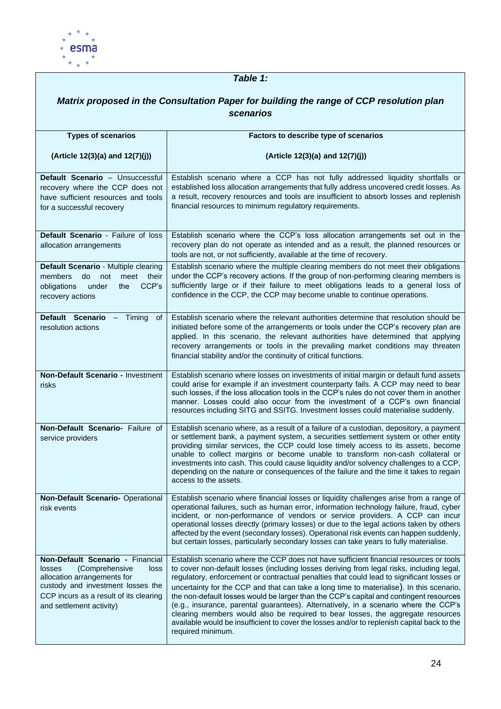

# *Table 1:*

| Matrix proposed in the Consultation Paper for building the range of CCP resolution plan<br>scenarios                                                                                                                  |                                                                                                                                                                                                                                                                                                                                                                                                                                                                                                                                                                                                                                                                                                                                                                       |  |
|-----------------------------------------------------------------------------------------------------------------------------------------------------------------------------------------------------------------------|-----------------------------------------------------------------------------------------------------------------------------------------------------------------------------------------------------------------------------------------------------------------------------------------------------------------------------------------------------------------------------------------------------------------------------------------------------------------------------------------------------------------------------------------------------------------------------------------------------------------------------------------------------------------------------------------------------------------------------------------------------------------------|--|
|                                                                                                                                                                                                                       |                                                                                                                                                                                                                                                                                                                                                                                                                                                                                                                                                                                                                                                                                                                                                                       |  |
| <b>Types of scenarios</b>                                                                                                                                                                                             | Factors to describe type of scenarios                                                                                                                                                                                                                                                                                                                                                                                                                                                                                                                                                                                                                                                                                                                                 |  |
| (Article 12(3)(a) and 12(7)(j))                                                                                                                                                                                       | (Article 12(3)(a) and 12(7)(j))                                                                                                                                                                                                                                                                                                                                                                                                                                                                                                                                                                                                                                                                                                                                       |  |
| Default Scenario - Unsuccessful<br>recovery where the CCP does not<br>have sufficient resources and tools<br>for a successful recovery                                                                                | Establish scenario where a CCP has not fully addressed liquidity shortfalls or<br>established loss allocation arrangements that fully address uncovered credit losses. As<br>a result, recovery resources and tools are insufficient to absorb losses and replenish<br>financial resources to minimum regulatory requirements.                                                                                                                                                                                                                                                                                                                                                                                                                                        |  |
| Default Scenario - Failure of loss<br>allocation arrangements                                                                                                                                                         | Establish scenario where the CCP's loss allocation arrangements set out in the<br>recovery plan do not operate as intended and as a result, the planned resources or<br>tools are not, or not sufficiently, available at the time of recovery.                                                                                                                                                                                                                                                                                                                                                                                                                                                                                                                        |  |
| Default Scenario - Multiple clearing<br>meet their<br>members<br>do<br>not<br>CCP's<br>obligations<br>under<br>the<br>recovery actions                                                                                | Establish scenario where the multiple clearing members do not meet their obligations<br>under the CCP's recovery actions. If the group of non-performing clearing members is<br>sufficiently large or if their failure to meet obligations leads to a general loss of<br>confidence in the CCP, the CCP may become unable to continue operations.                                                                                                                                                                                                                                                                                                                                                                                                                     |  |
| Default Scenario - Timing<br>οf<br>resolution actions                                                                                                                                                                 | Establish scenario where the relevant authorities determine that resolution should be<br>initiated before some of the arrangements or tools under the CCP's recovery plan are<br>applied. In this scenario, the relevant authorities have determined that applying<br>recovery arrangements or tools in the prevailing market conditions may threaten<br>financial stability and/or the continuity of critical functions.                                                                                                                                                                                                                                                                                                                                             |  |
| Non-Default Scenario - Investment<br>risks                                                                                                                                                                            | Establish scenario where losses on investments of initial margin or default fund assets<br>could arise for example if an investment counterparty fails. A CCP may need to bear<br>such losses, if the loss allocation tools in the CCP's rules do not cover them in another<br>manner. Losses could also occur from the investment of a CCP's own financial<br>resources including SITG and SSITG. Investment losses could materialise suddenly.                                                                                                                                                                                                                                                                                                                      |  |
| Non-Default Scenario- Failure of<br>service providers                                                                                                                                                                 | Establish scenario where, as a result of a failure of a custodian, depository, a payment<br>or settlement bank, a payment system, a securities settlement system or other entity<br>providing similar services, the CCP could lose timely access to its assets, become<br>unable to collect margins or become unable to transform non-cash collateral or<br>investments into cash. This could cause liquidity and/or solvency challenges to a CCP,<br>depending on the nature or consequences of the failure and the time it takes to regain<br>access to the assets.                                                                                                                                                                                                 |  |
| Non-Default Scenario- Operational<br>risk events                                                                                                                                                                      | Establish scenario where financial losses or liquidity challenges arise from a range of<br>operational failures, such as human error, information technology failure, fraud, cyber<br>incident, or non-performance of vendors or service providers. A CCP can incur<br>operational losses directly (primary losses) or due to the legal actions taken by others<br>affected by the event (secondary losses). Operational risk events can happen suddenly,<br>but certain losses, particularly secondary losses can take years to fully materialise.                                                                                                                                                                                                                   |  |
| Non-Default Scenario - Financial<br>(Comprehensive<br><b>losses</b><br>loss<br>allocation arrangements for<br>custody and investment losses the<br>CCP incurs as a result of its clearing<br>and settlement activity) | Establish scenario where the CCP does not have sufficient financial resources or tools<br>to cover non-default losses (including losses deriving from legal risks, including legal,<br>regulatory, enforcement or contractual penalties that could lead to significant losses or<br>uncertainty for the CCP and that can take a long time to materialise). In this scenario,<br>the non-default losses would be larger than the CCP's capital and contingent resources<br>(e.g., insurance, parental guarantees). Alternatively, in a scenario where the CCP's<br>clearing members would also be required to bear losses, the aggregate resources<br>available would be insufficient to cover the losses and/or to replenish capital back to the<br>required minimum. |  |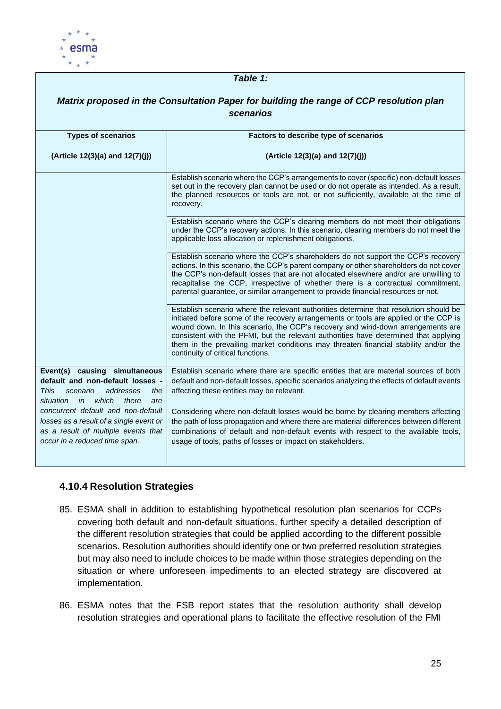

#### *Table 1: Matrix proposed in the Consultation Paper for building the range of CCP resolution plan scenarios* **Types of scenarios (Article 12(3)(a) and 12(7)(j)) Factors to describe type of scenarios (Article 12(3)(a) and 12(7)(j))** Establish scenario where the CCP's arrangements to cover (specific) non-default losses set out in the recovery plan cannot be used or do not operate as intended. As a result, the planned resources or tools are not, or not sufficiently, available at the time of recovery. Establish scenario where the CCP's clearing members do not meet their obligations under the CCP's recovery actions. In this scenario, clearing members do not meet the applicable loss allocation or replenishment obligations. Establish scenario where the CCP's shareholders do not support the CCP's recovery actions. In this scenario, the CCP's parent company or other shareholders do not cover the CCP's non-default losses that are not allocated elsewhere and/or are unwilling to recapitalise the CCP, irrespective of whether there is a contractual commitment, parental guarantee, or similar arrangement to provide financial resources or not. Establish scenario where the relevant authorities determine that resolution should be initiated before some of the recovery arrangements or tools are applied or the CCP is wound down. In this scenario, the CCP's recovery and wind-down arrangements are consistent with the PFMI, but the relevant authorities have determined that applying them in the prevailing market conditions may threaten financial stability and/or the continuity of critical functions. **Event(s) causing simultaneous default and non-default losses -** *This scenario addresses the situation in which there are concurrent default and non-default losses as a result of a single event or as a result of multiple events that occur in a reduced time span.* Establish scenario where there are specific entities that are material sources of both default and non-default losses, specific scenarios analyzing the effects of default events affecting these entities may be relevant. Considering where non-default losses would be borne by clearing members affecting the path of loss propagation and where there are material differences between different combinations of default and non-default events with respect to the available tools, usage of tools, paths of losses or impact on stakeholders.

# <span id="page-25-0"></span>**4.10.4 Resolution Strategies**

- 85. ESMA shall in addition to establishing hypothetical resolution plan scenarios for CCPs covering both default and non-default situations, further specify a detailed description of the different resolution strategies that could be applied according to the different possible scenarios. Resolution authorities should identify one or two preferred resolution strategies but may also need to include choices to be made within those strategies depending on the situation or where unforeseen impediments to an elected strategy are discovered at implementation.
- 86. ESMA notes that the FSB report states that the resolution authority shall develop resolution strategies and operational plans to facilitate the effective resolution of the FMI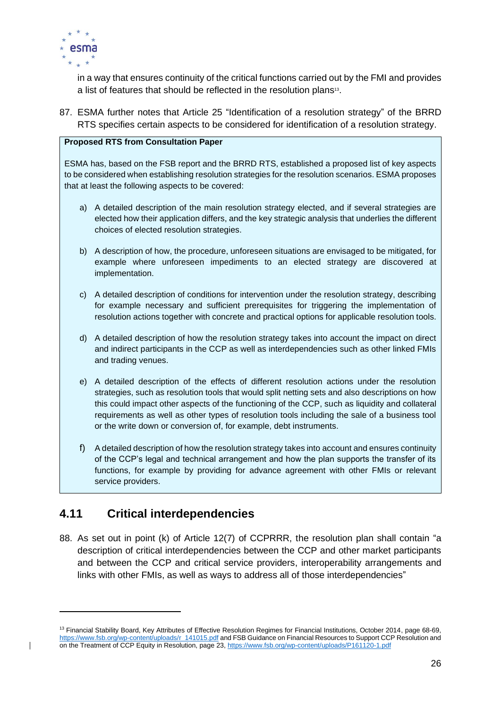

in a way that ensures continuity of the critical functions carried out by the FMI and provides a list of features that should be reflected in the resolution plans<sup>13</sup>.

87. ESMA further notes that Article 25 "Identification of a resolution strategy" of the BRRD RTS specifies certain aspects to be considered for identification of a resolution strategy.

### **Proposed RTS from Consultation Paper**

ESMA has, based on the FSB report and the BRRD RTS, established a proposed list of key aspects to be considered when establishing resolution strategies for the resolution scenarios. ESMA proposes that at least the following aspects to be covered:

- a) A detailed description of the main resolution strategy elected, and if several strategies are elected how their application differs, and the key strategic analysis that underlies the different choices of elected resolution strategies.
- b) A description of how, the procedure, unforeseen situations are envisaged to be mitigated, for example where unforeseen impediments to an elected strategy are discovered at implementation.
- c) A detailed description of conditions for intervention under the resolution strategy, describing for example necessary and sufficient prerequisites for triggering the implementation of resolution actions together with concrete and practical options for applicable resolution tools.
- d) A detailed description of how the resolution strategy takes into account the impact on direct and indirect participants in the CCP as well as interdependencies such as other linked FMIs and trading venues.
- e) A detailed description of the effects of different resolution actions under the resolution strategies, such as resolution tools that would split netting sets and also descriptions on how this could impact other aspects of the functioning of the CCP, such as liquidity and collateral requirements as well as other types of resolution tools including the sale of a business tool or the write down or conversion of, for example, debt instruments.
- f) A detailed description of how the resolution strategy takes into account and ensures continuity of the CCP's legal and technical arrangement and how the plan supports the transfer of its functions, for example by providing for advance agreement with other FMIs or relevant service providers.

# <span id="page-26-0"></span>**4.11 Critical interdependencies**

88. As set out in point (k) of Article 12(7) of CCPRRR, the resolution plan shall contain "a description of critical interdependencies between the CCP and other market participants and between the CCP and critical service providers, interoperability arrangements and links with other FMIs, as well as ways to address all of those interdependencies"

<sup>&</sup>lt;sup>13</sup> Financial Stability Board, Key Attributes of Effective Resolution Regimes for Financial Institutions, October 2014, page 68-69, [https://www.fsb.org/wp-content/uploads/r\\_141015.pdf](https://www.fsb.org/wp-content/uploads/r_141015.pdf) and FSB Guidance on Financial Resources to Support CCP Resolution and on the Treatment of CCP Equity in Resolution, page 23[, https://www.fsb.org/wp-content/uploads/P161120-1.pdf](https://www.fsb.org/wp-content/uploads/P161120-1.pdf)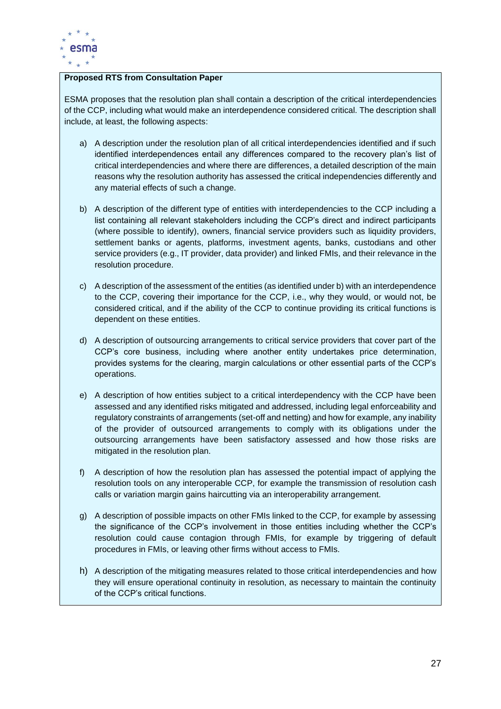

### **Proposed RTS from Consultation Paper**

ESMA proposes that the resolution plan shall contain a description of the critical interdependencies of the CCP, including what would make an interdependence considered critical. The description shall include, at least, the following aspects:

- a) A description under the resolution plan of all critical interdependencies identified and if such identified interdependences entail any differences compared to the recovery plan's list of critical interdependencies and where there are differences, a detailed description of the main reasons why the resolution authority has assessed the critical independencies differently and any material effects of such a change.
- b) A description of the different type of entities with interdependencies to the CCP including a list containing all relevant stakeholders including the CCP's direct and indirect participants (where possible to identify), owners, financial service providers such as liquidity providers, settlement banks or agents, platforms, investment agents, banks, custodians and other service providers (e.g., IT provider, data provider) and linked FMIs, and their relevance in the resolution procedure.
- c) A description of the assessment of the entities (as identified under b) with an interdependence to the CCP, covering their importance for the CCP, i.e., why they would, or would not, be considered critical, and if the ability of the CCP to continue providing its critical functions is dependent on these entities.
- d) A description of outsourcing arrangements to critical service providers that cover part of the CCP's core business, including where another entity undertakes price determination, provides systems for the clearing, margin calculations or other essential parts of the CCP's operations.
- e) A description of how entities subject to a critical interdependency with the CCP have been assessed and any identified risks mitigated and addressed, including legal enforceability and regulatory constraints of arrangements (set-off and netting) and how for example, any inability of the provider of outsourced arrangements to comply with its obligations under the outsourcing arrangements have been satisfactory assessed and how those risks are mitigated in the resolution plan.
- f) A description of how the resolution plan has assessed the potential impact of applying the resolution tools on any interoperable CCP, for example the transmission of resolution cash calls or variation margin gains haircutting via an interoperability arrangement.
- g) A description of possible impacts on other FMIs linked to the CCP, for example by assessing the significance of the CCP's involvement in those entities including whether the CCP's resolution could cause contagion through FMIs, for example by triggering of default procedures in FMIs, or leaving other firms without access to FMIs.
- h) A description of the mitigating measures related to those critical interdependencies and how they will ensure operational continuity in resolution, as necessary to maintain the continuity of the CCP's critical functions.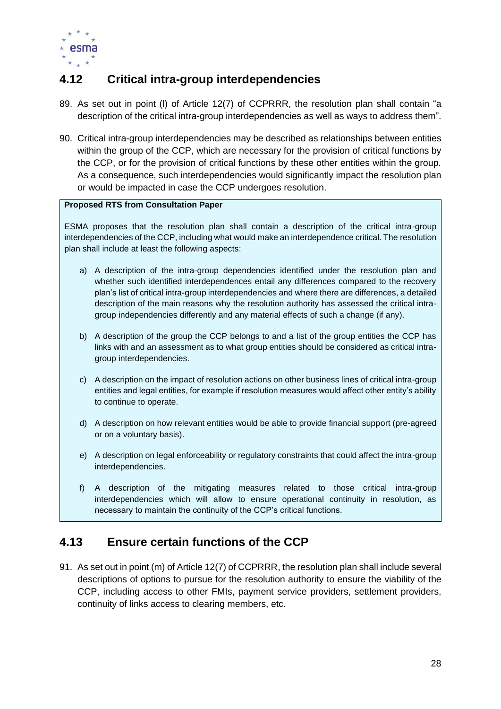

# <span id="page-28-0"></span>**4.12 Critical intra-group interdependencies**

- 89. As set out in point (l) of Article 12(7) of CCPRRR, the resolution plan shall contain "a description of the critical intra-group interdependencies as well as ways to address them".
- 90. Critical intra-group interdependencies may be described as relationships between entities within the group of the CCP, which are necessary for the provision of critical functions by the CCP, or for the provision of critical functions by these other entities within the group. As a consequence, such interdependencies would significantly impact the resolution plan or would be impacted in case the CCP undergoes resolution.

### **Proposed RTS from Consultation Paper**

ESMA proposes that the resolution plan shall contain a description of the critical intra-group interdependencies of the CCP, including what would make an interdependence critical. The resolution plan shall include at least the following aspects:

- a) A description of the intra-group dependencies identified under the resolution plan and whether such identified interdependences entail any differences compared to the recovery plan's list of critical intra-group interdependencies and where there are differences, a detailed description of the main reasons why the resolution authority has assessed the critical intragroup independencies differently and any material effects of such a change (if any).
- b) A description of the group the CCP belongs to and a list of the group entities the CCP has links with and an assessment as to what group entities should be considered as critical intragroup interdependencies.
- c) A description on the impact of resolution actions on other business lines of critical intra-group entities and legal entities, for example if resolution measures would affect other entity's ability to continue to operate.
- d) A description on how relevant entities would be able to provide financial support (pre-agreed or on a voluntary basis).
- e) A description on legal enforceability or regulatory constraints that could affect the intra-group interdependencies.
- f) A description of the mitigating measures related to those critical intra-group interdependencies which will allow to ensure operational continuity in resolution, as necessary to maintain the continuity of the CCP's critical functions.

# <span id="page-28-1"></span>**4.13 Ensure certain functions of the CCP**

91. As set out in point (m) of Article 12(7) of CCPRRR, the resolution plan shall include several descriptions of options to pursue for the resolution authority to ensure the viability of the CCP, including access to other FMIs, payment service providers, settlement providers, continuity of links access to clearing members, etc.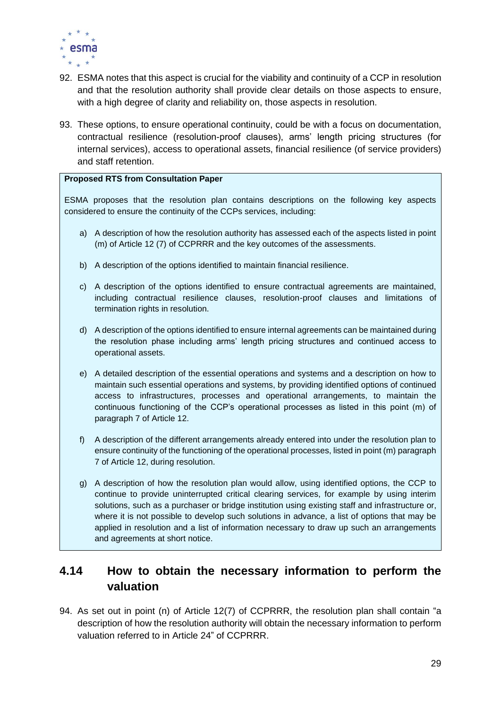

- 92. ESMA notes that this aspect is crucial for the viability and continuity of a CCP in resolution and that the resolution authority shall provide clear details on those aspects to ensure, with a high degree of clarity and reliability on, those aspects in resolution.
- 93. These options, to ensure operational continuity, could be with a focus on documentation, contractual resilience (resolution-proof clauses), arms' length pricing structures (for internal services), access to operational assets, financial resilience (of service providers) and staff retention.

### **Proposed RTS from Consultation Paper**

ESMA proposes that the resolution plan contains descriptions on the following key aspects considered to ensure the continuity of the CCPs services, including:

- a) A description of how the resolution authority has assessed each of the aspects listed in point (m) of Article 12 (7) of CCPRRR and the key outcomes of the assessments.
- b) A description of the options identified to maintain financial resilience.
- c) A description of the options identified to ensure contractual agreements are maintained, including contractual resilience clauses, resolution-proof clauses and limitations of termination rights in resolution.
- d) A description of the options identified to ensure internal agreements can be maintained during the resolution phase including arms' length pricing structures and continued access to operational assets.
- e) A detailed description of the essential operations and systems and a description on how to maintain such essential operations and systems, by providing identified options of continued access to infrastructures, processes and operational arrangements, to maintain the continuous functioning of the CCP's operational processes as listed in this point (m) of paragraph 7 of Article 12.
- f) A description of the different arrangements already entered into under the resolution plan to ensure continuity of the functioning of the operational processes, listed in point (m) paragraph 7 of Article 12, during resolution.
- g) A description of how the resolution plan would allow, using identified options, the CCP to continue to provide uninterrupted critical clearing services, for example by using interim solutions, such as a purchaser or bridge institution using existing staff and infrastructure or, where it is not possible to develop such solutions in advance, a list of options that may be applied in resolution and a list of information necessary to draw up such an arrangements and agreements at short notice.

# <span id="page-29-0"></span>**4.14 How to obtain the necessary information to perform the valuation**

94. As set out in point (n) of Article 12(7) of CCPRRR, the resolution plan shall contain "a description of how the resolution authority will obtain the necessary information to perform valuation referred to in Article 24" of CCPRRR.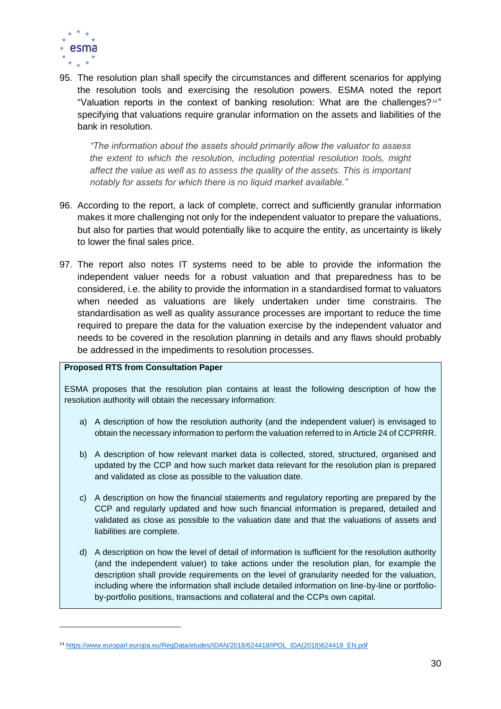

95. The resolution plan shall specify the circumstances and different scenarios for applying the resolution tools and exercising the resolution powers. ESMA noted the report "Valuation reports in the context of banking resolution: What are the challenges?<sup>14"</sup> specifying that valuations require granular information on the assets and liabilities of the bank in resolution.

*"The information about the assets should primarily allow the valuator to assess the extent to which the resolution, including potential resolution tools, might affect the value as well as to assess the quality of the assets. This is important notably for assets for which there is no liquid market available."*

- 96. According to the report, a lack of complete, correct and sufficiently granular information makes it more challenging not only for the independent valuator to prepare the valuations, but also for parties that would potentially like to acquire the entity, as uncertainty is likely to lower the final sales price.
- 97. The report also notes IT systems need to be able to provide the information the independent valuer needs for a robust valuation and that preparedness has to be considered, i.e. the ability to provide the information in a standardised format to valuators when needed as valuations are likely undertaken under time constrains. The standardisation as well as quality assurance processes are important to reduce the time required to prepare the data for the valuation exercise by the independent valuator and needs to be covered in the resolution planning in details and any flaws should probably be addressed in the impediments to resolution processes.

### **Proposed RTS from Consultation Paper**

ESMA proposes that the resolution plan contains at least the following description of how the resolution authority will obtain the necessary information:

- a) A description of how the resolution authority (and the independent valuer) is envisaged to obtain the necessary information to perform the valuation referred to in Article 24 of CCPRRR.
- b) A description of how relevant market data is collected, stored, structured, organised and updated by the CCP and how such market data relevant for the resolution plan is prepared and validated as close as possible to the valuation date.
- c) A description on how the financial statements and regulatory reporting are prepared by the CCP and regularly updated and how such financial information is prepared, detailed and validated as close as possible to the valuation date and that the valuations of assets and liabilities are complete.
- d) A description on how the level of detail of information is sufficient for the resolution authority (and the independent valuer) to take actions under the resolution plan, for example the description shall provide requirements on the level of granularity needed for the valuation, including where the information shall include detailed information on line-by-line or portfolioby-portfolio positions, transactions and collateral and the CCPs own capital.

<sup>14</sup> [https://www.europarl.europa.eu/RegData/etudes/IDAN/2018/624418/IPOL\\_IDA\(2018\)624418\\_EN.pdf](https://www.europarl.europa.eu/RegData/etudes/IDAN/2018/624418/IPOL_IDA(2018)624418_EN.pdf)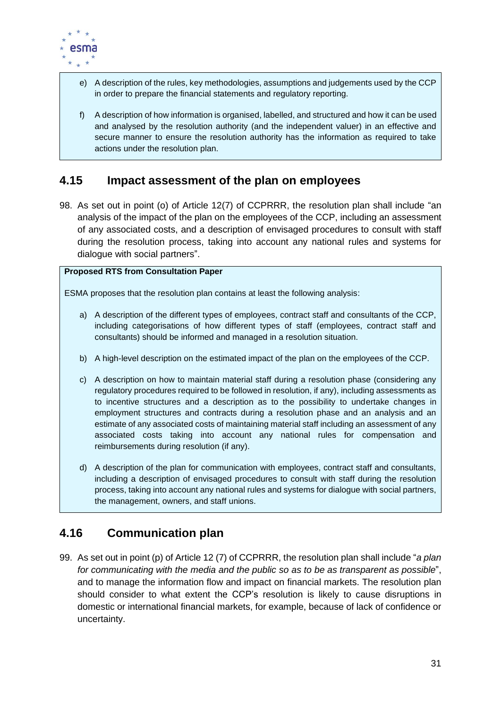

- e) A description of the rules, key methodologies, assumptions and judgements used by the CCP in order to prepare the financial statements and regulatory reporting.
- f) A description of how information is organised, labelled, and structured and how it can be used and analysed by the resolution authority (and the independent valuer) in an effective and secure manner to ensure the resolution authority has the information as required to take actions under the resolution plan.

# <span id="page-31-0"></span>**4.15 Impact assessment of the plan on employees**

98. As set out in point (o) of Article 12(7) of CCPRRR, the resolution plan shall include "an analysis of the impact of the plan on the employees of the CCP, including an assessment of any associated costs, and a description of envisaged procedures to consult with staff during the resolution process, taking into account any national rules and systems for dialogue with social partners".

### **Proposed RTS from Consultation Paper**

ESMA proposes that the resolution plan contains at least the following analysis:

- a) A description of the different types of employees, contract staff and consultants of the CCP, including categorisations of how different types of staff (employees, contract staff and consultants) should be informed and managed in a resolution situation.
- b) A high-level description on the estimated impact of the plan on the employees of the CCP.
- c) A description on how to maintain material staff during a resolution phase (considering any regulatory procedures required to be followed in resolution, if any), including assessments as to incentive structures and a description as to the possibility to undertake changes in employment structures and contracts during a resolution phase and an analysis and an estimate of any associated costs of maintaining material staff including an assessment of any associated costs taking into account any national rules for compensation and reimbursements during resolution (if any).
- d) A description of the plan for communication with employees, contract staff and consultants, including a description of envisaged procedures to consult with staff during the resolution process, taking into account any national rules and systems for dialogue with social partners, the management, owners, and staff unions.

# <span id="page-31-1"></span>**4.16 Communication plan**

99. As set out in point (p) of Article 12 (7) of CCPRRR, the resolution plan shall include "*a plan for communicating with the media and the public so as to be as transparent as possible*", and to manage the information flow and impact on financial markets. The resolution plan should consider to what extent the CCP's resolution is likely to cause disruptions in domestic or international financial markets, for example, because of lack of confidence or uncertainty.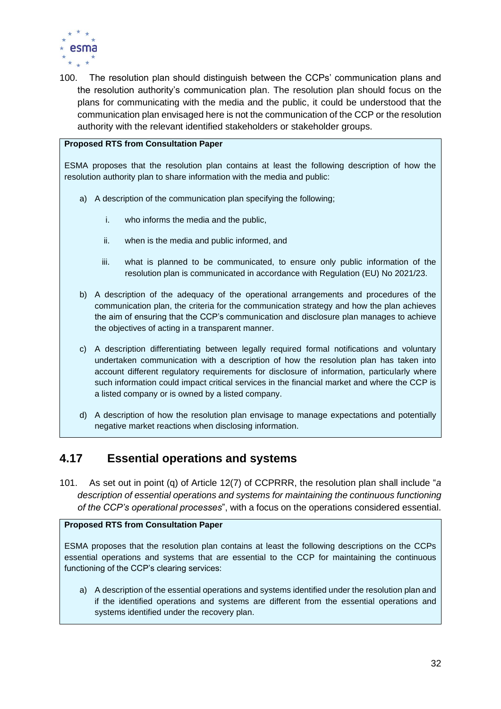

100. The resolution plan should distinguish between the CCPs' communication plans and the resolution authority's communication plan. The resolution plan should focus on the plans for communicating with the media and the public, it could be understood that the communication plan envisaged here is not the communication of the CCP or the resolution authority with the relevant identified stakeholders or stakeholder groups.

### **Proposed RTS from Consultation Paper**

ESMA proposes that the resolution plan contains at least the following description of how the resolution authority plan to share information with the media and public:

- a) A description of the communication plan specifying the following;
	- i. who informs the media and the public,
	- ii. when is the media and public informed, and
	- iii. what is planned to be communicated, to ensure only public information of the resolution plan is communicated in accordance with Regulation (EU) No 2021/23.
- b) A description of the adequacy of the operational arrangements and procedures of the communication plan, the criteria for the communication strategy and how the plan achieves the aim of ensuring that the CCP's communication and disclosure plan manages to achieve the objectives of acting in a transparent manner.
- c) A description differentiating between legally required formal notifications and voluntary undertaken communication with a description of how the resolution plan has taken into account different regulatory requirements for disclosure of information, particularly where such information could impact critical services in the financial market and where the CCP is a listed company or is owned by a listed company.
- d) A description of how the resolution plan envisage to manage expectations and potentially negative market reactions when disclosing information.

# <span id="page-32-0"></span>**4.17 Essential operations and systems**

101. As set out in point (q) of Article 12(7) of CCPRRR, the resolution plan shall include "*a description of essential operations and systems for maintaining the continuous functioning of the CCP's operational processes*", with a focus on the operations considered essential.

### **Proposed RTS from Consultation Paper**

ESMA proposes that the resolution plan contains at least the following descriptions on the CCPs essential operations and systems that are essential to the CCP for maintaining the continuous functioning of the CCP's clearing services:

a) A description of the essential operations and systems identified under the resolution plan and if the identified operations and systems are different from the essential operations and systems identified under the recovery plan.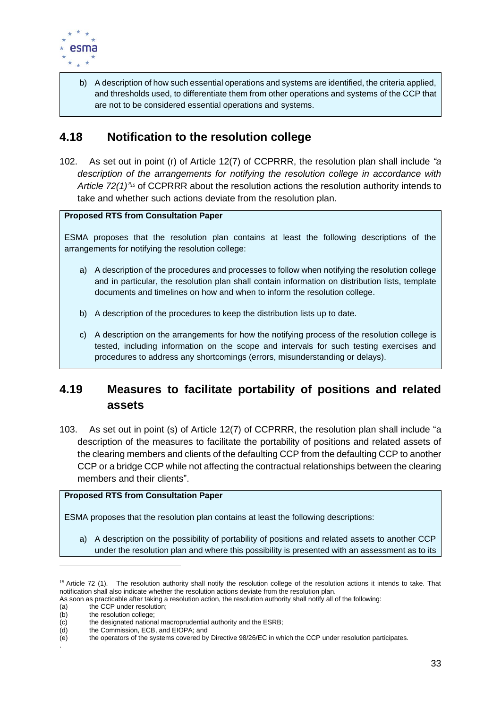

b) A description of how such essential operations and systems are identified, the criteria applied, and thresholds used, to differentiate them from other operations and systems of the CCP that are not to be considered essential operations and systems.

# <span id="page-33-0"></span>**4.18 Notification to the resolution college**

102. As set out in point (r) of Article 12(7) of CCPRRR, the resolution plan shall include *"a description of the arrangements for notifying the resolution college in accordance with*  Article 72(1)<sup>745</sup> of CCPRRR about the resolution actions the resolution authority intends to take and whether such actions deviate from the resolution plan.

### **Proposed RTS from Consultation Paper**

ESMA proposes that the resolution plan contains at least the following descriptions of the arrangements for notifying the resolution college:

- a) A description of the procedures and processes to follow when notifying the resolution college and in particular, the resolution plan shall contain information on distribution lists, template documents and timelines on how and when to inform the resolution college.
- b) A description of the procedures to keep the distribution lists up to date.
- c) A description on the arrangements for how the notifying process of the resolution college is tested, including information on the scope and intervals for such testing exercises and procedures to address any shortcomings (errors, misunderstanding or delays).

# <span id="page-33-1"></span>**4.19 Measures to facilitate portability of positions and related assets**

103. As set out in point (s) of Article 12(7) of CCPRRR, the resolution plan shall include "a description of the measures to facilitate the portability of positions and related assets of the clearing members and clients of the defaulting CCP from the defaulting CCP to another CCP or a bridge CCP while not affecting the contractual relationships between the clearing members and their clients".

# **Proposed RTS from Consultation Paper**

ESMA proposes that the resolution plan contains at least the following descriptions:

a) A description on the possibility of portability of positions and related assets to another CCP under the resolution plan and where this possibility is presented with an assessment as to its

 $15$  Article 72 (1). The resolution authority shall notify the resolution college of the resolution actions it intends to take. That notification shall also indicate whether the resolution actions deviate from the resolution plan.

As soon as practicable after taking a resolution action, the resolution authority shall notify all of the following:

<sup>(</sup>a) the CCP under resolution;<br>(b) the resolution college:

<sup>(</sup>b) the resolution college;<br>(c) the designated national the designated national macroprudential authority and the ESRB;

<sup>(</sup>d) the Commission, ECB, and EIOPA; and

<sup>(</sup>e) the operators of the systems covered by Directive 98/26/EC in which the CCP under resolution participates.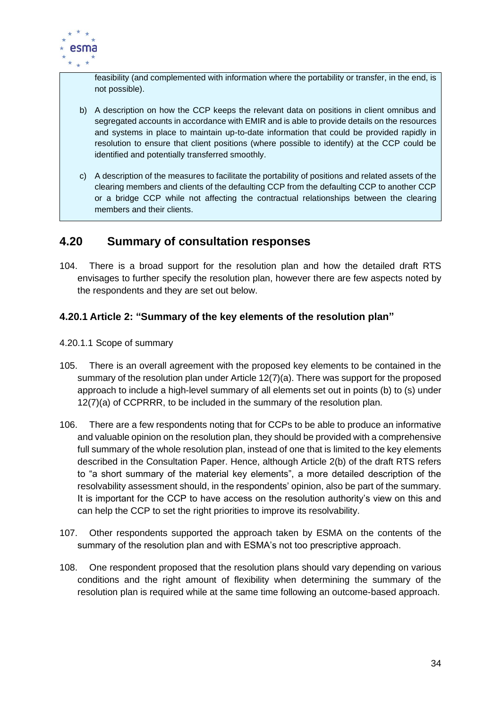

feasibility (and complemented with information where the portability or transfer, in the end, is not possible).

- b) A description on how the CCP keeps the relevant data on positions in client omnibus and segregated accounts in accordance with EMIR and is able to provide details on the resources and systems in place to maintain up-to-date information that could be provided rapidly in resolution to ensure that client positions (where possible to identify) at the CCP could be identified and potentially transferred smoothly.
- c) A description of the measures to facilitate the portability of positions and related assets of the clearing members and clients of the defaulting CCP from the defaulting CCP to another CCP or a bridge CCP while not affecting the contractual relationships between the clearing members and their clients.

# <span id="page-34-0"></span>**4.20 Summary of consultation responses**

104. There is a broad support for the resolution plan and how the detailed draft RTS envisages to further specify the resolution plan, however there are few aspects noted by the respondents and they are set out below.

# <span id="page-34-1"></span>**4.20.1 Article 2: "Summary of the key elements of the resolution plan"**

- 4.20.1.1 Scope of summary
- 105. There is an overall agreement with the proposed key elements to be contained in the summary of the resolution plan under Article 12(7)(a). There was support for the proposed approach to include a high-level summary of all elements set out in points (b) to (s) under 12(7)(a) of CCPRRR, to be included in the summary of the resolution plan.
- 106. There are a few respondents noting that for CCPs to be able to produce an informative and valuable opinion on the resolution plan, they should be provided with a comprehensive full summary of the whole resolution plan, instead of one that is limited to the key elements described in the Consultation Paper. Hence, although Article 2(b) of the draft RTS refers to "a short summary of the material key elements", a more detailed description of the resolvability assessment should, in the respondents' opinion, also be part of the summary. It is important for the CCP to have access on the resolution authority's view on this and can help the CCP to set the right priorities to improve its resolvability.
- 107. Other respondents supported the approach taken by ESMA on the contents of the summary of the resolution plan and with ESMA's not too prescriptive approach.
- 108. One respondent proposed that the resolution plans should vary depending on various conditions and the right amount of flexibility when determining the summary of the resolution plan is required while at the same time following an outcome-based approach.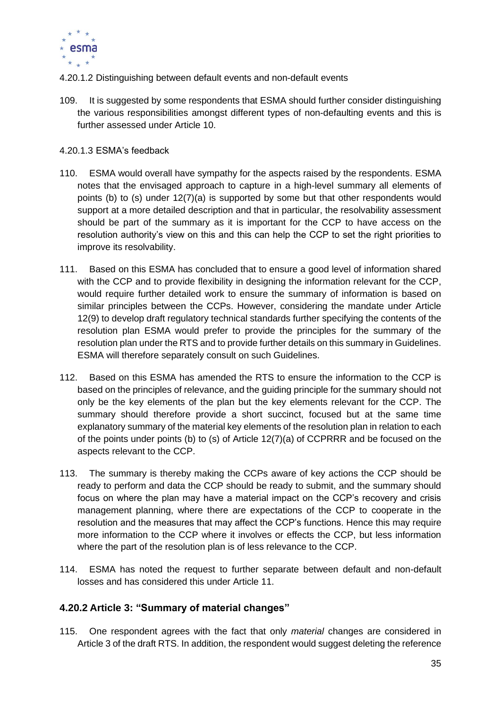

- 4.20.1.2 Distinguishing between default events and non-default events
- 109. It is suggested by some respondents that ESMA should further consider distinguishing the various responsibilities amongst different types of non-defaulting events and this is further assessed under Article 10.

### 4.20.1.3 ESMA's feedback

- 110. ESMA would overall have sympathy for the aspects raised by the respondents. ESMA notes that the envisaged approach to capture in a high-level summary all elements of points (b) to (s) under 12(7)(a) is supported by some but that other respondents would support at a more detailed description and that in particular, the resolvability assessment should be part of the summary as it is important for the CCP to have access on the resolution authority's view on this and this can help the CCP to set the right priorities to improve its resolvability.
- 111. Based on this ESMA has concluded that to ensure a good level of information shared with the CCP and to provide flexibility in designing the information relevant for the CCP, would require further detailed work to ensure the summary of information is based on similar principles between the CCPs. However, considering the mandate under Article 12(9) to develop draft regulatory technical standards further specifying the contents of the resolution plan ESMA would prefer to provide the principles for the summary of the resolution plan under the RTS and to provide further details on this summary in Guidelines. ESMA will therefore separately consult on such Guidelines.
- 112. Based on this ESMA has amended the RTS to ensure the information to the CCP is based on the principles of relevance, and the guiding principle for the summary should not only be the key elements of the plan but the key elements relevant for the CCP. The summary should therefore provide a short succinct, focused but at the same time explanatory summary of the material key elements of the resolution plan in relation to each of the points under points (b) to (s) of Article 12(7)(a) of CCPRRR and be focused on the aspects relevant to the CCP.
- 113. The summary is thereby making the CCPs aware of key actions the CCP should be ready to perform and data the CCP should be ready to submit, and the summary should focus on where the plan may have a material impact on the CCP's recovery and crisis management planning, where there are expectations of the CCP to cooperate in the resolution and the measures that may affect the CCP's functions. Hence this may require more information to the CCP where it involves or effects the CCP, but less information where the part of the resolution plan is of less relevance to the CCP.
- 114. ESMA has noted the request to further separate between default and non-default losses and has considered this under Article 11.

# <span id="page-35-0"></span>**4.20.2 Article 3: "Summary of material changes"**

115. One respondent agrees with the fact that only *material* changes are considered in Article 3 of the draft RTS. In addition, the respondent would suggest deleting the reference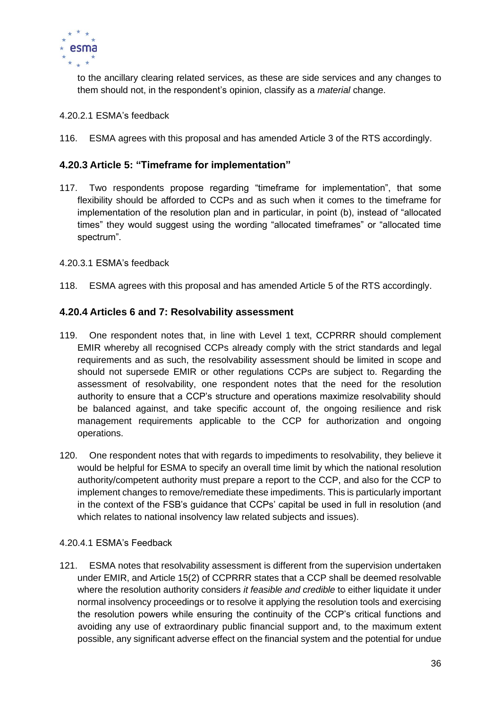

to the ancillary clearing related services, as these are side services and any changes to them should not, in the respondent's opinion, classify as a *material* change.

- 4.20.2.1 ESMA's feedback
- 116. ESMA agrees with this proposal and has amended Article 3 of the RTS accordingly.

# <span id="page-36-0"></span>**4.20.3 Article 5: "Timeframe for implementation"**

- 117. Two respondents propose regarding "timeframe for implementation", that some flexibility should be afforded to CCPs and as such when it comes to the timeframe for implementation of the resolution plan and in particular, in point (b), instead of "allocated times" they would suggest using the wording "allocated timeframes" or "allocated time spectrum".
- 4.20.3.1 ESMA's feedback
- 118. ESMA agrees with this proposal and has amended Article 5 of the RTS accordingly.

# <span id="page-36-1"></span>**4.20.4 Articles 6 and 7: Resolvability assessment**

- 119. One respondent notes that, in line with Level 1 text, CCPRRR should complement EMIR whereby all recognised CCPs already comply with the strict standards and legal requirements and as such, the resolvability assessment should be limited in scope and should not supersede EMIR or other regulations CCPs are subject to. Regarding the assessment of resolvability, one respondent notes that the need for the resolution authority to ensure that a CCP's structure and operations maximize resolvability should be balanced against, and take specific account of, the ongoing resilience and risk management requirements applicable to the CCP for authorization and ongoing operations.
- 120. One respondent notes that with regards to impediments to resolvability, they believe it would be helpful for ESMA to specify an overall time limit by which the national resolution authority/competent authority must prepare a report to the CCP, and also for the CCP to implement changes to remove/remediate these impediments. This is particularly important in the context of the FSB's guidance that CCPs' capital be used in full in resolution (and which relates to national insolvency law related subjects and issues).

### 4.20.4.1 ESMA's Feedback

121. ESMA notes that resolvability assessment is different from the supervision undertaken under EMIR, and Article 15(2) of CCPRRR states that a CCP shall be deemed resolvable where the resolution authority considers *it feasible and credible* to either liquidate it under normal insolvency proceedings or to resolve it applying the resolution tools and exercising the resolution powers while ensuring the continuity of the CCP's critical functions and avoiding any use of extraordinary public financial support and, to the maximum extent possible, any significant adverse effect on the financial system and the potential for undue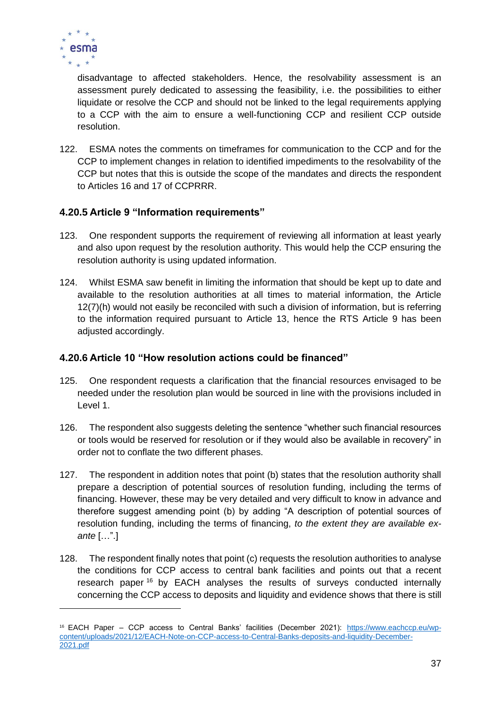

disadvantage to affected stakeholders. Hence, the resolvability assessment is an assessment purely dedicated to assessing the feasibility, i.e. the possibilities to either liquidate or resolve the CCP and should not be linked to the legal requirements applying to a CCP with the aim to ensure a well-functioning CCP and resilient CCP outside resolution.

122. ESMA notes the comments on timeframes for communication to the CCP and for the CCP to implement changes in relation to identified impediments to the resolvability of the CCP but notes that this is outside the scope of the mandates and directs the respondent to Articles 16 and 17 of CCPRRR.

# <span id="page-37-0"></span>**4.20.5 Article 9 "Information requirements"**

- 123. One respondent supports the requirement of reviewing all information at least yearly and also upon request by the resolution authority. This would help the CCP ensuring the resolution authority is using updated information.
- 124. Whilst ESMA saw benefit in limiting the information that should be kept up to date and available to the resolution authorities at all times to material information, the Article 12(7)(h) would not easily be reconciled with such a division of information, but is referring to the information required pursuant to Article 13, hence the RTS Article 9 has been adjusted accordingly.

# <span id="page-37-1"></span>**4.20.6 Article 10 "How resolution actions could be financed"**

- 125. One respondent requests a clarification that the financial resources envisaged to be needed under the resolution plan would be sourced in line with the provisions included in Level 1.
- 126. The respondent also suggests deleting the sentence "whether such financial resources or tools would be reserved for resolution or if they would also be available in recovery" in order not to conflate the two different phases.
- 127. The respondent in addition notes that point (b) states that the resolution authority shall prepare a description of potential sources of resolution funding, including the terms of financing. However, these may be very detailed and very difficult to know in advance and therefore suggest amending point (b) by adding "A description of potential sources of resolution funding, including the terms of financing, *to the extent they are available exante* […".]
- 128. The respondent finally notes that point (c) requests the resolution authorities to analyse the conditions for CCP access to central bank facilities and points out that a recent research paper <sup>16</sup> by EACH analyses the results of surveys conducted internally concerning the CCP access to deposits and liquidity and evidence shows that there is still

<sup>16</sup> EACH Paper – CCP access to Central Banks' facilities (December 2021): [https://www.eachccp.eu/wp](https://www.eachccp.eu/wp-content/uploads/2021/12/EACH-Note-on-CCP-access-to-Central-Banks-deposits-and-liquidity-December-2021.pdf)[content/uploads/2021/12/EACH-Note-on-CCP-access-to-Central-Banks-deposits-and-liquidity-December-](https://www.eachccp.eu/wp-content/uploads/2021/12/EACH-Note-on-CCP-access-to-Central-Banks-deposits-and-liquidity-December-2021.pdf)[2021.pdf](https://www.eachccp.eu/wp-content/uploads/2021/12/EACH-Note-on-CCP-access-to-Central-Banks-deposits-and-liquidity-December-2021.pdf)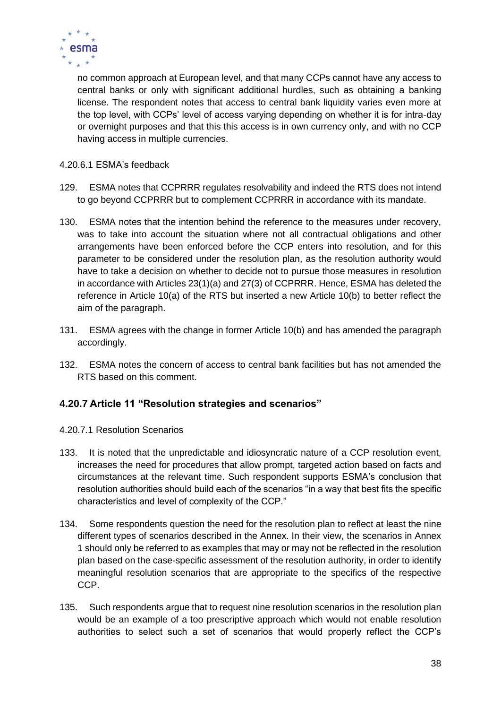

no common approach at European level, and that many CCPs cannot have any access to central banks or only with significant additional hurdles, such as obtaining a banking license. The respondent notes that access to central bank liquidity varies even more at the top level, with CCPs' level of access varying depending on whether it is for intra-day or overnight purposes and that this this access is in own currency only, and with no CCP having access in multiple currencies.

# 4.20.6.1 ESMA's feedback

- 129. ESMA notes that CCPRRR regulates resolvability and indeed the RTS does not intend to go beyond CCPRRR but to complement CCPRRR in accordance with its mandate.
- 130. ESMA notes that the intention behind the reference to the measures under recovery, was to take into account the situation where not all contractual obligations and other arrangements have been enforced before the CCP enters into resolution, and for this parameter to be considered under the resolution plan, as the resolution authority would have to take a decision on whether to decide not to pursue those measures in resolution in accordance with Articles 23(1)(a) and 27(3) of CCPRRR. Hence, ESMA has deleted the reference in Article 10(a) of the RTS but inserted a new Article 10(b) to better reflect the aim of the paragraph.
- 131. ESMA agrees with the change in former Article 10(b) and has amended the paragraph accordingly.
- 132. ESMA notes the concern of access to central bank facilities but has not amended the RTS based on this comment.

# <span id="page-38-0"></span>**4.20.7 Article 11 "Resolution strategies and scenarios"**

- 4.20.7.1 Resolution Scenarios
- 133. It is noted that the unpredictable and idiosyncratic nature of a CCP resolution event, increases the need for procedures that allow prompt, targeted action based on facts and circumstances at the relevant time. Such respondent supports ESMA's conclusion that resolution authorities should build each of the scenarios "in a way that best fits the specific characteristics and level of complexity of the CCP."
- 134. Some respondents question the need for the resolution plan to reflect at least the nine different types of scenarios described in the Annex. In their view, the scenarios in Annex 1 should only be referred to as examples that may or may not be reflected in the resolution plan based on the case-specific assessment of the resolution authority, in order to identify meaningful resolution scenarios that are appropriate to the specifics of the respective CCP.
- 135. Such respondents argue that to request nine resolution scenarios in the resolution plan would be an example of a too prescriptive approach which would not enable resolution authorities to select such a set of scenarios that would properly reflect the CCP's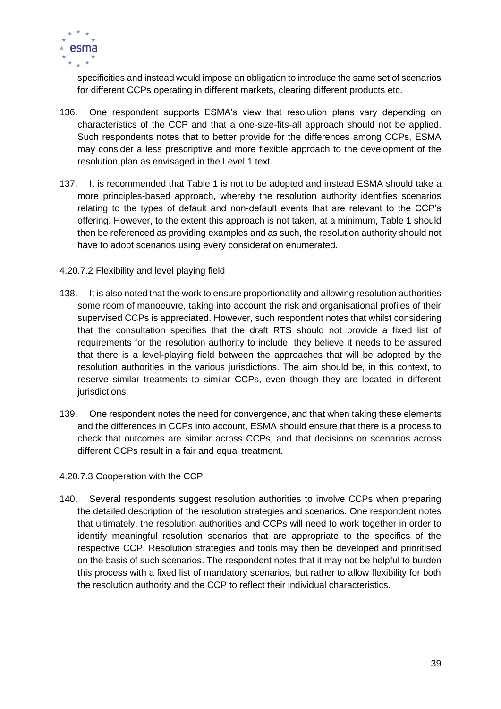

specificities and instead would impose an obligation to introduce the same set of scenarios for different CCPs operating in different markets, clearing different products etc.

- 136. One respondent supports ESMA's view that resolution plans vary depending on characteristics of the CCP and that a one-size-fits-all approach should not be applied. Such respondents notes that to better provide for the differences among CCPs, ESMA may consider a less prescriptive and more flexible approach to the development of the resolution plan as envisaged in the Level 1 text.
- 137. It is recommended that Table 1 is not to be adopted and instead ESMA should take a more principles-based approach, whereby the resolution authority identifies scenarios relating to the types of default and non-default events that are relevant to the CCP's offering. However, to the extent this approach is not taken, at a minimum, Table 1 should then be referenced as providing examples and as such, the resolution authority should not have to adopt scenarios using every consideration enumerated.

### 4.20.7.2 Flexibility and level playing field

- 138. It is also noted that the work to ensure proportionality and allowing resolution authorities some room of manoeuvre, taking into account the risk and organisational profiles of their supervised CCPs is appreciated. However, such respondent notes that whilst considering that the consultation specifies that the draft RTS should not provide a fixed list of requirements for the resolution authority to include, they believe it needs to be assured that there is a level-playing field between the approaches that will be adopted by the resolution authorities in the various jurisdictions. The aim should be, in this context, to reserve similar treatments to similar CCPs, even though they are located in different jurisdictions.
- 139. One respondent notes the need for convergence, and that when taking these elements and the differences in CCPs into account, ESMA should ensure that there is a process to check that outcomes are similar across CCPs, and that decisions on scenarios across different CCPs result in a fair and equal treatment.

### 4.20.7.3 Cooperation with the CCP

140. Several respondents suggest resolution authorities to involve CCPs when preparing the detailed description of the resolution strategies and scenarios. One respondent notes that ultimately, the resolution authorities and CCPs will need to work together in order to identify meaningful resolution scenarios that are appropriate to the specifics of the respective CCP. Resolution strategies and tools may then be developed and prioritised on the basis of such scenarios. The respondent notes that it may not be helpful to burden this process with a fixed list of mandatory scenarios, but rather to allow flexibility for both the resolution authority and the CCP to reflect their individual characteristics.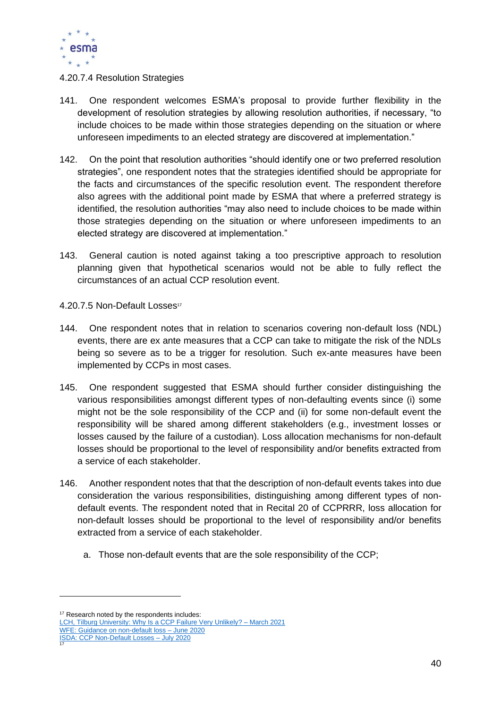

### 4.20.7.4 Resolution Strategies

- 141. One respondent welcomes ESMA's proposal to provide further flexibility in the development of resolution strategies by allowing resolution authorities, if necessary, "to include choices to be made within those strategies depending on the situation or where unforeseen impediments to an elected strategy are discovered at implementation."
- 142. On the point that resolution authorities "should identify one or two preferred resolution strategies", one respondent notes that the strategies identified should be appropriate for the facts and circumstances of the specific resolution event. The respondent therefore also agrees with the additional point made by ESMA that where a preferred strategy is identified, the resolution authorities "may also need to include choices to be made within those strategies depending on the situation or where unforeseen impediments to an elected strategy are discovered at implementation."
- 143. General caution is noted against taking a too prescriptive approach to resolution planning given that hypothetical scenarios would not be able to fully reflect the circumstances of an actual CCP resolution event.

4.20.7.5 Non-Default Losses<sup>17</sup>

- 144. One respondent notes that in relation to scenarios covering non-default loss (NDL) events, there are ex ante measures that a CCP can take to mitigate the risk of the NDLs being so severe as to be a trigger for resolution. Such ex-ante measures have been implemented by CCPs in most cases.
- 145. One respondent suggested that ESMA should further consider distinguishing the various responsibilities amongst different types of non-defaulting events since (i) some might not be the sole responsibility of the CCP and (ii) for some non-default event the responsibility will be shared among different stakeholders (e.g., investment losses or losses caused by the failure of a custodian). Loss allocation mechanisms for non-default losses should be proportional to the level of responsibility and/or benefits extracted from a service of each stakeholder.
- 146. Another respondent notes that that the description of non-default events takes into due consideration the various responsibilities, distinguishing among different types of nondefault events. The respondent noted that in Recital 20 of CCPRRR, loss allocation for non-default losses should be proportional to the level of responsibility and/or benefits extracted from a service of each stakeholder.
	- a. Those non-default events that are the sole responsibility of the CCP;

[LCH, Tilburg University: Why Is a CCP Failure Very Unlikely? –](https://papers.ssrn.com/sol3/Delivery.cfm/SSRN_ID3759694_code353550.pdf?abstractid=3759694&mirid=1) March 2021

17

<sup>&</sup>lt;sup>17</sup> Research noted by the respondents includes:

[WFE: Guidance on non-default loss –](https://www.world-exchanges.org/storage/app/media/Guidance%20on%20non-default%20loss%2020200608.pdf) June 2020 [ISDA: CCP Non-Default Losses –](https://www.isda.org/2020/07/31/ccp-non-default-losses/) July 2020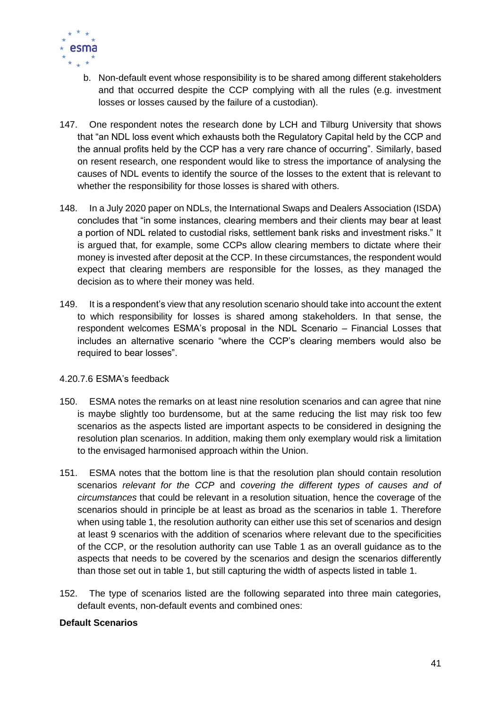

- b. Non-default event whose responsibility is to be shared among different stakeholders and that occurred despite the CCP complying with all the rules (e.g. investment losses or losses caused by the failure of a custodian).
- 147. One respondent notes the research done by LCH and Tilburg University that shows that "an NDL loss event which exhausts both the Regulatory Capital held by the CCP and the annual profits held by the CCP has a very rare chance of occurring". Similarly, based on resent research, one respondent would like to stress the importance of analysing the causes of NDL events to identify the source of the losses to the extent that is relevant to whether the responsibility for those losses is shared with others.
- 148. In a July 2020 paper on NDLs, the International Swaps and Dealers Association (ISDA) concludes that "in some instances, clearing members and their clients may bear at least a portion of NDL related to custodial risks, settlement bank risks and investment risks." It is argued that, for example, some CCPs allow clearing members to dictate where their money is invested after deposit at the CCP. In these circumstances, the respondent would expect that clearing members are responsible for the losses, as they managed the decision as to where their money was held.
- 149. It is a respondent's view that any resolution scenario should take into account the extent to which responsibility for losses is shared among stakeholders. In that sense, the respondent welcomes ESMA's proposal in the NDL Scenario – Financial Losses that includes an alternative scenario "where the CCP's clearing members would also be required to bear losses".

### 4.20.7.6 ESMA's feedback

- 150. ESMA notes the remarks on at least nine resolution scenarios and can agree that nine is maybe slightly too burdensome, but at the same reducing the list may risk too few scenarios as the aspects listed are important aspects to be considered in designing the resolution plan scenarios. In addition, making them only exemplary would risk a limitation to the envisaged harmonised approach within the Union.
- 151. ESMA notes that the bottom line is that the resolution plan should contain resolution scenarios *relevant for the CCP* and *covering the different types of causes and of circumstances* that could be relevant in a resolution situation, hence the coverage of the scenarios should in principle be at least as broad as the scenarios in table 1. Therefore when using table 1, the resolution authority can either use this set of scenarios and design at least 9 scenarios with the addition of scenarios where relevant due to the specificities of the CCP, or the resolution authority can use Table 1 as an overall guidance as to the aspects that needs to be covered by the scenarios and design the scenarios differently than those set out in table 1, but still capturing the width of aspects listed in table 1.
- 152. The type of scenarios listed are the following separated into three main categories, default events, non-default events and combined ones:

### **Default Scenarios**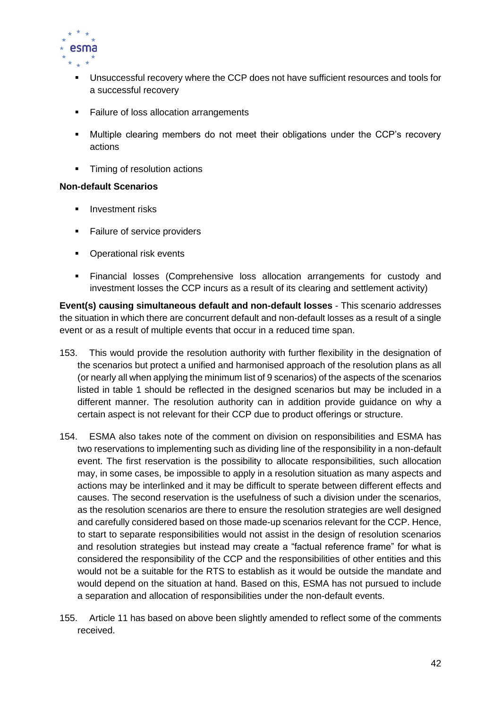

- Unsuccessful recovery where the CCP does not have sufficient resources and tools for a successful recovery
- Failure of loss allocation arrangements
- Multiple clearing members do not meet their obligations under the CCP's recovery actions
- Timing of resolution actions

### **Non-default Scenarios**

- **·** Investment risks
- Failure of service providers
- Operational risk events
- Financial losses (Comprehensive loss allocation arrangements for custody and investment losses the CCP incurs as a result of its clearing and settlement activity)

**Event(s) causing simultaneous default and non-default losses** - This scenario addresses the situation in which there are concurrent default and non-default losses as a result of a single event or as a result of multiple events that occur in a reduced time span.

- 153. This would provide the resolution authority with further flexibility in the designation of the scenarios but protect a unified and harmonised approach of the resolution plans as all (or nearly all when applying the minimum list of 9 scenarios) of the aspects of the scenarios listed in table 1 should be reflected in the designed scenarios but may be included in a different manner. The resolution authority can in addition provide guidance on why a certain aspect is not relevant for their CCP due to product offerings or structure.
- 154. ESMA also takes note of the comment on division on responsibilities and ESMA has two reservations to implementing such as dividing line of the responsibility in a non-default event. The first reservation is the possibility to allocate responsibilities, such allocation may, in some cases, be impossible to apply in a resolution situation as many aspects and actions may be interlinked and it may be difficult to sperate between different effects and causes. The second reservation is the usefulness of such a division under the scenarios, as the resolution scenarios are there to ensure the resolution strategies are well designed and carefully considered based on those made-up scenarios relevant for the CCP. Hence, to start to separate responsibilities would not assist in the design of resolution scenarios and resolution strategies but instead may create a "factual reference frame" for what is considered the responsibility of the CCP and the responsibilities of other entities and this would not be a suitable for the RTS to establish as it would be outside the mandate and would depend on the situation at hand. Based on this, ESMA has not pursued to include a separation and allocation of responsibilities under the non-default events.
- 155. Article 11 has based on above been slightly amended to reflect some of the comments received.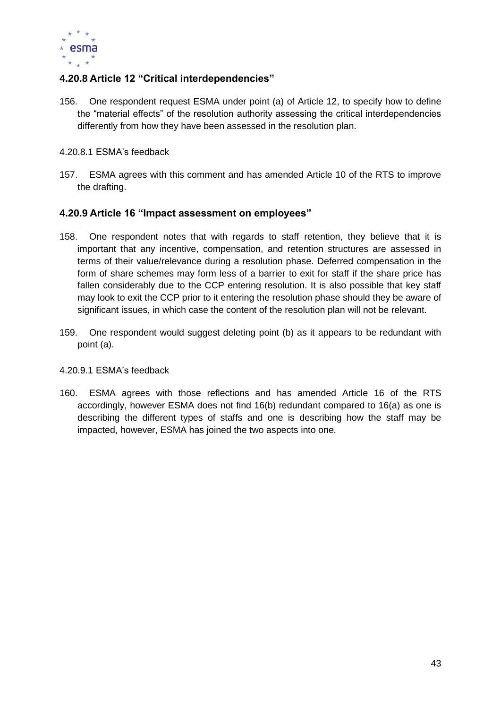

# <span id="page-43-0"></span>**4.20.8 Article 12 "Critical interdependencies"**

- 156. One respondent request ESMA under point (a) of Article 12, to specify how to define the "material effects" of the resolution authority assessing the critical interdependencies differently from how they have been assessed in the resolution plan.
- 4.20.8.1 ESMA's feedback
- 157. ESMA agrees with this comment and has amended Article 10 of the RTS to improve the drafting.

# <span id="page-43-1"></span>**4.20.9 Article 16 "Impact assessment on employees"**

- 158. One respondent notes that with regards to staff retention, they believe that it is important that any incentive, compensation, and retention structures are assessed in terms of their value/relevance during a resolution phase. Deferred compensation in the form of share schemes may form less of a barrier to exit for staff if the share price has fallen considerably due to the CCP entering resolution. It is also possible that key staff may look to exit the CCP prior to it entering the resolution phase should they be aware of significant issues, in which case the content of the resolution plan will not be relevant.
- 159. One respondent would suggest deleting point (b) as it appears to be redundant with point (a).

### 4.20.9.1 ESMA's feedback

160. ESMA agrees with those reflections and has amended Article 16 of the RTS accordingly, however ESMA does not find 16(b) redundant compared to 16(a) as one is describing the different types of staffs and one is describing how the staff may be impacted, however, ESMA has joined the two aspects into one.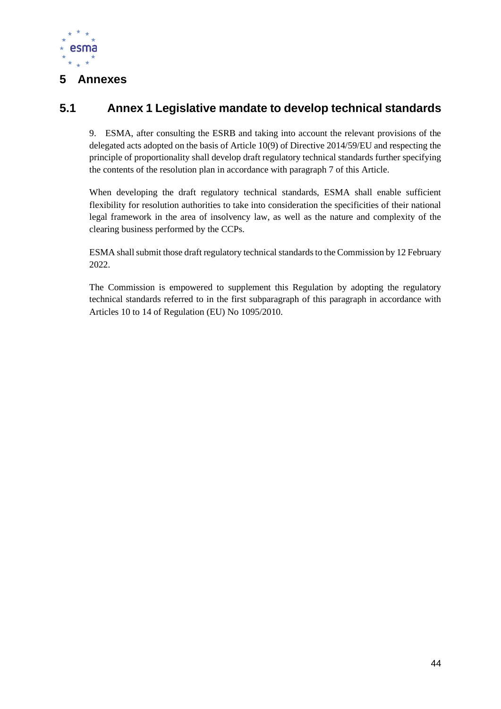

# <span id="page-44-0"></span>**5 Annexes**

# <span id="page-44-1"></span>**5.1 Annex 1 Legislative mandate to develop technical standards**

9. ESMA, after consulting the ESRB and taking into account the relevant provisions of the delegated acts adopted on the basis of Article 10(9) of Directive 2014/59/EU and respecting the principle of proportionality shall develop draft regulatory technical standards further specifying the contents of the resolution plan in accordance with paragraph 7 of this Article.

When developing the draft regulatory technical standards, ESMA shall enable sufficient flexibility for resolution authorities to take into consideration the specificities of their national legal framework in the area of insolvency law, as well as the nature and complexity of the clearing business performed by the CCPs.

ESMA shall submit those draft regulatory technical standards to the Commission by 12 February 2022.

The Commission is empowered to supplement this Regulation by adopting the regulatory technical standards referred to in the first subparagraph of this paragraph in accordance with Articles 10 to 14 of Regulation (EU) No 1095/2010.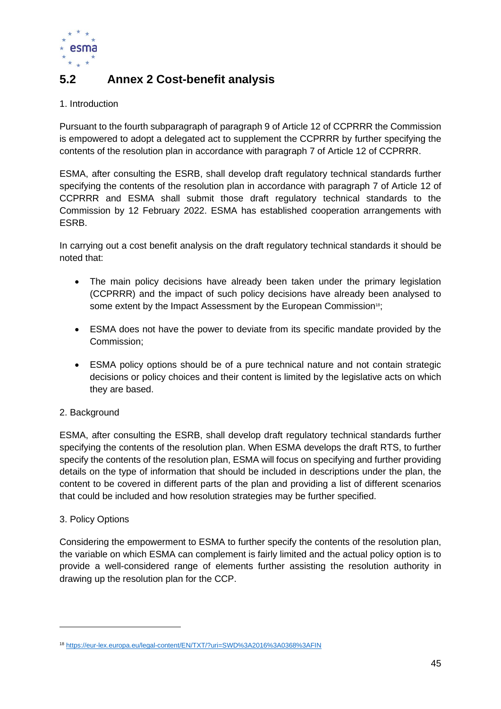

# <span id="page-45-0"></span>**5.2 Annex 2 Cost-benefit analysis**

### 1. Introduction

Pursuant to the fourth subparagraph of paragraph 9 of Article 12 of CCPRRR the Commission is empowered to adopt a delegated act to supplement the CCPRRR by further specifying the contents of the resolution plan in accordance with paragraph 7 of Article 12 of CCPRRR.

ESMA, after consulting the ESRB, shall develop draft regulatory technical standards further specifying the contents of the resolution plan in accordance with paragraph 7 of Article 12 of CCPRRR and ESMA shall submit those draft regulatory technical standards to the Commission by 12 February 2022. ESMA has established cooperation arrangements with ESRB.

In carrying out a cost benefit analysis on the draft regulatory technical standards it should be noted that:

- The main policy decisions have already been taken under the primary legislation (CCPRRR) and the impact of such policy decisions have already been analysed to some extent by the Impact Assessment by the European Commission<sup>18</sup>;
- ESMA does not have the power to deviate from its specific mandate provided by the Commission;
- ESMA policy options should be of a pure technical nature and not contain strategic decisions or policy choices and their content is limited by the legislative acts on which they are based.

# 2. Background

ESMA, after consulting the ESRB, shall develop draft regulatory technical standards further specifying the contents of the resolution plan. When ESMA develops the draft RTS, to further specify the contents of the resolution plan, ESMA will focus on specifying and further providing details on the type of information that should be included in descriptions under the plan, the content to be covered in different parts of the plan and providing a list of different scenarios that could be included and how resolution strategies may be further specified.

# 3. Policy Options

Considering the empowerment to ESMA to further specify the contents of the resolution plan, the variable on which ESMA can complement is fairly limited and the actual policy option is to provide a well-considered range of elements further assisting the resolution authority in drawing up the resolution plan for the CCP.

<sup>18</sup> <https://eur-lex.europa.eu/legal-content/EN/TXT/?uri=SWD%3A2016%3A0368%3AFIN>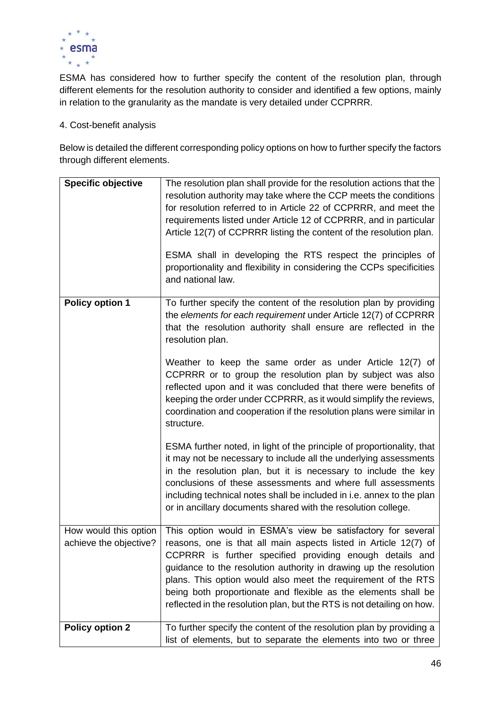

ESMA has considered how to further specify the content of the resolution plan, through different elements for the resolution authority to consider and identified a few options, mainly in relation to the granularity as the mandate is very detailed under CCPRRR.

# 4. Cost-benefit analysis

Below is detailed the different corresponding policy options on how to further specify the factors through different elements.

| <b>Specific objective</b>                       | The resolution plan shall provide for the resolution actions that the<br>resolution authority may take where the CCP meets the conditions<br>for resolution referred to in Article 22 of CCPRRR, and meet the<br>requirements listed under Article 12 of CCPRRR, and in particular<br>Article 12(7) of CCPRRR listing the content of the resolution plan.<br>ESMA shall in developing the RTS respect the principles of<br>proportionality and flexibility in considering the CCPs specificities<br>and national law. |
|-------------------------------------------------|-----------------------------------------------------------------------------------------------------------------------------------------------------------------------------------------------------------------------------------------------------------------------------------------------------------------------------------------------------------------------------------------------------------------------------------------------------------------------------------------------------------------------|
| <b>Policy option 1</b>                          | To further specify the content of the resolution plan by providing<br>the elements for each requirement under Article 12(7) of CCPRRR<br>that the resolution authority shall ensure are reflected in the<br>resolution plan.                                                                                                                                                                                                                                                                                          |
|                                                 | Weather to keep the same order as under Article 12(7) of<br>CCPRRR or to group the resolution plan by subject was also<br>reflected upon and it was concluded that there were benefits of<br>keeping the order under CCPRRR, as it would simplify the reviews,<br>coordination and cooperation if the resolution plans were similar in<br>structure.                                                                                                                                                                  |
|                                                 | ESMA further noted, in light of the principle of proportionality, that<br>it may not be necessary to include all the underlying assessments<br>in the resolution plan, but it is necessary to include the key<br>conclusions of these assessments and where full assessments<br>including technical notes shall be included in i.e. annex to the plan<br>or in ancillary documents shared with the resolution college.                                                                                                |
| How would this option<br>achieve the objective? | This option would in ESMA's view be satisfactory for several<br>reasons, one is that all main aspects listed in Article 12(7) of<br>CCPRRR is further specified providing enough details and<br>guidance to the resolution authority in drawing up the resolution<br>plans. This option would also meet the requirement of the RTS<br>being both proportionate and flexible as the elements shall be<br>reflected in the resolution plan, but the RTS is not detailing on how.                                        |
| <b>Policy option 2</b>                          | To further specify the content of the resolution plan by providing a<br>list of elements, but to separate the elements into two or three                                                                                                                                                                                                                                                                                                                                                                              |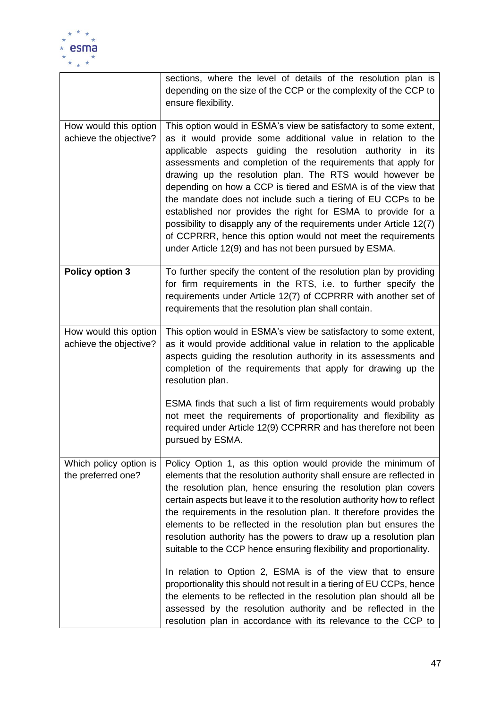

|                                                 | sections, where the level of details of the resolution plan is<br>depending on the size of the CCP or the complexity of the CCP to<br>ensure flexibility.                                                                                                                                                                                                                                                                                                                                                                                                                                                                                                                                                                    |
|-------------------------------------------------|------------------------------------------------------------------------------------------------------------------------------------------------------------------------------------------------------------------------------------------------------------------------------------------------------------------------------------------------------------------------------------------------------------------------------------------------------------------------------------------------------------------------------------------------------------------------------------------------------------------------------------------------------------------------------------------------------------------------------|
| How would this option<br>achieve the objective? | This option would in ESMA's view be satisfactory to some extent,<br>as it would provide some additional value in relation to the<br>applicable aspects guiding the resolution authority in its<br>assessments and completion of the requirements that apply for<br>drawing up the resolution plan. The RTS would however be<br>depending on how a CCP is tiered and ESMA is of the view that<br>the mandate does not include such a tiering of EU CCPs to be<br>established nor provides the right for ESMA to provide for a<br>possibility to disapply any of the requirements under Article 12(7)<br>of CCPRRR, hence this option would not meet the requirements<br>under Article 12(9) and has not been pursued by ESMA. |
| <b>Policy option 3</b>                          | To further specify the content of the resolution plan by providing<br>for firm requirements in the RTS, i.e. to further specify the<br>requirements under Article 12(7) of CCPRRR with another set of<br>requirements that the resolution plan shall contain.                                                                                                                                                                                                                                                                                                                                                                                                                                                                |
| How would this option<br>achieve the objective? | This option would in ESMA's view be satisfactory to some extent,<br>as it would provide additional value in relation to the applicable<br>aspects guiding the resolution authority in its assessments and<br>completion of the requirements that apply for drawing up the<br>resolution plan.                                                                                                                                                                                                                                                                                                                                                                                                                                |
|                                                 | ESMA finds that such a list of firm requirements would probably<br>not meet the requirements of proportionality and flexibility as<br>required under Article 12(9) CCPRRR and has therefore not been<br>pursued by ESMA.                                                                                                                                                                                                                                                                                                                                                                                                                                                                                                     |
| Which policy option is<br>the preferred one?    | Policy Option 1, as this option would provide the minimum of<br>elements that the resolution authority shall ensure are reflected in<br>the resolution plan, hence ensuring the resolution plan covers<br>certain aspects but leave it to the resolution authority how to reflect<br>the requirements in the resolution plan. It therefore provides the<br>elements to be reflected in the resolution plan but ensures the<br>resolution authority has the powers to draw up a resolution plan<br>suitable to the CCP hence ensuring flexibility and proportionality.                                                                                                                                                        |
|                                                 | In relation to Option 2, ESMA is of the view that to ensure<br>proportionality this should not result in a tiering of EU CCPs, hence<br>the elements to be reflected in the resolution plan should all be<br>assessed by the resolution authority and be reflected in the<br>resolution plan in accordance with its relevance to the CCP to                                                                                                                                                                                                                                                                                                                                                                                  |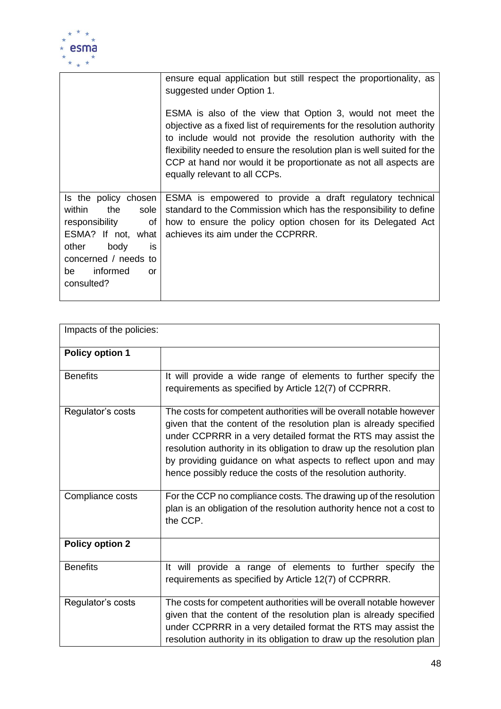

|                                                                                                                                                                                  | ensure equal application but still respect the proportionality, as<br>suggested under Option 1.                                                                                                                                                                                                                                                                                        |
|----------------------------------------------------------------------------------------------------------------------------------------------------------------------------------|----------------------------------------------------------------------------------------------------------------------------------------------------------------------------------------------------------------------------------------------------------------------------------------------------------------------------------------------------------------------------------------|
|                                                                                                                                                                                  | ESMA is also of the view that Option 3, would not meet the<br>objective as a fixed list of requirements for the resolution authority<br>to include would not provide the resolution authority with the<br>flexibility needed to ensure the resolution plan is well suited for the<br>CCP at hand nor would it be proportionate as not all aspects are<br>equally relevant to all CCPs. |
| Is the policy chosen<br>within<br>sole<br>the<br>responsibility<br>0f<br>ESMA? If not, what<br>other<br>body<br>is<br>concerned / needs to<br>informed<br>be<br>or<br>consulted? | ESMA is empowered to provide a draft regulatory technical<br>standard to the Commission which has the responsibility to define<br>how to ensure the policy option chosen for its Delegated Act<br>achieves its aim under the CCPRRR.                                                                                                                                                   |

| Impacts of the policies: |                                                                                                                                                                                                                                                                                                                                                                                                                      |  |
|--------------------------|----------------------------------------------------------------------------------------------------------------------------------------------------------------------------------------------------------------------------------------------------------------------------------------------------------------------------------------------------------------------------------------------------------------------|--|
| <b>Policy option 1</b>   |                                                                                                                                                                                                                                                                                                                                                                                                                      |  |
| <b>Benefits</b>          | It will provide a wide range of elements to further specify the<br>requirements as specified by Article 12(7) of CCPRRR.                                                                                                                                                                                                                                                                                             |  |
| Regulator's costs        | The costs for competent authorities will be overall notable however<br>given that the content of the resolution plan is already specified<br>under CCPRRR in a very detailed format the RTS may assist the<br>resolution authority in its obligation to draw up the resolution plan<br>by providing guidance on what aspects to reflect upon and may<br>hence possibly reduce the costs of the resolution authority. |  |
| Compliance costs         | For the CCP no compliance costs. The drawing up of the resolution<br>plan is an obligation of the resolution authority hence not a cost to<br>the CCP.                                                                                                                                                                                                                                                               |  |
| <b>Policy option 2</b>   |                                                                                                                                                                                                                                                                                                                                                                                                                      |  |
| <b>Benefits</b>          | It will provide a range of elements to further specify the<br>requirements as specified by Article 12(7) of CCPRRR.                                                                                                                                                                                                                                                                                                  |  |
| Regulator's costs        | The costs for competent authorities will be overall notable however<br>given that the content of the resolution plan is already specified<br>under CCPRRR in a very detailed format the RTS may assist the<br>resolution authority in its obligation to draw up the resolution plan                                                                                                                                  |  |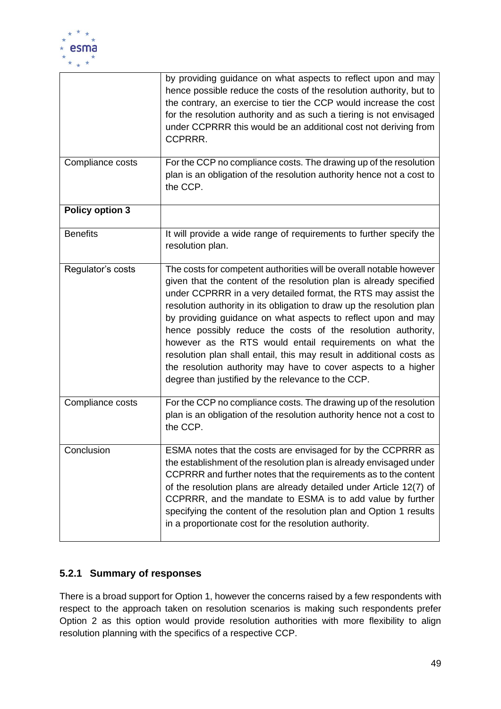

|                        | by providing guidance on what aspects to reflect upon and may<br>hence possible reduce the costs of the resolution authority, but to<br>the contrary, an exercise to tier the CCP would increase the cost<br>for the resolution authority and as such a tiering is not envisaged<br>under CCPRRR this would be an additional cost not deriving from<br>CCPRRR.                                                                                                                                                                                                                                                                                                                    |
|------------------------|-----------------------------------------------------------------------------------------------------------------------------------------------------------------------------------------------------------------------------------------------------------------------------------------------------------------------------------------------------------------------------------------------------------------------------------------------------------------------------------------------------------------------------------------------------------------------------------------------------------------------------------------------------------------------------------|
| Compliance costs       | For the CCP no compliance costs. The drawing up of the resolution<br>plan is an obligation of the resolution authority hence not a cost to<br>the CCP.                                                                                                                                                                                                                                                                                                                                                                                                                                                                                                                            |
| <b>Policy option 3</b> |                                                                                                                                                                                                                                                                                                                                                                                                                                                                                                                                                                                                                                                                                   |
| <b>Benefits</b>        | It will provide a wide range of requirements to further specify the<br>resolution plan.                                                                                                                                                                                                                                                                                                                                                                                                                                                                                                                                                                                           |
| Regulator's costs      | The costs for competent authorities will be overall notable however<br>given that the content of the resolution plan is already specified<br>under CCPRRR in a very detailed format, the RTS may assist the<br>resolution authority in its obligation to draw up the resolution plan<br>by providing guidance on what aspects to reflect upon and may<br>hence possibly reduce the costs of the resolution authority,<br>however as the RTS would entail requirements on what the<br>resolution plan shall entail, this may result in additional costs as<br>the resolution authority may have to cover aspects to a higher<br>degree than justified by the relevance to the CCP. |
| Compliance costs       | For the CCP no compliance costs. The drawing up of the resolution<br>plan is an obligation of the resolution authority hence not a cost to<br>the CCP.                                                                                                                                                                                                                                                                                                                                                                                                                                                                                                                            |
| Conclusion             | ESMA notes that the costs are envisaged for by the CCPRRR as<br>the establishment of the resolution plan is already envisaged under<br>CCPRRR and further notes that the requirements as to the content<br>of the resolution plans are already detailed under Article 12(7) of<br>CCPRRR, and the mandate to ESMA is to add value by further<br>specifying the content of the resolution plan and Option 1 results<br>in a proportionate cost for the resolution authority.                                                                                                                                                                                                       |

# <span id="page-49-0"></span>**5.2.1 Summary of responses**

There is a broad support for Option 1, however the concerns raised by a few respondents with respect to the approach taken on resolution scenarios is making such respondents prefer Option 2 as this option would provide resolution authorities with more flexibility to align resolution planning with the specifics of a respective CCP.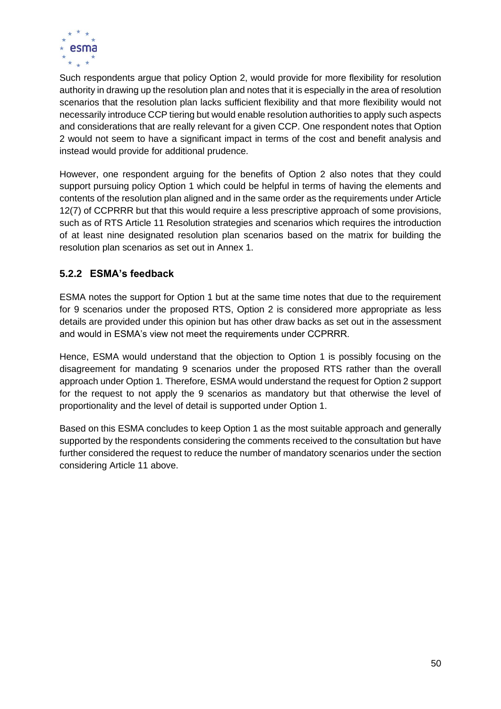

Such respondents argue that policy Option 2, would provide for more flexibility for resolution authority in drawing up the resolution plan and notes that it is especially in the area of resolution scenarios that the resolution plan lacks sufficient flexibility and that more flexibility would not necessarily introduce CCP tiering but would enable resolution authorities to apply such aspects and considerations that are really relevant for a given CCP. One respondent notes that Option 2 would not seem to have a significant impact in terms of the cost and benefit analysis and instead would provide for additional prudence.

However, one respondent arguing for the benefits of Option 2 also notes that they could support pursuing policy Option 1 which could be helpful in terms of having the elements and contents of the resolution plan aligned and in the same order as the requirements under Article 12(7) of CCPRRR but that this would require a less prescriptive approach of some provisions, such as of RTS Article 11 Resolution strategies and scenarios which requires the introduction of at least nine designated resolution plan scenarios based on the matrix for building the resolution plan scenarios as set out in Annex 1.

# <span id="page-50-0"></span>**5.2.2 ESMA's feedback**

ESMA notes the support for Option 1 but at the same time notes that due to the requirement for 9 scenarios under the proposed RTS, Option 2 is considered more appropriate as less details are provided under this opinion but has other draw backs as set out in the assessment and would in ESMA's view not meet the requirements under CCPRRR.

Hence, ESMA would understand that the objection to Option 1 is possibly focusing on the disagreement for mandating 9 scenarios under the proposed RTS rather than the overall approach under Option 1. Therefore, ESMA would understand the request for Option 2 support for the request to not apply the 9 scenarios as mandatory but that otherwise the level of proportionality and the level of detail is supported under Option 1.

Based on this ESMA concludes to keep Option 1 as the most suitable approach and generally supported by the respondents considering the comments received to the consultation but have further considered the request to reduce the number of mandatory scenarios under the section considering Article 11 above.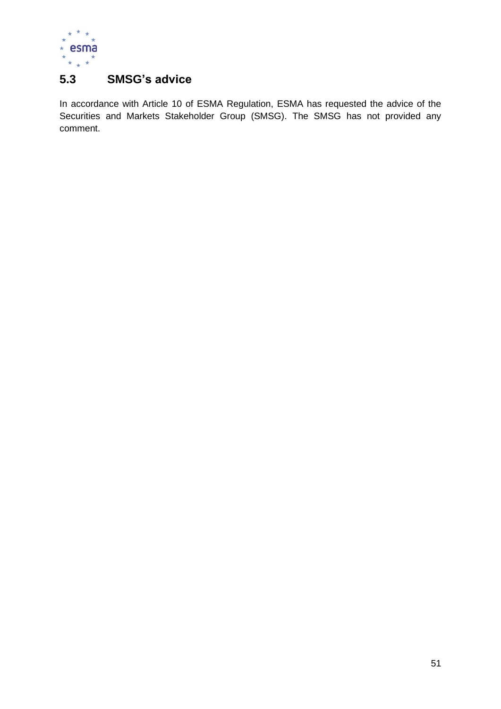

# <span id="page-51-0"></span>**5.3 SMSG's advice**

In accordance with Article 10 of ESMA Regulation, ESMA has requested the advice of the Securities and Markets Stakeholder Group (SMSG). The SMSG has not provided any comment.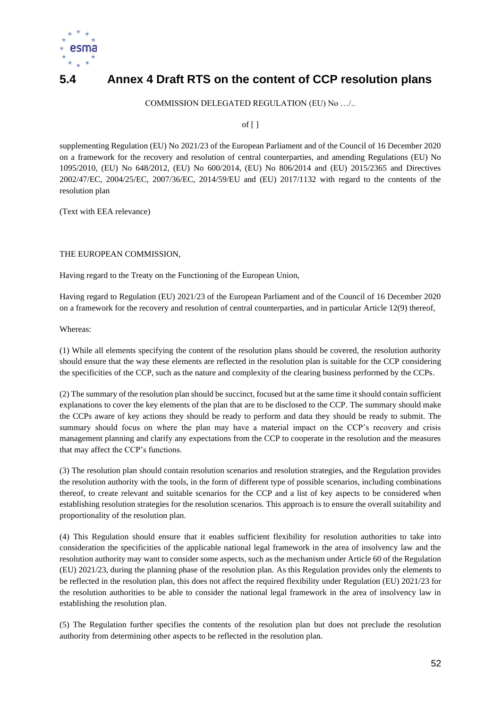

# <span id="page-52-0"></span>**5.4 Annex 4 Draft RTS on the content of CCP resolution plans**

COMMISSION DELEGATED REGULATION (EU) No …/..

of  $[$ ]

supplementing Regulation (EU) No 2021/23 of the European Parliament and of the Council of 16 December 2020 on a framework for the recovery and resolution of central counterparties, and amending Regulations (EU) No 1095/2010, (EU) No 648/2012, (EU) No 600/2014, (EU) No 806/2014 and (EU) 2015/2365 and Directives 2002/47/EC, 2004/25/EC, 2007/36/EC, 2014/59/EU and (EU) 2017/1132 with regard to the contents of the resolution plan

(Text with EEA relevance)

### THE EUROPEAN COMMISSION,

Having regard to the Treaty on the Functioning of the European Union,

Having regard to Regulation (EU) 2021/23 of the European Parliament and of the Council of 16 December 2020 on a framework for the recovery and resolution of central counterparties, and in particular Article 12(9) thereof,

Whereas:

(1) While all elements specifying the content of the resolution plans should be covered, the resolution authority should ensure that the way these elements are reflected in the resolution plan is suitable for the CCP considering the specificities of the CCP, such as the nature and complexity of the clearing business performed by the CCPs.

(2) The summary of the resolution plan should be succinct, focused but at the same time it should contain sufficient explanations to cover the key elements of the plan that are to be disclosed to the CCP. The summary should make the CCPs aware of key actions they should be ready to perform and data they should be ready to submit. The summary should focus on where the plan may have a material impact on the CCP's recovery and crisis management planning and clarify any expectations from the CCP to cooperate in the resolution and the measures that may affect the CCP's functions.

(3) The resolution plan should contain resolution scenarios and resolution strategies, and the Regulation provides the resolution authority with the tools, in the form of different type of possible scenarios, including combinations thereof, to create relevant and suitable scenarios for the CCP and a list of key aspects to be considered when establishing resolution strategies for the resolution scenarios. This approach is to ensure the overall suitability and proportionality of the resolution plan.

(4) This Regulation should ensure that it enables sufficient flexibility for resolution authorities to take into consideration the specificities of the applicable national legal framework in the area of insolvency law and the resolution authority may want to consider some aspects, such as the mechanism under Article 60 of the Regulation (EU) 2021/23, during the planning phase of the resolution plan. As this Regulation provides only the elements to be reflected in the resolution plan, this does not affect the required flexibility under Regulation (EU) 2021/23 for the resolution authorities to be able to consider the national legal framework in the area of insolvency law in establishing the resolution plan.

(5) The Regulation further specifies the contents of the resolution plan but does not preclude the resolution authority from determining other aspects to be reflected in the resolution plan.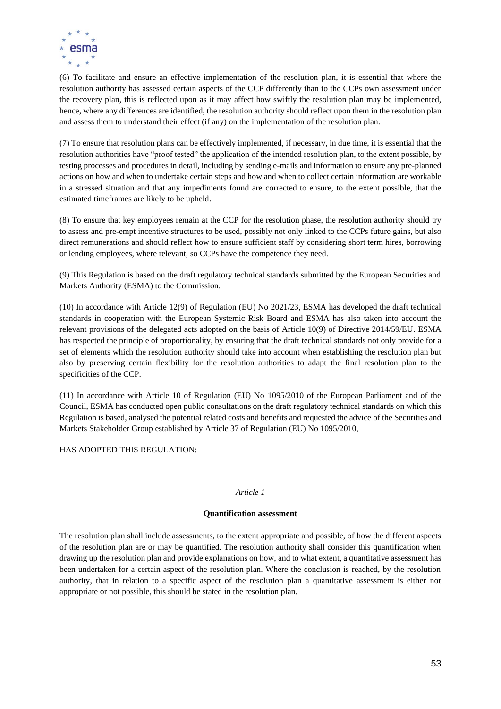

(6) To facilitate and ensure an effective implementation of the resolution plan, it is essential that where the resolution authority has assessed certain aspects of the CCP differently than to the CCPs own assessment under the recovery plan, this is reflected upon as it may affect how swiftly the resolution plan may be implemented, hence, where any differences are identified, the resolution authority should reflect upon them in the resolution plan and assess them to understand their effect (if any) on the implementation of the resolution plan.

(7) To ensure that resolution plans can be effectively implemented, if necessary, in due time, it is essential that the resolution authorities have "proof tested" the application of the intended resolution plan, to the extent possible, by testing processes and procedures in detail, including by sending e-mails and information to ensure any pre-planned actions on how and when to undertake certain steps and how and when to collect certain information are workable in a stressed situation and that any impediments found are corrected to ensure, to the extent possible, that the estimated timeframes are likely to be upheld.

(8) To ensure that key employees remain at the CCP for the resolution phase, the resolution authority should try to assess and pre-empt incentive structures to be used, possibly not only linked to the CCPs future gains, but also direct remunerations and should reflect how to ensure sufficient staff by considering short term hires, borrowing or lending employees, where relevant, so CCPs have the competence they need.

(9) This Regulation is based on the draft regulatory technical standards submitted by the European Securities and Markets Authority (ESMA) to the Commission.

(10) In accordance with Article 12(9) of Regulation (EU) No 2021/23, ESMA has developed the draft technical standards in cooperation with the European Systemic Risk Board and ESMA has also taken into account the relevant provisions of the delegated acts adopted on the basis of Article 10(9) of Directive 2014/59/EU. ESMA has respected the principle of proportionality, by ensuring that the draft technical standards not only provide for a set of elements which the resolution authority should take into account when establishing the resolution plan but also by preserving certain flexibility for the resolution authorities to adapt the final resolution plan to the specificities of the CCP.

(11) In accordance with Article 10 of Regulation (EU) No 1095/2010 of the European Parliament and of the Council, ESMA has conducted open public consultations on the draft regulatory technical standards on which this Regulation is based, analysed the potential related costs and benefits and requested the advice of the Securities and Markets Stakeholder Group established by Article 37 of Regulation (EU) No 1095/2010,

HAS ADOPTED THIS REGULATION·

#### *Article 1*

### **Quantification assessment**

The resolution plan shall include assessments, to the extent appropriate and possible, of how the different aspects of the resolution plan are or may be quantified. The resolution authority shall consider this quantification when drawing up the resolution plan and provide explanations on how, and to what extent, a quantitative assessment has been undertaken for a certain aspect of the resolution plan. Where the conclusion is reached, by the resolution authority, that in relation to a specific aspect of the resolution plan a quantitative assessment is either not appropriate or not possible, this should be stated in the resolution plan.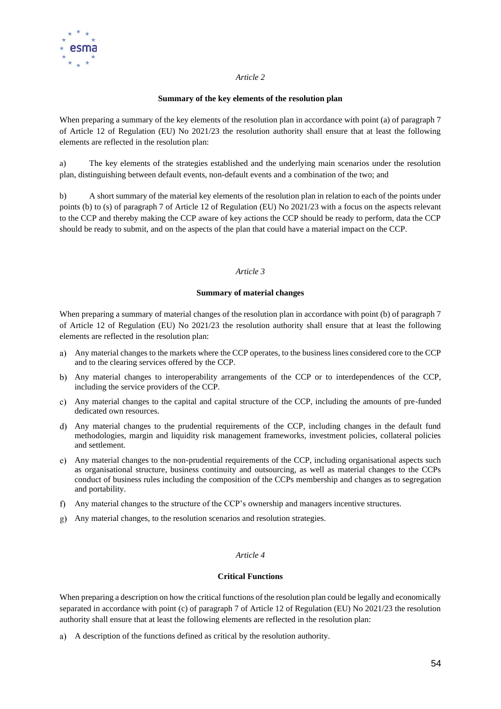

#### **Summary of the key elements of the resolution plan**

When preparing a summary of the key elements of the resolution plan in accordance with point (a) of paragraph 7 of Article 12 of Regulation (EU) No 2021/23 the resolution authority shall ensure that at least the following elements are reflected in the resolution plan:

a) The key elements of the strategies established and the underlying main scenarios under the resolution plan, distinguishing between default events, non-default events and a combination of the two; and

b) A short summary of the material key elements of the resolution plan in relation to each of the points under points (b) to (s) of paragraph 7 of Article 12 of Regulation (EU) No 2021/23 with a focus on the aspects relevant to the CCP and thereby making the CCP aware of key actions the CCP should be ready to perform, data the CCP should be ready to submit, and on the aspects of the plan that could have a material impact on the CCP.

#### *Article 3*

#### **Summary of material changes**

When preparing a summary of material changes of the resolution plan in accordance with point (b) of paragraph 7 of Article 12 of Regulation (EU) No 2021/23 the resolution authority shall ensure that at least the following elements are reflected in the resolution plan:

- Any material changes to the markets where the CCP operates, to the business lines considered core to the CCP and to the clearing services offered by the CCP.
- Any material changes to interoperability arrangements of the CCP or to interdependences of the CCP, including the service providers of the CCP.
- Any material changes to the capital and capital structure of the CCP, including the amounts of pre-funded dedicated own resources.
- Any material changes to the prudential requirements of the CCP, including changes in the default fund methodologies, margin and liquidity risk management frameworks, investment policies, collateral policies and settlement.
- Any material changes to the non-prudential requirements of the CCP, including organisational aspects such as organisational structure, business continuity and outsourcing, as well as material changes to the CCPs conduct of business rules including the composition of the CCPs membership and changes as to segregation and portability.
- Any material changes to the structure of the CCP's ownership and managers incentive structures.
- Any material changes, to the resolution scenarios and resolution strategies.

### *Article 4*

### **Critical Functions**

When preparing a description on how the critical functions of the resolution plan could be legally and economically separated in accordance with point (c) of paragraph 7 of Article 12 of Regulation (EU) No 2021/23 the resolution authority shall ensure that at least the following elements are reflected in the resolution plan:

A description of the functions defined as critical by the resolution authority.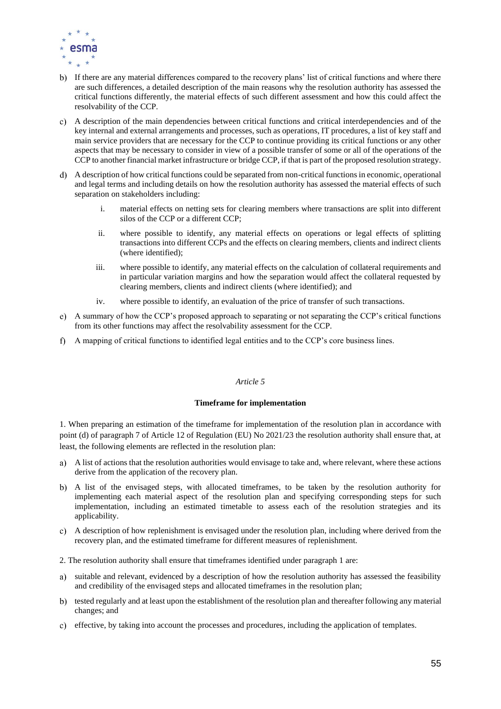

- b) If there are any material differences compared to the recovery plans' list of critical functions and where there are such differences, a detailed description of the main reasons why the resolution authority has assessed the critical functions differently, the material effects of such different assessment and how this could affect the resolvability of the CCP.
- A description of the main dependencies between critical functions and critical interdependencies and of the key internal and external arrangements and processes, such as operations, IT procedures, a list of key staff and main service providers that are necessary for the CCP to continue providing its critical functions or any other aspects that may be necessary to consider in view of a possible transfer of some or all of the operations of the CCP to another financial market infrastructure or bridge CCP, if that is part of the proposed resolution strategy.
- A description of how critical functions could be separated from non-critical functions in economic, operational and legal terms and including details on how the resolution authority has assessed the material effects of such separation on stakeholders including:
	- i. material effects on netting sets for clearing members where transactions are split into different silos of the CCP or a different CCP;
	- ii. where possible to identify, any material effects on operations or legal effects of splitting transactions into different CCPs and the effects on clearing members, clients and indirect clients (where identified);
	- iii. where possible to identify, any material effects on the calculation of collateral requirements and in particular variation margins and how the separation would affect the collateral requested by clearing members, clients and indirect clients (where identified); and
	- iv. where possible to identify, an evaluation of the price of transfer of such transactions.
- A summary of how the CCP's proposed approach to separating or not separating the CCP's critical functions from its other functions may affect the resolvability assessment for the CCP.
- f) A mapping of critical functions to identified legal entities and to the CCP's core business lines.

#### **Timeframe for implementation**

1. When preparing an estimation of the timeframe for implementation of the resolution plan in accordance with point (d) of paragraph 7 of Article 12 of Regulation (EU) No 2021/23 the resolution authority shall ensure that, at least, the following elements are reflected in the resolution plan:

- A list of actions that the resolution authorities would envisage to take and, where relevant, where these actions derive from the application of the recovery plan.
- A list of the envisaged steps, with allocated timeframes, to be taken by the resolution authority for implementing each material aspect of the resolution plan and specifying corresponding steps for such implementation, including an estimated timetable to assess each of the resolution strategies and its applicability.
- A description of how replenishment is envisaged under the resolution plan, including where derived from the recovery plan, and the estimated timeframe for different measures of replenishment.
- 2. The resolution authority shall ensure that timeframes identified under paragraph 1 are:
- a) suitable and relevant, evidenced by a description of how the resolution authority has assessed the feasibility and credibility of the envisaged steps and allocated timeframes in the resolution plan;
- b) tested regularly and at least upon the establishment of the resolution plan and thereafter following any material changes; and
- effective, by taking into account the processes and procedures, including the application of templates.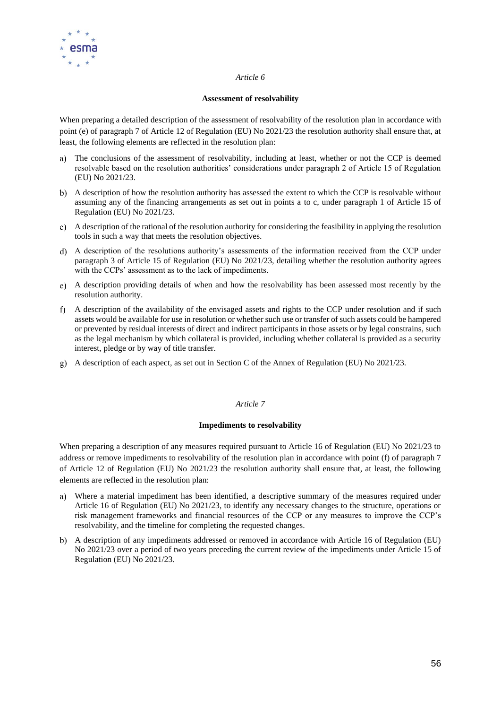

#### **Assessment of resolvability**

When preparing a detailed description of the assessment of resolvability of the resolution plan in accordance with point (e) of paragraph 7 of Article 12 of Regulation (EU) No 2021/23 the resolution authority shall ensure that, at least, the following elements are reflected in the resolution plan:

- The conclusions of the assessment of resolvability, including at least, whether or not the CCP is deemed resolvable based on the resolution authorities' considerations under paragraph 2 of Article 15 of Regulation (EU) No 2021/23.
- A description of how the resolution authority has assessed the extent to which the CCP is resolvable without assuming any of the financing arrangements as set out in points a to c, under paragraph 1 of Article 15 of Regulation (EU) No 2021/23.
- A description of the rational of the resolution authority for considering the feasibility in applying the resolution tools in such a way that meets the resolution objectives.
- A description of the resolutions authority's assessments of the information received from the CCP under paragraph 3 of Article 15 of Regulation (EU) No 2021/23, detailing whether the resolution authority agrees with the CCPs' assessment as to the lack of impediments.
- A description providing details of when and how the resolvability has been assessed most recently by the resolution authority.
- A description of the availability of the envisaged assets and rights to the CCP under resolution and if such assets would be available for use in resolution or whether such use or transfer of such assets could be hampered or prevented by residual interests of direct and indirect participants in those assets or by legal constrains, such as the legal mechanism by which collateral is provided, including whether collateral is provided as a security interest, pledge or by way of title transfer.
- A description of each aspect, as set out in Section C of the Annex of Regulation (EU) No 2021/23.

### *Article 7*

### **Impediments to resolvability**

When preparing a description of any measures required pursuant to Article 16 of Regulation (EU) No 2021/23 to address or remove impediments to resolvability of the resolution plan in accordance with point (f) of paragraph 7 of Article 12 of Regulation (EU) No 2021/23 the resolution authority shall ensure that, at least, the following elements are reflected in the resolution plan:

- Where a material impediment has been identified, a descriptive summary of the measures required under Article 16 of Regulation (EU) No 2021/23, to identify any necessary changes to the structure, operations or risk management frameworks and financial resources of the CCP or any measures to improve the CCP's resolvability, and the timeline for completing the requested changes.
- A description of any impediments addressed or removed in accordance with Article 16 of Regulation (EU) No 2021/23 over a period of two years preceding the current review of the impediments under Article 15 of Regulation (EU) No 2021/23.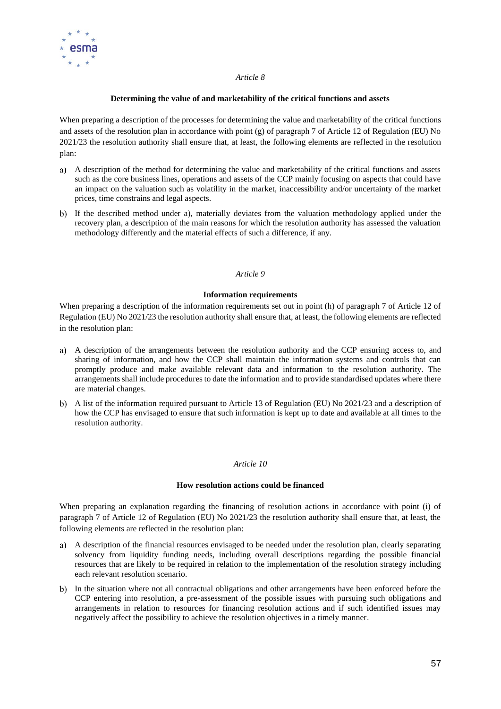

#### **Determining the value of and marketability of the critical functions and assets**

When preparing a description of the processes for determining the value and marketability of the critical functions and assets of the resolution plan in accordance with point (g) of paragraph 7 of Article 12 of Regulation (EU) No 2021/23 the resolution authority shall ensure that, at least, the following elements are reflected in the resolution plan:

- A description of the method for determining the value and marketability of the critical functions and assets such as the core business lines, operations and assets of the CCP mainly focusing on aspects that could have an impact on the valuation such as volatility in the market, inaccessibility and/or uncertainty of the market prices, time constrains and legal aspects.
- b) If the described method under a), materially deviates from the valuation methodology applied under the recovery plan, a description of the main reasons for which the resolution authority has assessed the valuation methodology differently and the material effects of such a difference, if any.

#### *Article 9*

#### **Information requirements**

When preparing a description of the information requirements set out in point (h) of paragraph 7 of Article 12 of Regulation (EU) No 2021/23 the resolution authority shall ensure that, at least, the following elements are reflected in the resolution plan:

- A description of the arrangements between the resolution authority and the CCP ensuring access to, and sharing of information, and how the CCP shall maintain the information systems and controls that can promptly produce and make available relevant data and information to the resolution authority. The arrangements shall include procedures to date the information and to provide standardised updates where there are material changes.
- A list of the information required pursuant to Article 13 of Regulation (EU) No 2021/23 and a description of how the CCP has envisaged to ensure that such information is kept up to date and available at all times to the resolution authority.

#### *Article 10*

#### **How resolution actions could be financed**

When preparing an explanation regarding the financing of resolution actions in accordance with point (i) of paragraph 7 of Article 12 of Regulation (EU) No 2021/23 the resolution authority shall ensure that, at least, the following elements are reflected in the resolution plan:

- A description of the financial resources envisaged to be needed under the resolution plan, clearly separating solvency from liquidity funding needs, including overall descriptions regarding the possible financial resources that are likely to be required in relation to the implementation of the resolution strategy including each relevant resolution scenario.
- b) In the situation where not all contractual obligations and other arrangements have been enforced before the CCP entering into resolution, a pre-assessment of the possible issues with pursuing such obligations and arrangements in relation to resources for financing resolution actions and if such identified issues may negatively affect the possibility to achieve the resolution objectives in a timely manner.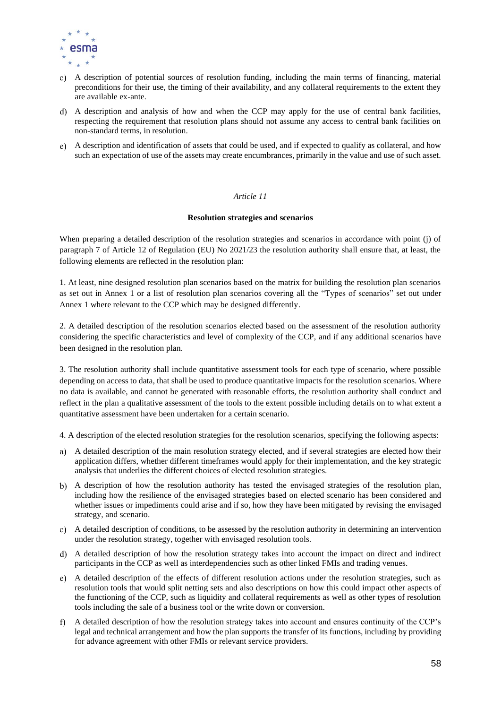

- A description of potential sources of resolution funding, including the main terms of financing, material preconditions for their use, the timing of their availability, and any collateral requirements to the extent they are available ex-ante.
- A description and analysis of how and when the CCP may apply for the use of central bank facilities, respecting the requirement that resolution plans should not assume any access to central bank facilities on non-standard terms, in resolution.
- A description and identification of assets that could be used, and if expected to qualify as collateral, and how such an expectation of use of the assets may create encumbrances, primarily in the value and use of such asset.

#### **Resolution strategies and scenarios**

When preparing a detailed description of the resolution strategies and scenarios in accordance with point (j) of paragraph 7 of Article 12 of Regulation (EU) No 2021/23 the resolution authority shall ensure that, at least, the following elements are reflected in the resolution plan:

1. At least, nine designed resolution plan scenarios based on the matrix for building the resolution plan scenarios as set out in Annex 1 or a list of resolution plan scenarios covering all the "Types of scenarios" set out under Annex 1 where relevant to the CCP which may be designed differently.

2. A detailed description of the resolution scenarios elected based on the assessment of the resolution authority considering the specific characteristics and level of complexity of the CCP, and if any additional scenarios have been designed in the resolution plan.

3. The resolution authority shall include quantitative assessment tools for each type of scenario, where possible depending on access to data, that shall be used to produce quantitative impacts for the resolution scenarios. Where no data is available, and cannot be generated with reasonable efforts, the resolution authority shall conduct and reflect in the plan a qualitative assessment of the tools to the extent possible including details on to what extent a quantitative assessment have been undertaken for a certain scenario.

4. A description of the elected resolution strategies for the resolution scenarios, specifying the following aspects:

- A detailed description of the main resolution strategy elected, and if several strategies are elected how their application differs, whether different timeframes would apply for their implementation, and the key strategic analysis that underlies the different choices of elected resolution strategies.
- A description of how the resolution authority has tested the envisaged strategies of the resolution plan, including how the resilience of the envisaged strategies based on elected scenario has been considered and whether issues or impediments could arise and if so, how they have been mitigated by revising the envisaged strategy, and scenario.
- A detailed description of conditions, to be assessed by the resolution authority in determining an intervention under the resolution strategy, together with envisaged resolution tools.
- A detailed description of how the resolution strategy takes into account the impact on direct and indirect participants in the CCP as well as interdependencies such as other linked FMIs and trading venues.
- A detailed description of the effects of different resolution actions under the resolution strategies, such as resolution tools that would split netting sets and also descriptions on how this could impact other aspects of the functioning of the CCP, such as liquidity and collateral requirements as well as other types of resolution tools including the sale of a business tool or the write down or conversion.
- A detailed description of how the resolution strategy takes into account and ensures continuity of the CCP's legal and technical arrangement and how the plan supports the transfer of its functions, including by providing for advance agreement with other FMIs or relevant service providers.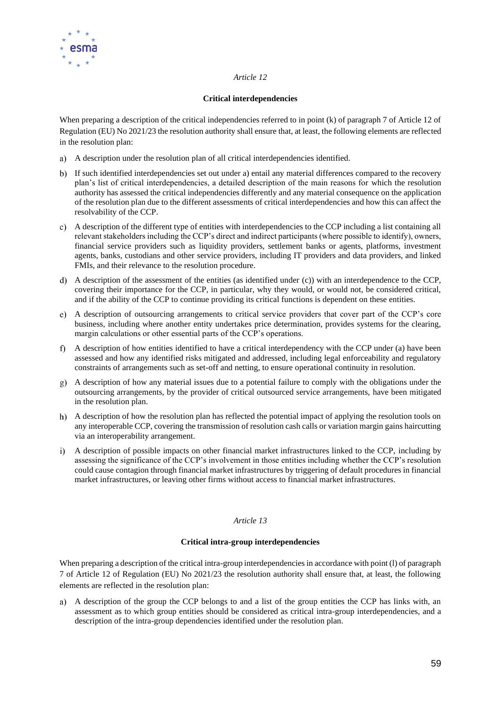

#### **Critical interdependencies**

When preparing a description of the critical independencies referred to in point (k) of paragraph 7 of Article 12 of Regulation (EU) No 2021/23 the resolution authority shall ensure that, at least, the following elements are reflected in the resolution plan:

- A description under the resolution plan of all critical interdependencies identified.
- If such identified interdependencies set out under a) entail any material differences compared to the recovery plan's list of critical interdependencies, a detailed description of the main reasons for which the resolution authority has assessed the critical independencies differently and any material consequence on the application of the resolution plan due to the different assessments of critical interdependencies and how this can affect the resolvability of the CCP.
- A description of the different type of entities with interdependencies to the CCP including a list containing all relevant stakeholders including the CCP's direct and indirect participants (where possible to identify), owners, financial service providers such as liquidity providers, settlement banks or agents, platforms, investment agents, banks, custodians and other service providers, including IT providers and data providers, and linked FMIs, and their relevance to the resolution procedure.
- A description of the assessment of the entities (as identified under (c)) with an interdependence to the CCP, covering their importance for the CCP, in particular, why they would, or would not, be considered critical, and if the ability of the CCP to continue providing its critical functions is dependent on these entities.
- A description of outsourcing arrangements to critical service providers that cover part of the CCP's core business, including where another entity undertakes price determination, provides systems for the clearing, margin calculations or other essential parts of the CCP's operations.
- A description of how entities identified to have a critical interdependency with the CCP under (a) have been assessed and how any identified risks mitigated and addressed, including legal enforceability and regulatory constraints of arrangements such as set-off and netting, to ensure operational continuity in resolution.
- A description of how any material issues due to a potential failure to comply with the obligations under the outsourcing arrangements, by the provider of critical outsourced service arrangements, have been mitigated in the resolution plan.
- A description of how the resolution plan has reflected the potential impact of applying the resolution tools on any interoperable CCP, covering the transmission of resolution cash calls or variation margin gains haircutting via an interoperability arrangement.
- A description of possible impacts on other financial market infrastructures linked to the CCP, including by assessing the significance of the CCP's involvement in those entities including whether the CCP's resolution could cause contagion through financial market infrastructures by triggering of default procedures in financial market infrastructures, or leaving other firms without access to financial market infrastructures.

### *Article 13*

### **Critical intra-group interdependencies**

When preparing a description of the critical intra-group interdependencies in accordance with point (l) of paragraph 7 of Article 12 of Regulation (EU) No 2021/23 the resolution authority shall ensure that, at least, the following elements are reflected in the resolution plan:

A description of the group the CCP belongs to and a list of the group entities the CCP has links with, an assessment as to which group entities should be considered as critical intra-group interdependencies, and a description of the intra-group dependencies identified under the resolution plan.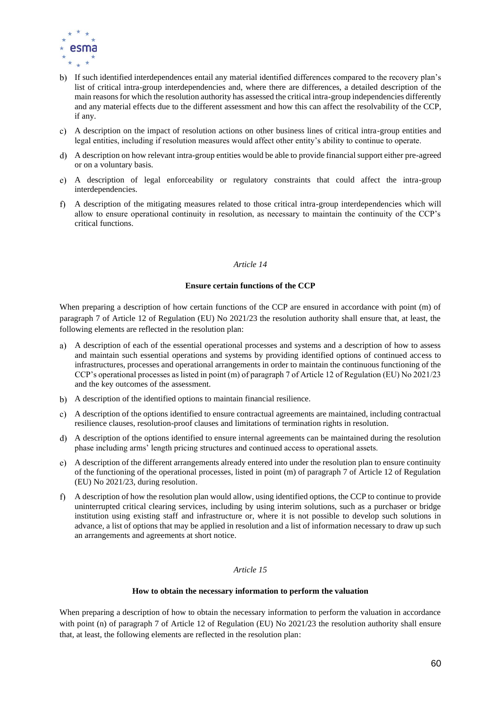

- If such identified interdependences entail any material identified differences compared to the recovery plan's list of critical intra-group interdependencies and, where there are differences, a detailed description of the main reasons for which the resolution authority has assessed the critical intra-group independencies differently and any material effects due to the different assessment and how this can affect the resolvability of the CCP, if any.
- A description on the impact of resolution actions on other business lines of critical intra-group entities and legal entities, including if resolution measures would affect other entity's ability to continue to operate.
- A description on how relevant intra-group entities would be able to provide financial support either pre-agreed or on a voluntary basis.
- A description of legal enforceability or regulatory constraints that could affect the intra-group interdependencies.
- A description of the mitigating measures related to those critical intra-group interdependencies which will  $f$ allow to ensure operational continuity in resolution, as necessary to maintain the continuity of the CCP's critical functions.

#### **Ensure certain functions of the CCP**

When preparing a description of how certain functions of the CCP are ensured in accordance with point (m) of paragraph 7 of Article 12 of Regulation (EU) No 2021/23 the resolution authority shall ensure that, at least, the following elements are reflected in the resolution plan:

- A description of each of the essential operational processes and systems and a description of how to assess and maintain such essential operations and systems by providing identified options of continued access to infrastructures, processes and operational arrangements in order to maintain the continuous functioning of the CCP's operational processes as listed in point (m) of paragraph 7 of Article 12 of Regulation (EU) No 2021/23 and the key outcomes of the assessment.
- A description of the identified options to maintain financial resilience.
- A description of the options identified to ensure contractual agreements are maintained, including contractual resilience clauses, resolution-proof clauses and limitations of termination rights in resolution.
- A description of the options identified to ensure internal agreements can be maintained during the resolution phase including arms' length pricing structures and continued access to operational assets.
- A description of the different arrangements already entered into under the resolution plan to ensure continuity of the functioning of the operational processes, listed in point (m) of paragraph 7 of Article 12 of Regulation (EU) No 2021/23, during resolution.
- A description of how the resolution plan would allow, using identified options, the CCP to continue to provide uninterrupted critical clearing services, including by using interim solutions, such as a purchaser or bridge institution using existing staff and infrastructure or, where it is not possible to develop such solutions in advance, a list of options that may be applied in resolution and a list of information necessary to draw up such an arrangements and agreements at short notice.

#### *Article 15*

#### **How to obtain the necessary information to perform the valuation**

When preparing a description of how to obtain the necessary information to perform the valuation in accordance with point (n) of paragraph 7 of Article 12 of Regulation (EU) No 2021/23 the resolution authority shall ensure that, at least, the following elements are reflected in the resolution plan: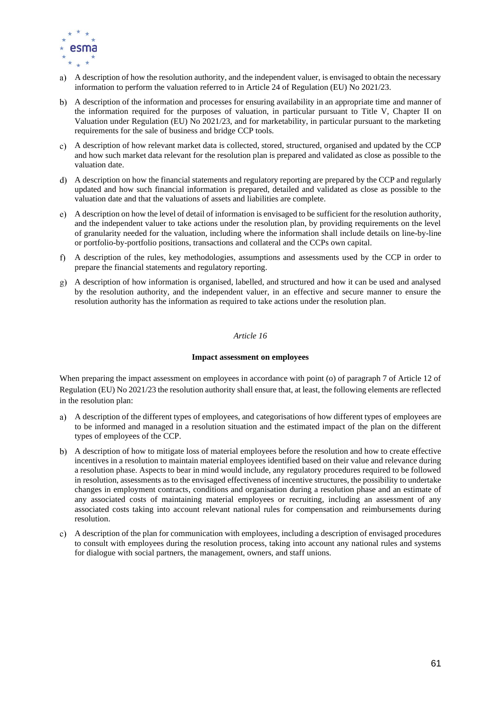

- A description of how the resolution authority, and the independent valuer, is envisaged to obtain the necessary a) information to perform the valuation referred to in Article 24 of Regulation (EU) No 2021/23.
- A description of the information and processes for ensuring availability in an appropriate time and manner of the information required for the purposes of valuation, in particular pursuant to Title V, Chapter II on Valuation under Regulation (EU) No 2021/23, and for marketability, in particular pursuant to the marketing requirements for the sale of business and bridge CCP tools.
- A description of how relevant market data is collected, stored, structured, organised and updated by the CCP and how such market data relevant for the resolution plan is prepared and validated as close as possible to the valuation date.
- A description on how the financial statements and regulatory reporting are prepared by the CCP and regularly updated and how such financial information is prepared, detailed and validated as close as possible to the valuation date and that the valuations of assets and liabilities are complete.
- A description on how the level of detail of information is envisaged to be sufficient for the resolution authority, and the independent valuer to take actions under the resolution plan, by providing requirements on the level of granularity needed for the valuation, including where the information shall include details on line-by-line or portfolio-by-portfolio positions, transactions and collateral and the CCPs own capital.
- A description of the rules, key methodologies, assumptions and assessments used by the CCP in order to prepare the financial statements and regulatory reporting.
- A description of how information is organised, labelled, and structured and how it can be used and analysed by the resolution authority, and the independent valuer, in an effective and secure manner to ensure the resolution authority has the information as required to take actions under the resolution plan.

#### **Impact assessment on employees**

When preparing the impact assessment on employees in accordance with point (o) of paragraph 7 of Article 12 of Regulation (EU) No 2021/23 the resolution authority shall ensure that, at least, the following elements are reflected in the resolution plan:

- A description of the different types of employees, and categorisations of how different types of employees are a) to be informed and managed in a resolution situation and the estimated impact of the plan on the different types of employees of the CCP.
- A description of how to mitigate loss of material employees before the resolution and how to create effective incentives in a resolution to maintain material employees identified based on their value and relevance during a resolution phase. Aspects to bear in mind would include, any regulatory procedures required to be followed in resolution, assessments as to the envisaged effectiveness of incentive structures, the possibility to undertake changes in employment contracts, conditions and organisation during a resolution phase and an estimate of any associated costs of maintaining material employees or recruiting, including an assessment of any associated costs taking into account relevant national rules for compensation and reimbursements during resolution.
- A description of the plan for communication with employees, including a description of envisaged procedures to consult with employees during the resolution process, taking into account any national rules and systems for dialogue with social partners, the management, owners, and staff unions.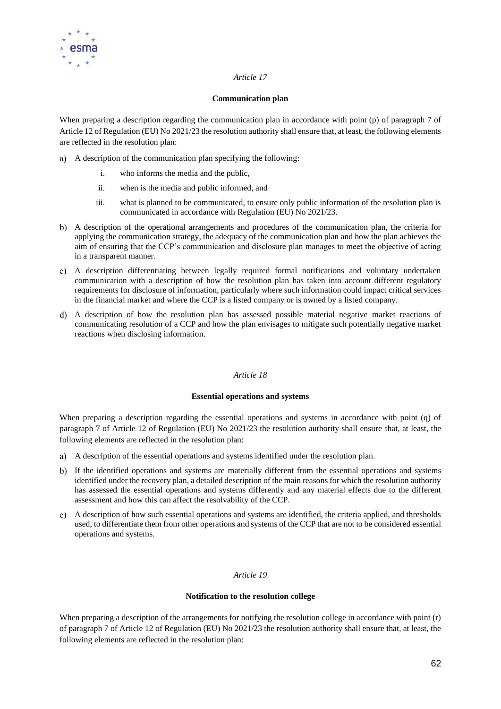

#### **Communication plan**

When preparing a description regarding the communication plan in accordance with point (p) of paragraph 7 of Article 12 of Regulation (EU) No 2021/23 the resolution authority shall ensure that, at least, the following elements are reflected in the resolution plan:

- A description of the communication plan specifying the following:
	- i. who informs the media and the public,
	- ii. when is the media and public informed, and
	- iii. what is planned to be communicated, to ensure only public information of the resolution plan is communicated in accordance with Regulation (EU) No 2021/23.
- A description of the operational arrangements and procedures of the communication plan, the criteria for applying the communication strategy, the adequacy of the communication plan and how the plan achieves the aim of ensuring that the CCP's communication and disclosure plan manages to meet the objective of acting in a transparent manner.
- A description differentiating between legally required formal notifications and voluntary undertaken communication with a description of how the resolution plan has taken into account different regulatory requirements for disclosure of information, particularly where such information could impact critical services in the financial market and where the CCP is a listed company or is owned by a listed company.
- A description of how the resolution plan has assessed possible material negative market reactions of communicating resolution of a CCP and how the plan envisages to mitigate such potentially negative market reactions when disclosing information.

### *Article 18*

### **Essential operations and systems**

When preparing a description regarding the essential operations and systems in accordance with point (q) of paragraph 7 of Article 12 of Regulation (EU) No 2021/23 the resolution authority shall ensure that, at least, the following elements are reflected in the resolution plan:

- A description of the essential operations and systems identified under the resolution plan.
- b) If the identified operations and systems are materially different from the essential operations and systems identified under the recovery plan, a detailed description of the main reasons for which the resolution authority has assessed the essential operations and systems differently and any material effects due to the different assessment and how this can affect the resolvability of the CCP.
- A description of how such essential operations and systems are identified, the criteria applied, and thresholds used, to differentiate them from other operations and systems of the CCP that are not to be considered essential operations and systems.

### *Article 19*

### **Notification to the resolution college**

When preparing a description of the arrangements for notifying the resolution college in accordance with point (r) of paragraph 7 of Article 12 of Regulation (EU) No 2021/23 the resolution authority shall ensure that, at least, the following elements are reflected in the resolution plan: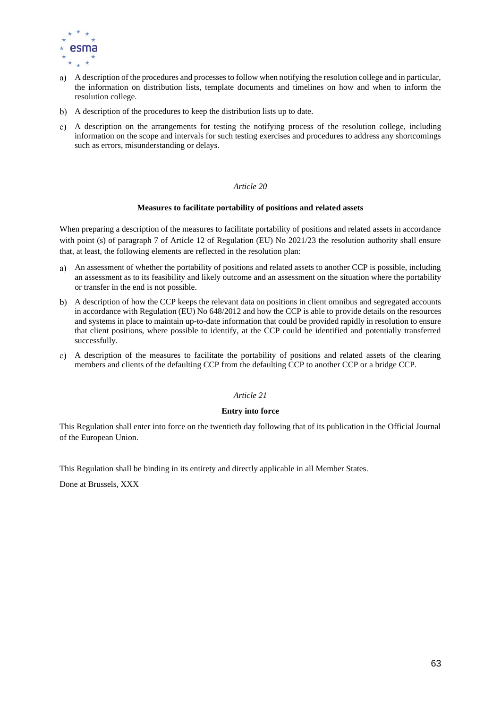

- A description of the procedures and processes to follow when notifying the resolution college and in particular, the information on distribution lists, template documents and timelines on how and when to inform the resolution college.
- b) A description of the procedures to keep the distribution lists up to date.
- A description on the arrangements for testing the notifying process of the resolution college, including information on the scope and intervals for such testing exercises and procedures to address any shortcomings such as errors, misunderstanding or delays.

#### **Measures to facilitate portability of positions and related assets**

When preparing a description of the measures to facilitate portability of positions and related assets in accordance with point (s) of paragraph 7 of Article 12 of Regulation (EU) No 2021/23 the resolution authority shall ensure that, at least, the following elements are reflected in the resolution plan:

- An assessment of whether the portability of positions and related assets to another CCP is possible, including an assessment as to its feasibility and likely outcome and an assessment on the situation where the portability or transfer in the end is not possible.
- A description of how the CCP keeps the relevant data on positions in client omnibus and segregated accounts in accordance with Regulation (EU) No 648/2012 and how the CCP is able to provide details on the resources and systems in place to maintain up-to-date information that could be provided rapidly in resolution to ensure that client positions, where possible to identify, at the CCP could be identified and potentially transferred successfully.
- A description of the measures to facilitate the portability of positions and related assets of the clearing members and clients of the defaulting CCP from the defaulting CCP to another CCP or a bridge CCP.

#### *Article 21*

#### **Entry into force**

This Regulation shall enter into force on the twentieth day following that of its publication in the Official Journal of the European Union.

This Regulation shall be binding in its entirety and directly applicable in all Member States.

Done at Brussels, XXX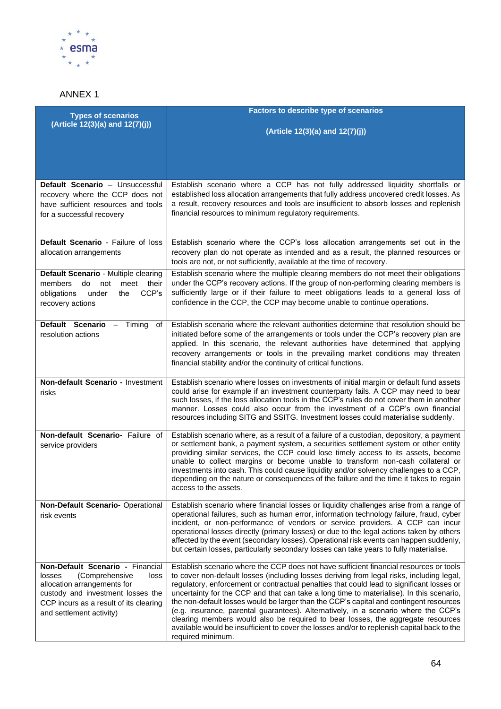

# ANNEX 1

| <b>Types of scenarios</b>                                                                                                                                                                                      | <b>Factors to describe type of scenarios</b>                                                                                                                                                                                                                                                                                                                                                                                                                                                                                                                                                                                                                                                                                                                         |
|----------------------------------------------------------------------------------------------------------------------------------------------------------------------------------------------------------------|----------------------------------------------------------------------------------------------------------------------------------------------------------------------------------------------------------------------------------------------------------------------------------------------------------------------------------------------------------------------------------------------------------------------------------------------------------------------------------------------------------------------------------------------------------------------------------------------------------------------------------------------------------------------------------------------------------------------------------------------------------------------|
| (Article 12(3)(a) and 12(7)(j))                                                                                                                                                                                | (Article 12(3)(a) and 12(7)(j))                                                                                                                                                                                                                                                                                                                                                                                                                                                                                                                                                                                                                                                                                                                                      |
|                                                                                                                                                                                                                |                                                                                                                                                                                                                                                                                                                                                                                                                                                                                                                                                                                                                                                                                                                                                                      |
|                                                                                                                                                                                                                |                                                                                                                                                                                                                                                                                                                                                                                                                                                                                                                                                                                                                                                                                                                                                                      |
| Default Scenario - Unsuccessful<br>recovery where the CCP does not<br>have sufficient resources and tools<br>for a successful recovery                                                                         | Establish scenario where a CCP has not fully addressed liquidity shortfalls or<br>established loss allocation arrangements that fully address uncovered credit losses. As<br>a result, recovery resources and tools are insufficient to absorb losses and replenish<br>financial resources to minimum regulatory requirements.                                                                                                                                                                                                                                                                                                                                                                                                                                       |
| Default Scenario - Failure of loss<br>allocation arrangements                                                                                                                                                  | Establish scenario where the CCP's loss allocation arrangements set out in the<br>recovery plan do not operate as intended and as a result, the planned resources or<br>tools are not, or not sufficiently, available at the time of recovery.                                                                                                                                                                                                                                                                                                                                                                                                                                                                                                                       |
| Default Scenario - Multiple clearing<br>members<br>do<br>not<br>meet their<br>CCP's<br>obligations<br>under<br>the<br>recovery actions                                                                         | Establish scenario where the multiple clearing members do not meet their obligations<br>under the CCP's recovery actions. If the group of non-performing clearing members is<br>sufficiently large or if their failure to meet obligations leads to a general loss of<br>confidence in the CCP, the CCP may become unable to continue operations.                                                                                                                                                                                                                                                                                                                                                                                                                    |
| Default Scenario - Timing<br>of<br>resolution actions                                                                                                                                                          | Establish scenario where the relevant authorities determine that resolution should be<br>initiated before some of the arrangements or tools under the CCP's recovery plan are<br>applied. In this scenario, the relevant authorities have determined that applying<br>recovery arrangements or tools in the prevailing market conditions may threaten<br>financial stability and/or the continuity of critical functions.                                                                                                                                                                                                                                                                                                                                            |
| Non-default Scenario - Investment<br>risks                                                                                                                                                                     | Establish scenario where losses on investments of initial margin or default fund assets<br>could arise for example if an investment counterparty fails. A CCP may need to bear<br>such losses, if the loss allocation tools in the CCP's rules do not cover them in another<br>manner. Losses could also occur from the investment of a CCP's own financial<br>resources including SITG and SSITG. Investment losses could materialise suddenly.                                                                                                                                                                                                                                                                                                                     |
| Non-default Scenario- Failure of<br>service providers                                                                                                                                                          | Establish scenario where, as a result of a failure of a custodian, depository, a payment<br>or settlement bank, a payment system, a securities settlement system or other entity<br>providing similar services, the CCP could lose timely access to its assets, become<br>unable to collect margins or become unable to transform non-cash collateral or<br>investments into cash. This could cause liquidity and/or solvency challenges to a CCP,<br>depending on the nature or consequences of the failure and the time it takes to regain<br>access to the assets.                                                                                                                                                                                                |
| Non-Default Scenario- Operational<br>risk events                                                                                                                                                               | Establish scenario where financial losses or liquidity challenges arise from a range of<br>operational failures, such as human error, information technology failure, fraud, cyber<br>incident, or non-performance of vendors or service providers. A CCP can incur<br>operational losses directly (primary losses) or due to the legal actions taken by others<br>affected by the event (secondary losses). Operational risk events can happen suddenly,<br>but certain losses, particularly secondary losses can take years to fully materialise.                                                                                                                                                                                                                  |
| Non-Default Scenario - Financial<br>(Comprehensive<br>losses<br>loss<br>allocation arrangements for<br>custody and investment losses the<br>CCP incurs as a result of its clearing<br>and settlement activity) | Establish scenario where the CCP does not have sufficient financial resources or tools<br>to cover non-default losses (including losses deriving from legal risks, including legal,<br>regulatory, enforcement or contractual penalties that could lead to significant losses or<br>uncertainty for the CCP and that can take a long time to materialise). In this scenario,<br>the non-default losses would be larger than the CCP's capital and contingent resources<br>(e.g. insurance, parental guarantees). Alternatively, in a scenario where the CCP's<br>clearing members would also be required to bear losses, the aggregate resources<br>available would be insufficient to cover the losses and/or to replenish capital back to the<br>required minimum. |